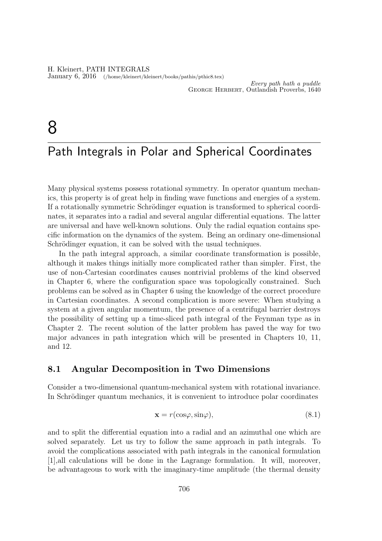H. Kleinert, PATH INTEGRALS January 6, 2016 (/home/kleinert/kleinert/books/pathis/pthic8.tex)

Every path hath a puddle George Herbert, Outlandish Proverbs, 1640

# 8

## Path Integrals in Polar and Spherical Coordinates

Many physical systems possess rotational symmetry. In operator quantum mechanics, this property is of great help in finding wave functions and energies of a system. If a rotationally symmetric Schrödinger equation is transformed to spherical coordinates, it separates into a radial and several angular differential equations. The latter are universal and have well-known solutions. Only the radial equation contains specific information on the dynamics of the system. Being an ordinary one-dimensional Schrödinger equation, it can be solved with the usual techniques.

In the path integral approach, a similar coordinate transformation is possible, although it makes things initially more complicated rather than simpler. First, the use of non-Cartesian coordinates causes nontrivial problems of the kind observed in Chapter 6, where the configuration space was topologically constrained. Such problems can be solved as in Chapter 6 using the knowledge of the correct procedure in Cartesian coordinates. A second complication is more severe: When studying a system at a given angular momentum, the presence of a centrifugal barrier destroys the possibility of setting up a time-sliced path integral of the Feynman type as in Chapter 2. The recent solution of the latter problem has paved the way for two major advances in path integration which will be presented in Chapters 10, 11, and 12.

#### 8.1 Angular Decomposition in Two Dimensions

Consider a two-dimensional quantum-mechanical system with rotational invariance. In Schrödinger quantum mechanics, it is convenient to introduce polar coordinates

$$
\mathbf{x} = r(\cos\varphi, \sin\varphi),\tag{8.1}
$$

and to split the differential equation into a radial and an azimuthal one which are solved separately. Let us try to follow the same approach in path integrals. To avoid the complications associated with path integrals in the canonical formulation [1],all calculations will be done in the Lagrange formulation. It will, moreover, be advantageous to work with the imaginary-time amplitude (the thermal density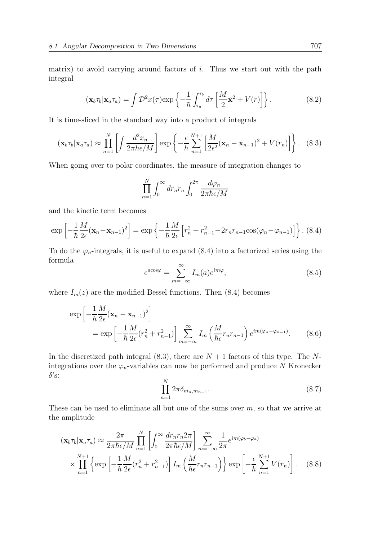matrix) to avoid carrying around factors of  $i$ . Thus we start out with the path integral

$$
(\mathbf{x}_b \tau_b | \mathbf{x}_a \tau_a) = \int \mathcal{D}^2 x(\tau) \exp\left\{-\frac{1}{\hbar} \int_{\tau_a}^{\tau_b} d\tau \left[\frac{M}{2} \dot{\mathbf{x}}^2 + V(r)\right]\right\}.
$$
 (8.2)

It is time-sliced in the standard way into a product of integrals

$$
(\mathbf{x}_b \tau_b | \mathbf{x}_a \tau_a) \approx \prod_{n=1}^N \left[ \int \frac{d^2 x_n}{2 \pi \hbar \epsilon / M} \right] \exp \left\{ -\frac{\epsilon}{\hbar} \sum_{n=1}^{N+1} \left[ \frac{M}{2 \epsilon^2} (\mathbf{x}_n - \mathbf{x}_{n-1})^2 + V(r_n) \right] \right\}.
$$
 (8.3)

When going over to polar coordinates, the measure of integration changes to

$$
\prod_{n=1}^{N} \int_0^{\infty} dr_n r_n \int_0^{2\pi} \frac{d\varphi_n}{2\pi \hbar \epsilon/M}
$$

and the kinetic term becomes

$$
\exp\left[-\frac{1}{\hbar}\frac{M}{2\epsilon}(\mathbf{x}_{n}-\mathbf{x}_{n-1})^{2}\right]=\exp\left\{-\frac{1}{\hbar}\frac{M}{2\epsilon}\left[r_{n}^{2}+r_{n-1}^{2}-2r_{n}r_{n-1}\cos(\varphi_{n}-\varphi_{n-1})\right]\right\}.
$$
 (8.4)

To do the  $\varphi_n$ -integrals, it is useful to expand (8.4) into a factorized series using the formula

$$
e^{a\cos\varphi} = \sum_{m=-\infty}^{\infty} I_m(a)e^{im\varphi},\tag{8.5}
$$

where  $I_m(z)$  are the modified Bessel functions. Then (8.4) becomes

$$
\exp\left[-\frac{1}{\hbar}\frac{M}{2\epsilon}(\mathbf{x}_n - \mathbf{x}_{n-1})^2\right]
$$
  
= 
$$
\exp\left[-\frac{1}{\hbar}\frac{M}{2\epsilon}(r_n^2 + r_{n-1}^2)\right] \sum_{m=-\infty}^{\infty} I_m\left(\frac{M}{\hbar\epsilon}r_n r_{n-1}\right) e^{im(\varphi_n - \varphi_{n-1})}.
$$
 (8.6)

In the discretized path integral  $(8.3)$ , there are  $N + 1$  factors of this type. The Nintegrations over the  $\varphi_n$ -variables can now be performed and produce N Kronecker  $\delta$ 's:

$$
\prod_{n=1}^{N} 2\pi \delta_{m_n, m_{n-1}}.
$$
\n(8.7)

These can be used to eliminate all but one of the sums over  $m$ , so that we arrive at the amplitude

$$
(\mathbf{x}_b \tau_b | \mathbf{x}_a \tau_a) \approx \frac{2\pi}{2\pi \hbar \epsilon/M} \prod_{n=1}^N \left[ \int_0^\infty \frac{dr_n r_n 2\pi}{2\pi \hbar \epsilon/M} \right] \sum_{m=-\infty}^\infty \frac{1}{2\pi} e^{im(\varphi_b - \varphi_a)} \times \prod_{n=1}^{N+1} \left\{ \exp\left[ -\frac{1}{\hbar} \frac{M}{2\epsilon} (r_n^2 + r_{n-1}^2) \right] I_m \left( \frac{M}{\hbar \epsilon} r_n r_{n-1} \right) \right\} \exp\left[ -\frac{\epsilon}{\hbar} \sum_{n=1}^{N+1} V(r_n) \right]. \tag{8.8}
$$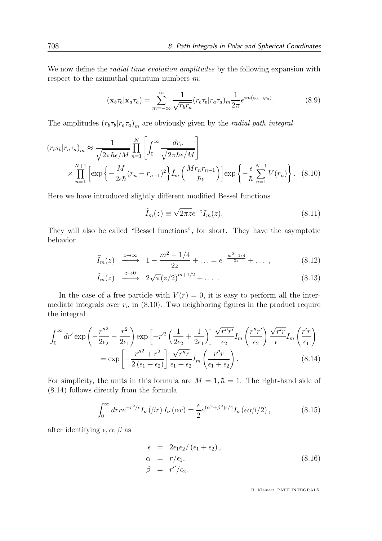We now define the *radial time evolution amplitudes* by the following expansion with respect to the azimuthal quantum numbers  $m$ :

$$
(\mathbf{x}_b \tau_b | \mathbf{x}_a \tau_a) = \sum_{m=-\infty}^{\infty} \frac{1}{\sqrt{r_b r_a}} (r_b \tau_b | r_a \tau_a)_{m} \frac{1}{2\pi} e^{im(\varphi_b - \varphi_a)}.
$$
(8.9)

The amplitudes  $(r_b\tau_b|r_a\tau_a)_m$  are obviously given by the *radial path integral* 

$$
(r_b \tau_b | r_a \tau_a)_m \approx \frac{1}{\sqrt{2\pi\hbar\epsilon/M}} \prod_{n=1}^N \left[ \int_0^\infty \frac{dr_n}{\sqrt{2\pi\hbar\epsilon/M}} \right]
$$

$$
\times \prod_{n=1}^{N+1} \left[ \exp\left\{-\frac{M}{2\epsilon\hbar} (r_n - r_{n-1})^2\right\} \tilde{I}_m \left(\frac{Mr_n r_{n-1}}{\hbar\epsilon}\right) \right] \exp\left\{-\frac{\epsilon}{\hbar} \sum_{n=1}^{N+1} V(r_n)\right\}.
$$
 (8.10)

Here we have introduced slightly different modified Bessel functions

$$
\tilde{I}_m(z) \equiv \sqrt{2\pi z} e^{-z} I_m(z). \tag{8.11}
$$

They will also be called "Bessel functions", for short. They have the asymptotic behavior

$$
\tilde{I}_m(z) \xrightarrow{z \to \infty} 1 - \frac{m^2 - 1/4}{2z} + \ldots = e^{-\frac{m^2 - 1/4}{2z}} + \ldots,
$$
\n(8.12)

$$
\tilde{I}_m(z) \xrightarrow{z \to 0} 2\sqrt{\pi}(z/2)^{m+1/2} + \dots \tag{8.13}
$$

In the case of a free particle with  $V(r) = 0$ , it is easy to perform all the intermediate integrals over  $r_n$  in (8.10). Two neighboring figures in the product require the integral

$$
\int_0^\infty dr' \exp\left(-\frac{r''^2}{2\epsilon_2} - \frac{r^2}{2\epsilon_1}\right) \exp\left[-r'^2\left(\frac{1}{2\epsilon_2} + \frac{1}{2\epsilon_1}\right)\right] \frac{\sqrt{r''r'}}{\epsilon_2} I_m\left(\frac{r''r'}{\epsilon_2}\right) \frac{\sqrt{r'r}}{\epsilon_1} I_m\left(\frac{r'r}{\epsilon_1}\right)
$$

$$
= \exp\left[-\frac{r''^2 + r^2}{2\left(\epsilon_1 + \epsilon_2\right)}\right] \frac{\sqrt{r''r}}{\epsilon_1 + \epsilon_2} I_m\left(\frac{r''r}{\epsilon_1 + \epsilon_2}\right). \tag{8.14}
$$

For simplicity, the units in this formula are  $M = 1, \hbar = 1$ . The right-hand side of (8.14) follows directly from the formula

$$
\int_0^\infty dr r e^{-r^2/\epsilon} I_\nu(\beta r) I_\nu(\alpha r) = \frac{\epsilon}{2} e^{(\alpha^2 + \beta^2)\epsilon/4} I_\nu(\epsilon \alpha \beta/2), \qquad (8.15)
$$

after identifying  $\epsilon, \alpha, \beta$  as

$$
\epsilon = 2\epsilon_1 \epsilon_2 / (\epsilon_1 + \epsilon_2),
$$
  
\n
$$
\alpha = r/\epsilon_1,
$$
  
\n
$$
\beta = r''/\epsilon_2.
$$
\n(8.16)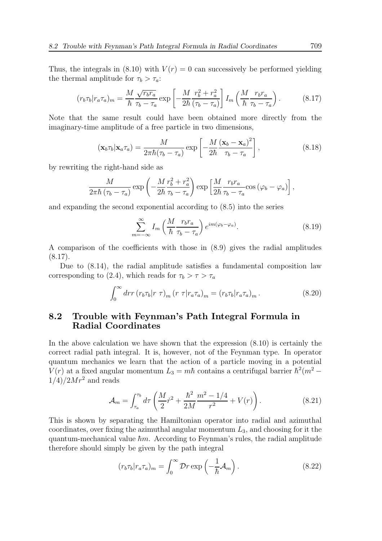Thus, the integrals in (8.10) with  $V(r) = 0$  can successively be performed yielding the thermal amplitude for  $\tau_b > \tau_a$ :

$$
(r_b \tau_b | r_a \tau_a)_m = \frac{M}{\hbar} \frac{\sqrt{r_b r_a}}{\tau_b - \tau_a} \exp\left[ -\frac{M}{2\hbar} \frac{r_b^2 + r_a^2}{(\tau_b - \tau_a)} \right] I_m \left( \frac{M}{\hbar} \frac{r_b r_a}{\tau_b - \tau_a} \right). \tag{8.17}
$$

Note that the same result could have been obtained more directly from the imaginary-time amplitude of a free particle in two dimensions,

$$
(\mathbf{x}_b \tau_b | \mathbf{x}_a \tau_a) = \frac{M}{2\pi\hbar(\tau_b - \tau_a)} \exp\left[ -\frac{M}{2\hbar} \frac{(\mathbf{x}_b - \mathbf{x}_a)^2}{\tau_b - \tau_a} \right],
$$
\n(8.18)

by rewriting the right-hand side as

$$
\frac{M}{2\pi\hbar\left(\tau_b-\tau_a\right)}\exp\left(-\frac{M}{2\hbar}\frac{r_b^2+r_a^2}{\tau_b-\tau_a}\right)\exp\left[\frac{M}{2\hbar}\frac{r_b r_a}{\tau_b-\tau_a}\cos\left(\varphi_b-\varphi_a\right)\right],
$$

and expanding the second exponential according to (8.5) into the series

$$
\sum_{m=-\infty}^{\infty} I_m \left( \frac{M}{\hbar} \frac{r_b r_a}{\tau_b - \tau_a} \right) e^{im(\varphi_b - \varphi_a)}.
$$
 (8.19)

A comparison of the coefficients with those in (8.9) gives the radial amplitudes  $(8.17).$ 

Due to (8.14), the radial amplitude satisfies a fundamental composition law corresponding to (2.4), which reads for  $\tau_b > \tau > \tau_a$ 

$$
\int_0^\infty dr r (r_b \tau_b |r \tau)_m (r \tau |r_a \tau_a)_m = (r_b \tau_b |r_a \tau_a)_m. \tag{8.20}
$$

### 8.2 Trouble with Feynman's Path Integral Formula in Radial Coordinates

In the above calculation we have shown that the expression (8.10) is certainly the correct radial path integral. It is, however, not of the Feynman type. In operator quantum mechanics we learn that the action of a particle moving in a potential  $V(r)$  at a fixed angular momentum  $L_3 = m\hbar$  contains a centrifugal barrier  $\hbar^2(m^2 1/4)/2Mr^2$  and reads

$$
\mathcal{A}_m = \int_{\tau_a}^{\tau_b} d\tau \left( \frac{M}{2} \dot{r}^2 + \frac{\hbar^2}{2M} \frac{m^2 - 1/4}{r^2} + V(r) \right). \tag{8.21}
$$

This is shown by separating the Hamiltonian operator into radial and azimuthal coordinates, over fixing the azimuthal angular momentum  $L_3$ , and choosing for it the quantum-mechanical value  $\hbar m$ . According to Feynman's rules, the radial amplitude therefore should simply be given by the path integral

$$
(r_b \tau_b | r_a \tau_a)_m = \int_0^\infty \mathcal{D}r \exp\left(-\frac{1}{\hbar} \mathcal{A}_m\right). \tag{8.22}
$$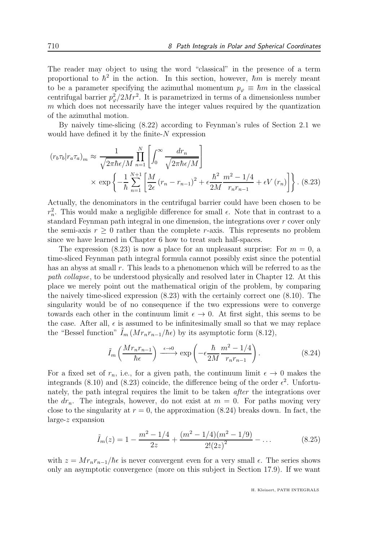The reader may object to using the word "classical" in the presence of a term proportional to  $\hbar^2$  in the action. In this section, however,  $\hbar m$  is merely meant to be a parameter specifying the azimuthal momentum  $p_{\varphi} \equiv \hbar m$  in the classical centrifugal barrier  $p_{\varphi}^2/2Mr^2$ . It is parametrized in terms of a dimensionless number  $m$  which does not necessarily have the integer values required by the quantization of the azimuthal motion.

By naively time-slicing (8.22) according to Feynman's rules of Section 2.1 we would have defined it by the finite- $N$  expression

$$
(r_b \tau_b | r_a \tau_a)_m \approx \frac{1}{\sqrt{2\pi\hbar\epsilon/M}} \prod_{n=1}^N \left[ \int_0^\infty \frac{dr_n}{\sqrt{2\pi\hbar\epsilon/M}} \right]
$$

$$
\times \exp\left\{-\frac{1}{\hbar} \sum_{n=1}^{N+1} \left[ \frac{M}{2\epsilon} (r_n - r_{n-1})^2 + \epsilon \frac{\hbar^2}{2M} \frac{m^2 - 1/4}{r_n r_{n-1}} + \epsilon V(r_n) \right] \right\}. (8.23)
$$

Actually, the denominators in the centrifugal barrier could have been chosen to be  $r_n^2$ . This would make a negligible difference for small  $\epsilon$ . Note that in contrast to a standard Feynman path integral in one dimension, the integrations over  $r$  cover only the semi-axis  $r \geq 0$  rather than the complete r-axis. This represents no problem since we have learned in Chapter 6 how to treat such half-spaces.

The expression (8.23) is now a place for an unpleasant surprise: For  $m = 0$ , a time-sliced Feynman path integral formula cannot possibly exist since the potential has an abyss at small r. This leads to a phenomenon which will be referred to as the path collapse, to be understood physically and resolved later in Chapter 12. At this place we merely point out the mathematical origin of the problem, by comparing the naively time-sliced expression (8.23) with the certainly correct one (8.10). The singularity would be of no consequence if the two expressions were to converge towards each other in the continuum limit  $\epsilon \to 0$ . At first sight, this seems to be the case. After all,  $\epsilon$  is assumed to be infinitesimally small so that we may replace the "Bessel function"  $I_m (Mr_n r_{n-1}/\hbar \epsilon)$  by its asymptotic form (8.12),

$$
\tilde{I}_m\left(\frac{Mr_nr_{n-1}}{\hbar\epsilon}\right) \xrightarrow{\epsilon \to 0} \exp\left(-\epsilon \frac{\hbar}{2M} \frac{m^2 - 1/4}{r_nr_{n-1}}\right). \tag{8.24}
$$

For a fixed set of  $r_n$ , i.e., for a given path, the continuum limit  $\epsilon \to 0$  makes the integrands (8.10) and (8.23) coincide, the difference being of the order  $\epsilon^2$ . Unfortunately, the path integral requires the limit to be taken after the integrations over the  $dr_n$ . The integrals, however, do not exist at  $m = 0$ . For paths moving very close to the singularity at  $r = 0$ , the approximation (8.24) breaks down. In fact, the large-z expansion

$$
\tilde{I}_m(z) = 1 - \frac{m^2 - 1/4}{2z} + \frac{(m^2 - 1/4)(m^2 - 1/9)}{2!(2z)^2} - \dots
$$
\n(8.25)

with  $z = Mr_n r_{n-1}/\hbar \epsilon$  is never convergent even for a very small  $\epsilon$ . The series shows only an asymptotic convergence (more on this subject in Section 17.9). If we want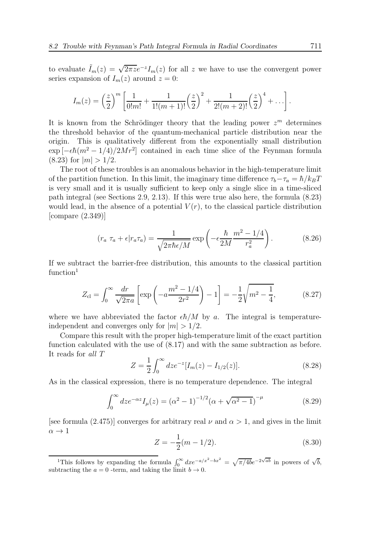to evaluate  $\tilde{I}_m(z) = \sqrt{2\pi z}e^{-z}I_m(z)$  for all z we have to use the convergent power series expansion of  $I_m(z)$  around  $z = 0$ :

$$
I_m(z) = \left(\frac{z}{2}\right)^m \left[ \frac{1}{0!m!} + \frac{1}{1!(m+1)!} \left(\frac{z}{2}\right)^2 + \frac{1}{2!(m+2)!} \left(\frac{z}{2}\right)^4 + \ldots \right].
$$

It is known from the Schrödinger theory that the leading power  $z<sup>m</sup>$  determines the threshold behavior of the quantum-mechanical particle distribution near the origin. This is qualitatively different from the exponentially small distribution  $\exp\left[-\epsilon\hbar(m^2-1/4)/2Mr^2\right]$  contained in each time slice of the Feynman formula  $(8.23)$  for  $|m| > 1/2$ .

The root of these troubles is an anomalous behavior in the high-temperature limit of the partition function. In this limit, the imaginary time difference  $\tau_b-\tau_a = \hbar/k_BT$ is very small and it is usually sufficient to keep only a single slice in a time-sliced path integral (see Sections 2.9, 2.13). If this were true also here, the formula (8.23) would lead, in the absence of a potential  $V(r)$ , to the classical particle distribution [compare (2.349)]

$$
(r_a \tau_a + \epsilon | r_a \tau_a) = \frac{1}{\sqrt{2\pi\hbar\epsilon/M}} \exp\left(-\epsilon \frac{\hbar}{2M} \frac{m^2 - 1/4}{r_a^2}\right). \tag{8.26}
$$

If we subtract the barrier-free distribution, this amounts to the classical partition function<sup>1</sup>

$$
Z_{\rm cl} = \int_0^\infty \frac{dr}{\sqrt{2\pi a}} \left[ \exp\left( -a \frac{m^2 - 1/4}{2r^2} \right) - 1 \right] = -\frac{1}{2} \sqrt{m^2 - \frac{1}{4}},\tag{8.27}
$$

where we have abbreviated the factor  $\epsilon\hbar/M$  by a. The integral is temperatureindependent and converges only for  $|m| > 1/2$ .

Compare this result with the proper high-temperature limit of the exact partition function calculated with the use of (8.17) and with the same subtraction as before. It reads for all T

$$
Z = \frac{1}{2} \int_0^\infty dz e^{-z} [I_m(z) - I_{1/2}(z)]. \tag{8.28}
$$

As in the classical expression, there is no temperature dependence. The integral

$$
\int_0^\infty dz e^{-\alpha z} I_\mu(z) = (\alpha^2 - 1)^{-1/2} (\alpha + \sqrt{\alpha^2 - 1})^{-\mu}
$$
 (8.29)

[see formula (2.475)] converges for arbitrary real  $\nu$  and  $\alpha > 1$ , and gives in the limit  $\alpha \rightarrow 1$ 

$$
Z = -\frac{1}{2}(m - 1/2). \tag{8.30}
$$

<sup>1</sup>This follows by expanding the formula  $\int_0^\infty dx e^{-a/x^2-bx^2} = \sqrt{\pi/4b}e^{-2\sqrt{ab}}$  in powers of  $\sqrt{b}$ , subtracting the  $a = 0$  -term, and taking the limit  $b \to 0$ .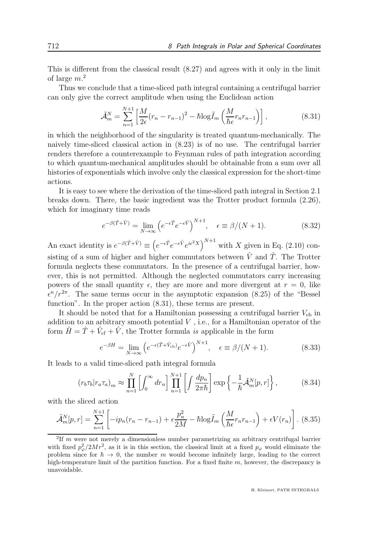This is different from the classical result (8.27) and agrees with it only in the limit of large  $m^2$ 

Thus we conclude that a time-sliced path integral containing a centrifugal barrier can only give the correct amplitude when using the Euclidean action

$$
\tilde{\mathcal{A}}_m^N = \sum_{n=1}^{N+1} \left[ \frac{M}{2\epsilon} (r_n - r_{n-1})^2 - \hbar \log \tilde{I}_m \left( \frac{M}{\hbar \epsilon} r_n r_{n-1} \right) \right],\tag{8.31}
$$

in which the neighborhood of the singularity is treated quantum-mechanically. The naively time-sliced classical action in (8.23) is of no use. The centrifugal barrier renders therefore a counterexample to Feynman rules of path integration according to which quantum-mechanical amplitudes should be obtainable from a sum over all histories of exponentials which involve only the classical expression for the short-time actions.

It is easy to see where the derivation of the time-sliced path integral in Section 2.1 breaks down. There, the basic ingredient was the Trotter product formula (2.26), which for imaginary time reads

$$
e^{-\beta(\hat{T}+\hat{V})} = \lim_{N \to \infty} \left( e^{-\epsilon \hat{T}} e^{-\epsilon \hat{V}} \right)^{N+1}, \quad \epsilon \equiv \beta/(N+1). \tag{8.32}
$$

An exact identity is  $e^{-\beta(\hat{T}+\hat{V})} \equiv (e^{-\epsilon \hat{T}} e^{-\epsilon \hat{V}} e^{i\epsilon^2 X})^{N+1}$  with X given in Eq. (2.10) consisting of a sum of higher and higher commutators between  $\hat{V}$  and  $\hat{T}$ . The Trotter formula neglects these commutators. In the presence of a centrifugal barrier, however, this is not permitted. Although the neglected commutators carry increasing powers of the small quantity  $\epsilon$ , they are more and more divergent at  $r = 0$ , like  $\epsilon^{n}/r^{2\pi}$ . The same terms occur in the asymptotic expansion (8.25) of the "Bessel function". In the proper action  $(8.31)$ , these terms are present.

It should be noted that for a Hamiltonian possessing a centrifugal barrier  $V_{cb}$  in addition to an arbitrary smooth potential  $V$  , i.e., for a Hamiltonian operator of the form  $\hat{H} = \hat{T} + \hat{V}_{cf} + \hat{V}$ , the Trotter formula is applicable in the form

$$
e^{-\beta H} = \lim_{N \to \infty} \left( e^{-\epsilon(\hat{T} + \hat{V}_{\text{cb}})} e^{-\epsilon \hat{V}} \right)^{N+1}, \quad \epsilon \equiv \beta/(N+1). \tag{8.33}
$$

It leads to a valid time-sliced path integral formula

$$
(r_b \tau_b | r_a \tau_a)_m \approx \prod_{n=1}^N \left[ \int_0^\infty dr_n \right] \prod_{n=1}^{N+1} \left[ \int \frac{dp_n}{2\pi\hbar} \right] \exp\left\{ -\frac{1}{\hbar} \tilde{\mathcal{A}}_m^N[p, r] \right\},\tag{8.34}
$$

with the sliced action

$$
\tilde{\mathcal{A}}_m^N[p,r] = \sum_{n=1}^{N+1} \left[ -ip_n(r_n - r_{n-1}) + \epsilon \frac{p_n^2}{2M} - \hbar \log \tilde{I}_m \left( \frac{M}{\hbar \epsilon} r_n r_{n-1} \right) + \epsilon V(r_n) \right].
$$
 (8.35)

<sup>&</sup>lt;sup>2</sup>If m were not merely a dimensionless number parametrizing an arbitrary centrifugal barrier with fixed  $p^2_{\varphi}/2Mr^2$ , as it is in this section, the classical limit at a fixed  $p_{\varphi}$  would eliminate the problem since for  $\hbar \to 0$ , the number m would become infinitely large, leading to the correct high-temperature limit of the partition function. For a fixed finite  $m$ , however, the discrepancy is unavoidable.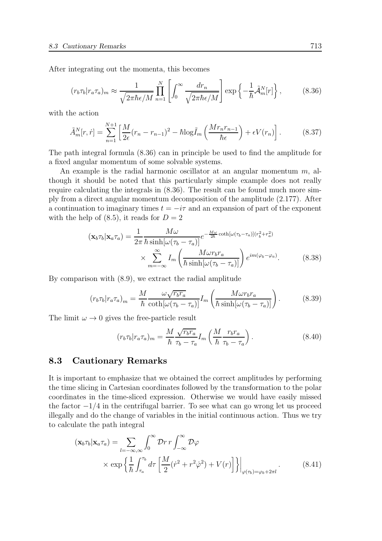After integrating out the momenta, this becomes

$$
(r_b \tau_b | r_a \tau_a)_m \approx \frac{1}{\sqrt{2\pi\hbar\epsilon/M}} \prod_{n=1}^N \left[ \int_0^\infty \frac{dr_n}{\sqrt{2\pi\hbar\epsilon/M}} \right] \exp\left\{-\frac{1}{\hbar} \tilde{\mathcal{A}}_m^N[r]\right\},\tag{8.36}
$$

with the action

$$
\tilde{A}_m^N[r,\dot{r}] = \sum_{n=1}^{N+1} \left[ \frac{M}{2\epsilon} (r_n - r_{n-1})^2 - \hbar \log \tilde{I}_m \left( \frac{Mr_n r_{n-1}}{\hbar \epsilon} \right) + \epsilon V(r_n) \right]. \tag{8.37}
$$

The path integral formula (8.36) can in principle be used to find the amplitude for a fixed angular momentum of some solvable systems.

An example is the radial harmonic oscillator at an angular momentum  $m$ , although it should be noted that this particularly simple example does not really require calculating the integrals in (8.36). The result can be found much more simply from a direct angular momentum decomposition of the amplitude (2.177). After a continuation to imaginary times  $t = -i\tau$  and an expansion of part of the exponent with the help of  $(8.5)$ , it reads for  $D = 2$ 

$$
\left(\mathbf{x}_{b}\tau_{b}\middle|\mathbf{x}_{a}\tau_{a}\right) = \frac{1}{2\pi} \frac{M\omega}{\hbar \sinh\left[\omega\left(\tau_{b}-\tau_{a}\right)\right]} e^{-\frac{M\omega}{2\hbar} \coth\left[\omega\left(\tau_{b}-\tau_{a}\right)\right] \left(r_{b}^{2}+r_{a}^{2}\right)} \times \sum_{m=-\infty}^{\infty} I_{m} \left(\frac{M\omega r_{b}r_{a}}{\hbar \sinh\left[\omega\left(\tau_{b}-\tau_{a}\right)\right]}\right) e^{im(\varphi_{b}-\varphi_{a})}.
$$
\n(8.38)

By comparison with (8.9), we extract the radial amplitude

$$
(r_b \tau_b | r_a \tau_a)_m = \frac{M}{\hbar} \frac{\omega \sqrt{r_b r_a}}{\coth[\omega(\tau_b - \tau_a)]} I_m \left( \frac{M \omega r_b r_a}{\hbar \sinh[\omega(\tau_b - \tau_a)]} \right). \tag{8.39}
$$

The limit  $\omega \rightarrow 0$  gives the free-particle result

$$
(r_b \tau_b | r_a \tau_a)_m = \frac{M}{\hbar} \frac{\sqrt{r_b r_a}}{\tau_b - \tau_a} I_m \left( \frac{M}{\hbar} \frac{r_b r_a}{\tau_b - \tau_a} \right). \tag{8.40}
$$

#### 8.3 Cautionary Remarks

It is important to emphasize that we obtained the correct amplitudes by performing the time slicing in Cartesian coordinates followed by the transformation to the polar coordinates in the time-sliced expression. Otherwise we would have easily missed the factor  $-1/4$  in the centrifugal barrier. To see what can go wrong let us proceed illegally and do the change of variables in the initial continuous action. Thus we try to calculate the path integral

$$
(\mathbf{x}_b \tau_b | \mathbf{x}_a \tau_a) = \sum_{l=-\infty, \infty} \int_0^{\infty} \mathcal{D}r \, r \int_{-\infty}^{\infty} \mathcal{D}\varphi
$$
  
 
$$
\times \exp \left\{ \frac{1}{\hbar} \int_{\tau_a}^{\tau_b} d\tau \left[ \frac{M}{2} (\dot{r}^2 + r^2 \dot{\varphi}^2) + V(r) \right] \right\} \Big|_{\varphi(\tau_b) = \varphi_b + 2\pi l} . \tag{8.41}
$$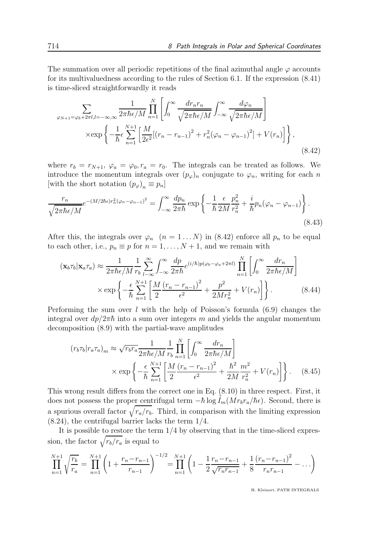The summation over all periodic repetitions of the final azimuthal angle  $\varphi$  accounts for its multivaluedness according to the rules of Section 6.1. If the expression (8.41) is time-sliced straightforwardly it reads

$$
\sum_{\varphi_{N+1}=\varphi_b+2\pi l, l=-\infty, \infty} \frac{1}{2\pi\hbar\epsilon/M} \prod_{n=1}^N \left[ \int_0^\infty \frac{dr_n r_n}{\sqrt{2\pi\hbar\epsilon/M}} \int_{-\infty}^\infty \frac{d\varphi_n}{\sqrt{2\pi\hbar\epsilon/M}} \right]
$$

$$
\times \exp\left\{-\frac{1}{\hbar}\epsilon \sum_{n=1}^{N+1} \left[\frac{M}{2\epsilon^2}[(r_n - r_{n-1})^2 + r_n^2(\varphi_n - \varphi_{n-1})^2] + V(r_n)\right]\right\},\tag{8.42}
$$

where  $r_b = r_{N+1}$ ,  $\varphi_a = \varphi_0$ ,  $r_a = r_0$ . The integrals can be treated as follows. We introduce the momentum integrals over  $(p_{\varphi})_n$  conjugate to  $\varphi_n$ , writing for each n [with the short notation  $(p_{\varphi})_n \equiv p_n$ ]

$$
\frac{r_n}{\sqrt{2\pi\hbar\epsilon/M}}e^{-(M/2\hbar\epsilon)r_n^2(\varphi_n-\varphi_{n-1})^2} = \int_{-\infty}^{\infty} \frac{dp_n}{2\pi\hbar} \exp\left\{-\frac{1}{\hbar}\frac{\epsilon}{2M}\frac{p_n^2}{r_n^2} + \frac{i}{\hbar}p_n(\varphi_n-\varphi_{n-1})\right\}.
$$
\n(8.43)

After this, the integrals over  $\varphi_n$   $(n = 1 ... N)$  in (8.42) enforce all  $p_n$  to be equal to each other, i.e.,  $p_n \equiv p$  for  $n = 1, ..., N + 1$ , and we remain with

$$
(\mathbf{x}_b \tau_b | \mathbf{x}_a \tau_a) \approx \frac{1}{2\pi \hbar \epsilon / M} \frac{1}{r_b} \sum_{l-\infty}^{\infty} \int_{-\infty}^{\infty} \frac{dp}{2\pi \hbar} e^{(i/\hbar)p(\varphi_b - \varphi_a + 2\pi l)} \prod_{n=1}^N \left[ \int_0^{\infty} \frac{dr_n}{2\pi \hbar \epsilon / M} \right]
$$

$$
\times \exp \left\{ -\frac{\epsilon}{\hbar} \sum_{n=1}^{N+1} \left[ \frac{M}{2} \frac{(r_n - r_{n-1})^2}{\epsilon^2} + \frac{p^2}{2Mr_n^2} + V(r_n) \right] \right\}. \tag{8.44}
$$

Performing the sum over l with the help of Poisson's formula  $(6.9)$  changes the integral over  $dp/2\pi\hbar$  into a sum over integers m and yields the angular momentum decomposition (8.9) with the partial-wave amplitudes

$$
(r_b \tau_b | r_a \tau_a)_m \approx \sqrt{r_b r_a} \frac{1}{2\pi \hbar \epsilon / M} \frac{1}{r_b} \prod_{n=1}^N \left[ \int_0^\infty \frac{dr_n}{2\pi \hbar \epsilon / M} \right]
$$

$$
\times \exp \left\{ -\frac{\epsilon}{\hbar} \sum_{n=1}^{N+1} \left[ \frac{M}{2} \frac{(r_n - r_{n-1})^2}{\epsilon^2} + \frac{\hbar^2}{2M} \frac{m^2}{r_n^2} + V(r_n) \right] \right\}. \tag{8.45}
$$

This wrong result differs from the correct one in Eq. (8.10) in three respect. First, it does not possess the proper centrifugal term  $-\hbar \log I_m(Mr_br_a/\hbar\epsilon)$ . Second, there is a spurious overall factor  $\sqrt{r_a/r_b}$ . Third, in comparison with the limiting expression (8.24), the centrifugal barrier lacks the term 1/4.

It is possible to restore the term  $1/4$  by observing that in the time-sliced expression, the factor  $\sqrt{r_b/r_a}$  is equal to

$$
\prod_{n=1}^{N+1} \sqrt{\frac{r_b}{r_a}} = \prod_{n=1}^{N+1} \left( 1 + \frac{r_n - r_{n-1}}{r_{n-1}} \right)^{-1/2} = \prod_{n=1}^{N+1} \left( 1 - \frac{1}{2} \frac{r_n - r_{n-1}}{\sqrt{r_n r_{n-1}}} + \frac{1}{8} \frac{(r_n - r_{n-1})^2}{r_n r_{n-1}} - \dots \right)
$$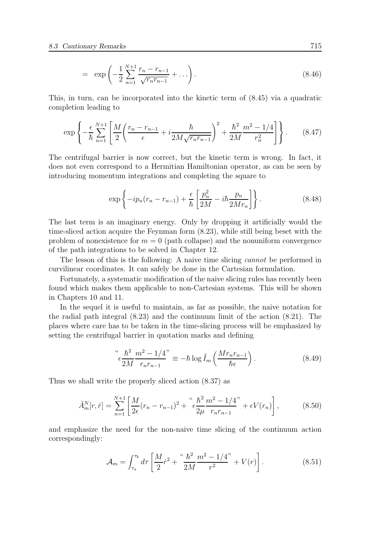$$
= \exp\left(-\frac{1}{2}\sum_{n=1}^{N+1} \frac{r_n - r_{n-1}}{\sqrt{r_n r_{n-1}}} + \ldots\right).
$$
 (8.46)

This, in turn, can be incorporated into the kinetic term of (8.45) via a quadratic completion leading to

$$
\exp\left\{-\frac{\epsilon}{\hbar}\sum_{n=1}^{N+1}\left[\frac{M}{2}\left(\frac{r_n - r_{n-1}}{\epsilon} + i\frac{\hbar}{2M\sqrt{r_n r_{n-1}}}\right)^2 + \frac{\hbar^2}{2M}\frac{m^2 - 1/4}{r_n^2}\right]\right\}.
$$
 (8.47)

The centrifugal barrier is now correct, but the kinetic term is wrong. In fact, it does not even correspond to a Hermitian Hamiltonian operator, as can be seen by introducing momentum integrations and completing the square to

$$
\exp\left\{-ip_n(r_n - r_{n-1}) + \frac{\epsilon}{\hbar} \left[\frac{p_n^2}{2M} - i\hbar \frac{p_n}{2Mr_n}\right]\right\}.
$$
\n(8.48)

The last term is an imaginary energy. Only by dropping it artificially would the time-sliced action acquire the Feynman form (8.23), while still being beset with the problem of nonexistence for  $m = 0$  (path collapse) and the nonuniform convergence of the path integrations to be solved in Chapter 12.

The lesson of this is the following: A naive time slicing cannot be performed in curvilinear coordinates. It can safely be done in the Cartesian formulation.

Fortunately, a systematic modification of the naive slicing rules has recently been found which makes them applicable to non-Cartesian systems. This will be shown in Chapters 10 and 11.

In the sequel it is useful to maintain, as far as possible, the naive notation for the radial path integral (8.23) and the continuum limit of the action (8.21). The places where care has to be taken in the time-slicing process will be emphasized by setting the centrifugal barrier in quotation marks and defining

$$
\int_{\epsilon}^{a} \frac{\hbar^2}{2M} \frac{m^2 - 1/4}{r_n r_{n-1}} \equiv -\hbar \log \tilde{I}_m \left( \frac{Mr_n r_{n-1}}{\hbar \epsilon} \right). \tag{8.49}
$$

Thus we shall write the properly sliced action (8.37) as

$$
\tilde{A}_m^N[r,\dot{r}] = \sum_{n=1}^{N+1} \left[ \frac{M}{2\epsilon} (r_n - r_{n-1})^2 + \frac{K^2}{\epsilon^2} \frac{m^2 - 1/4}{r_n r_{n-1}} + \epsilon V(r_n) \right],\tag{8.50}
$$

and emphasize the need for the non-naive time slicing of the continuum action correspondingly:

$$
\mathcal{A}_m = \int_{\tau_a}^{\tau_b} d\tau \left[ \frac{M}{2} \dot{r}^2 + \frac{4\hbar^2}{2M} \frac{m^2 - 1/4}{r^2} + V(r) \right]. \tag{8.51}
$$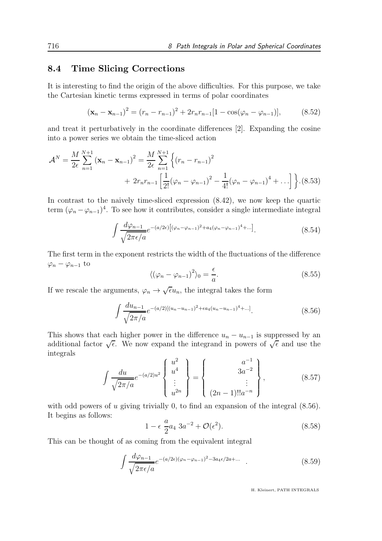#### 8.4 Time Slicing Corrections

It is interesting to find the origin of the above difficulties. For this purpose, we take the Cartesian kinetic terms expressed in terms of polar coordinates

$$
(\mathbf{x}_n - \mathbf{x}_{n-1})^2 = (r_n - r_{n-1})^2 + 2r_n r_{n-1} [1 - \cos(\varphi_n - \varphi_{n-1})], \quad (8.52)
$$

and treat it perturbatively in the coordinate differences [2]. Expanding the cosine into a power series we obtain the time-sliced action

$$
\mathcal{A}^{N} = \frac{M}{2\epsilon} \sum_{n=1}^{N+1} (\mathbf{x}_{n} - \mathbf{x}_{n-1})^{2} = \frac{M}{2\epsilon} \sum_{n=1}^{N+1} \left\{ (r_{n} - r_{n-1})^{2} + 2r_{n}r_{n-1} \left[ \frac{1}{2!} (\varphi_{n} - \varphi_{n-1})^{2} - \frac{1}{4!} (\varphi_{n} - \varphi_{n-1})^{4} + \dots \right] \right\}.
$$
(8.53)

In contrast to the naively time-sliced expression (8.42), we now keep the quartic term  $(\varphi_n - \varphi_{n-1})^4$ . To see how it contributes, consider a single intermediate integral

$$
\int \frac{d\varphi_{n-1}}{\sqrt{2\pi\epsilon/a}} e^{-(a/2\epsilon)\left[(\varphi_n - \varphi_{n-1})^2 + a_4(\varphi_n - \varphi_{n-1})^4 + \ldots\right]}}.\tag{8.54}
$$

The first term in the exponent restricts the width of the fluctuations of the difference  $\varphi_n - \varphi_{n-1}$  to

$$
\langle (\varphi_n - \varphi_{n-1})^2 \rangle_0 = \frac{\epsilon}{a}.\tag{8.55}
$$

If we rescale the arguments,  $\varphi_n \to \sqrt{\epsilon}u_n$ , the integral takes the form

$$
\int \frac{du_{n-1}}{\sqrt{2\pi/a}} e^{-(a/2)[(u_n - u_{n-1})^2 + \epsilon a_4(u_n - u_{n-1})^4 + \ldots]}.
$$
\n(8.56)

This shows that each higher power in the difference  $u_n - u_{n-1}$  is suppressed by an additional factor  $\sqrt{\epsilon}$ . We now expand the integrand in powers of  $\sqrt{\epsilon}$  and use the integrals

$$
\int \frac{du}{\sqrt{2\pi/a}} e^{-(a/2)u^2} \begin{Bmatrix} u^2 \\ u^4 \\ \vdots \\ u^{2n} \end{Bmatrix} = \begin{Bmatrix} a^{-1} \\ 3a^{-2} \\ \vdots \\ (2n-1)!!a^{-n} \end{Bmatrix}, \qquad (8.57)
$$

with odd powers of  $u$  giving trivially 0, to find an expansion of the integral  $(8.56)$ . It begins as follows:

$$
1 - \epsilon \frac{a}{2} a_4 \ 3a^{-2} + \mathcal{O}(\epsilon^2). \tag{8.58}
$$

This can be thought of as coming from the equivalent integral

$$
\int \frac{d\varphi_{n-1}}{\sqrt{2\pi\epsilon/a}} e^{-(a/2\epsilon)(\varphi_n - \varphi_{n-1})^2 - 3a_4\epsilon/2a + \dots} \quad . \tag{8.59}
$$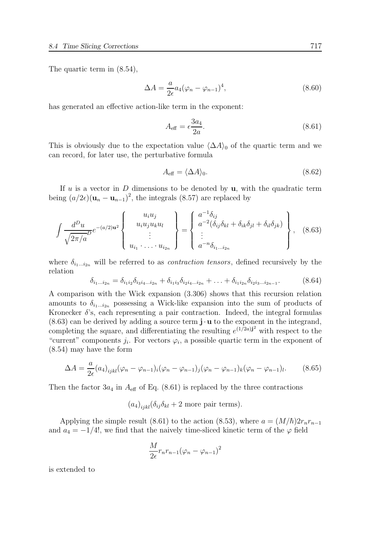The quartic term in (8.54),

$$
\Delta A = \frac{a}{2\epsilon} a_4 (\varphi_n - \varphi_{n-1})^4, \qquad (8.60)
$$

has generated an effective action-like term in the exponent:

$$
A_{\text{eff}} = \epsilon \frac{3a_4}{2a}.\tag{8.61}
$$

This is obviously due to the expectation value  $\langle \Delta A \rangle_0$  of the quartic term and we can record, for later use, the perturbative formula

$$
A_{\text{eff}} = \langle \Delta A \rangle_0. \tag{8.62}
$$

If u is a vector in  $D$  dimensions to be denoted by  $\mathbf{u}$ , with the quadratic term being  $(a/2\epsilon)(\mathbf{u}_n - \mathbf{u}_{n-1})^2$ , the integrals (8.57) are replaced by

$$
\int \frac{d^D u}{\sqrt{2\pi/a}} e^{-(a/2)u^2} \begin{Bmatrix} u_i u_j \\ u_i u_j u_k u_l \\ \vdots \\ u_{i_1} \cdots u_{i_{2n}} \end{Bmatrix} = \begin{Bmatrix} a^{-1} \delta_{ij} \\ a^{-2} (\delta_{ij} \delta_{kl} + \delta_{ik} \delta_{jl} + \delta_{il} \delta_{jk}) \\ \vdots \\ a^{-n} \delta_{i_1 \cdots i_{2n}} \end{Bmatrix}, \quad (8.63)
$$

where  $\delta_{i_1...i_{2n}}$  will be referred to as *contraction tensors*, defined recursively by the relation

$$
\delta_{i_1\ldots i_{2n}} = \delta_{i_1 i_2} \delta_{i_3 i_4 \ldots i_{2n}} + \delta_{i_1 i_3} \delta_{i_2 i_4 \ldots i_{2n}} + \ldots + \delta_{i_1 i_{2n}} \delta_{i_2 i_3 \ldots i_{2n-1}}.
$$
\n(8.64)

A comparison with the Wick expansion (3.306) shows that this recursion relation amounts to  $\delta_{i_1...i_{2n}}$  possessing a Wick-like expansion into the sum of products of Kronecker  $\delta$ 's, each representing a pair contraction. Indeed, the integral formulas  $(8.63)$  can be derived by adding a source term  $\mathbf{j} \cdot \mathbf{u}$  to the exponent in the integrand, completing the square, and differentiating the resulting  $e^{(1/2a)}$  with respect to the "current" components  $j_i$ . For vectors  $\varphi_i$ , a possible quartic term in the exponent of (8.54) may have the form

$$
\Delta A = \frac{a}{2\epsilon} (a_4)_{ijkl} (\varphi_n - \varphi_{n-1})_i (\varphi_n - \varphi_{n-1})_j (\varphi_n - \varphi_{n-1})_k (\varphi_n - \varphi_{n-1})_l. \tag{8.65}
$$

Then the factor  $3a_4$  in  $A_{\text{eff}}$  of Eq. (8.61) is replaced by the three contractions

 $(a_4)_{ijkl} (\delta_{ij} \delta_{kl} + 2$  more pair terms).

Applying the simple result (8.61) to the action (8.53), where  $a = (M/\hbar)2r_nr_{n-1}$ and  $a_4 = -1/4!$ , we find that the naively time-sliced kinetic term of the  $\varphi$  field

$$
\frac{M}{2\epsilon}r_nr_{n-1}(\varphi_n-\varphi_{n-1})^2
$$

is extended to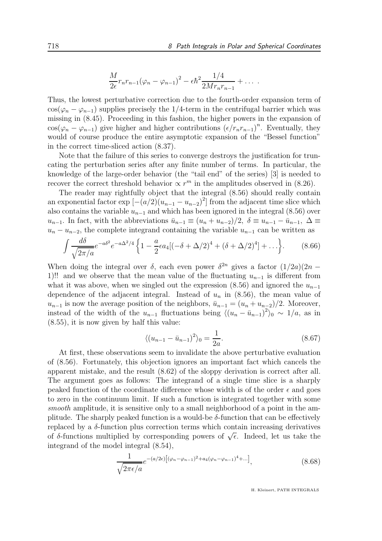$$
\frac{M}{2\epsilon}r_n r_{n-1} (\varphi_n - \varphi_{n-1})^2 - \epsilon \hbar^2 \frac{1/4}{2Mr_n r_{n-1}} + \ldots
$$

Thus, the lowest perturbative correction due to the fourth-order expansion term of  $\cos(\varphi_n - \varphi_{n-1})$  supplies precisely the 1/4-term in the centrifugal barrier which was missing in (8.45). Proceeding in this fashion, the higher powers in the expansion of  $cos(\varphi_n - \varphi_{n-1})$  give higher and higher contributions  $(\epsilon/r_nr_{n-1})^n$ . Eventually, they would of course produce the entire asymptotic expansion of the "Bessel function" in the correct time-sliced action (8.37).

Note that the failure of this series to converge destroys the justification for truncating the perturbation series after any finite number of terms. In particular, the knowledge of the large-order behavior (the "tail end" of the series) [3] is needed to recover the correct threshold behavior  $\propto r^m$  in the amplitudes observed in (8.26).

The reader may rightfully object that the integral (8.56) should really contain an exponential factor  $\exp \left[-(a/2)(u_{n-1} - u_{n-2})^2\right]$  from the adjacent time slice which also contains the variable  $u_{n-1}$  and which has been ignored in the integral (8.56) over  $u_{n-1}$ . In fact, with the abbreviations  $\bar{u}_{n-1} \equiv (u_n + u_{n-2})/2$ ,  $\delta \equiv u_{n-1} - \bar{u}_{n-1}$ ,  $\Delta \equiv$  $u_n - u_{n-2}$ , the complete integrand containing the variable  $u_{n-1}$  can be written as

$$
\int \frac{d\delta}{\sqrt{2\pi/a}} e^{-a\delta^2} e^{-a\Delta^2/4} \left\{ 1 - \frac{a}{2} \epsilon a_4 [(-\delta + \Delta/2)^4 + (\delta + \Delta/2)^4] + \ldots \right\}.
$$
 (8.66)

When doing the integral over  $\delta$ , each even power  $\delta^{2n}$  gives a factor  $(1/2a)(2n -$ 1)!! and we observe that the mean value of the fluctuating  $u_{n-1}$  is different from what it was above, when we singled out the expression (8.56) and ignored the  $u_{n-1}$ dependence of the adjacent integral. Instead of  $u_n$  in (8.56), the mean value of  $u_{n-1}$  is now the average position of the neighbors,  $\bar{u}_{n-1} = (u_n + u_{n-2})/2$ . Moreover, instead of the width of the  $u_{n-1}$  fluctuations being  $\langle (u_n - \bar{u}_{n-1})^2 \rangle_0 \sim 1/a$ , as in (8.55), it is now given by half this value:

$$
\langle (u_{n-1} - \bar{u}_{n-1})^2 \rangle_0 = \frac{1}{2a}.\tag{8.67}
$$

At first, these observations seem to invalidate the above perturbative evaluation of (8.56). Fortunately, this objection ignores an important fact which cancels the apparent mistake, and the result (8.62) of the sloppy derivation is correct after all. The argument goes as follows: The integrand of a single time slice is a sharply peaked function of the coordinate difference whose width is of the order  $\epsilon$  and goes to zero in the continuum limit. If such a function is integrated together with some smooth amplitude, it is sensitive only to a small neighborhood of a point in the amplitude. The sharply peaked function is a would-be  $\delta$ -function that can be effectively replaced by a  $\delta$ -function plus correction terms which contain increasing derivatives of  $\delta$ -functions multiplied by corresponding powers of  $\sqrt{\epsilon}$ . Indeed, let us take the integrand of the model integral (8.54),

$$
\frac{1}{\sqrt{2\pi\epsilon/a}}e^{-(a/2\epsilon)\left[(\varphi_n-\varphi_{n-1})^2+a_4(\varphi_n-\varphi_{n-1})^4+\ldots\right]},
$$
\n(8.68)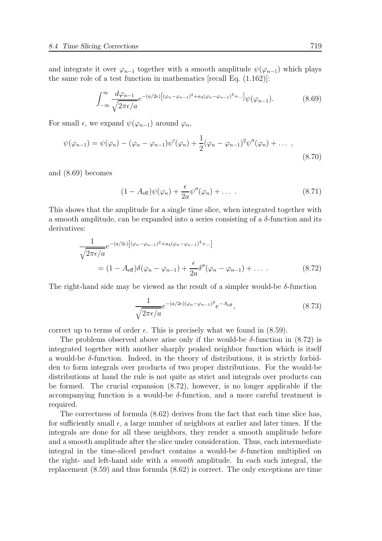and integrate it over  $\varphi_{n-1}$  together with a smooth amplitude  $\psi(\varphi_{n-1})$  which plays the same role of a test function in mathematics [recall Eq. (1.162)]:

$$
\int_{-\infty}^{\infty} \frac{d\varphi_{n-1}}{\sqrt{2\pi\epsilon/a}} e^{-(a/2\epsilon)\left[ (\varphi_n - \varphi_{n-1})^2 + a_4(\varphi_n - \varphi_{n-1})^4 + \cdots \right]} \psi(\varphi_{n-1}).
$$
\n(8.69)

For small  $\epsilon$ , we expand  $\psi(\varphi_{n-1})$  around  $\varphi_n$ ,

$$
\psi(\varphi_{n-1}) = \psi(\varphi_n) - (\varphi_n - \varphi_{n-1})\psi'(\varphi_n) + \frac{1}{2}(\varphi_n - \varphi_{n-1})^2\psi''(\varphi_n) + \dots,
$$
\n(8.70)

and (8.69) becomes

$$
(1 - A_{\text{eff}})\psi(\varphi_n) + \frac{\epsilon}{2a}\psi''(\varphi_n) + \dots \tag{8.71}
$$

This shows that the amplitude for a single time slice, when integrated together with a smooth amplitude, can be expanded into a series consisting of a  $\delta$ -function and its derivatives:

$$
\frac{1}{\sqrt{2\pi\epsilon/a}}e^{-(a/2\epsilon)\left[(\varphi_n-\varphi_{n-1})^2+a_4(\varphi_n-\varphi_{n-1})^4+\dots\right]}
$$
\n
$$
= (1-A_{\text{eff}})\delta(\varphi_n-\varphi_{n-1}) + \frac{\epsilon}{2a}\delta''(\varphi_n-\varphi_{n-1}) + \dots \qquad (8.72)
$$

The right-hand side may be viewed as the result of a simpler would-be  $\delta$ -function

$$
\frac{1}{\sqrt{2\pi\epsilon/a}}e^{-(a/2\epsilon)(\varphi_n-\varphi_{n-1})^2}e^{-A_{\text{eff}}},\tag{8.73}
$$

correct up to terms of order  $\epsilon$ . This is precisely what we found in (8.59).

The problems observed above arise only if the would-be  $\delta$ -function in (8.72) is integrated together with another sharply peaked neighbor function which is itself a would-be  $\delta$ -function. Indeed, in the theory of distributions, it is strictly forbidden to form integrals over products of two proper distributions. For the would-be distributions at hand the rule is not quite as strict and integrals over products can be formed. The crucial expansion (8.72), however, is no longer applicable if the accompanying function is a would-be  $\delta$ -function, and a more careful treatment is required.

The correctness of formula (8.62) derives from the fact that each time slice has, for sufficiently small  $\epsilon$ , a large number of neighbors at earlier and later times. If the integrals are done for all these neighbors, they render a smooth amplitude before and a smooth amplitude after the slice under consideration. Thus, each intermediate integral in the time-sliced product contains a would-be  $\delta$ -function multiplied on the right- and left-hand side with a smooth amplitude. In each such integral, the replacement (8.59) and thus formula (8.62) is correct. The only exceptions are time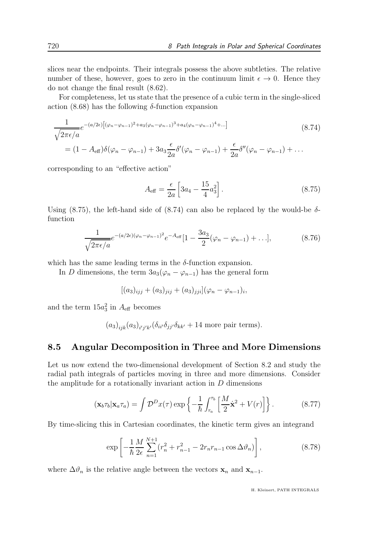slices near the endpoints. Their integrals possess the above subtleties. The relative number of these, however, goes to zero in the continuum limit  $\epsilon \to 0$ . Hence they do not change the final result (8.62).

For completeness, let us state that the presence of a cubic term in the single-sliced action  $(8.68)$  has the following  $\delta$ -function expansion

$$
\frac{1}{\sqrt{2\pi\epsilon/a}}e^{-(a/2\epsilon)\left[(\varphi_n-\varphi_{n-1})^2+a_3(\varphi_n-\varphi_{n-1})^3+a_4(\varphi_n-\varphi_{n-1})^4+\dots\right]}
$$
\n
$$
=(1-A_{\text{eff}})\delta(\varphi_n-\varphi_{n-1})+3a_3\frac{\epsilon}{2a}\delta'(\varphi_n-\varphi_{n-1})+\frac{\epsilon}{2a}\delta''(\varphi_n-\varphi_{n-1})+\dots
$$
\n(8.74)

corresponding to an "effective action"

$$
A_{\text{eff}} = \frac{\epsilon}{2a} \left[ 3a_4 - \frac{15}{4} a_3^2 \right]. \tag{8.75}
$$

Using (8.75), the left-hand side of (8.74) can also be replaced by the would-be  $\delta$ function

$$
\frac{1}{\sqrt{2\pi\epsilon/a}}e^{-(a/2\epsilon)(\varphi_n-\varphi_{n-1})^2}e^{-A_{\text{eff}}}[1-\frac{3a_3}{2}(\varphi_n-\varphi_{n-1})+\ldots],\tag{8.76}
$$

which has the same leading terms in the  $\delta$ -function expansion.

In D dimensions, the term  $3a_3(\varphi_n - \varphi_{n-1})$  has the general form

$$
[(a_3)_{ijj} + (a_3)_{jij} + (a_3)_{jji}](\varphi_n - \varphi_{n-1})_i,
$$

and the term  $15a_3^2$  in  $A_{\text{eff}}$  becomes

 $(a_3)_{ijk}(a_3)_{i'j'k'}(\delta_{ii'}\delta_{jj'}\delta_{kk'} + 14$  more pair terms).

#### 8.5 Angular Decomposition in Three and More Dimensions

Let us now extend the two-dimensional development of Section 8.2 and study the radial path integrals of particles moving in three and more dimensions. Consider the amplitude for a rotationally invariant action in  $D$  dimensions

$$
(\mathbf{x}_b \tau_b | \mathbf{x}_a \tau_a) = \int \mathcal{D}^D x(\tau) \exp \left\{-\frac{1}{\hbar} \int_{\tau_a}^{\tau_b} \left[\frac{M}{2} \dot{\mathbf{x}}^2 + V(r)\right]\right\}.
$$
 (8.77)

By time-slicing this in Cartesian coordinates, the kinetic term gives an integrand

$$
\exp\left[-\frac{1}{\hbar}\frac{M}{2\epsilon}\sum_{n=1}^{N+1}(r_n^2+r_{n-1}^2-2r_nr_{n-1}\cos\Delta\vartheta_n)\right],\tag{8.78}
$$

where  $\Delta \vartheta_n$  is the relative angle between the vectors  $\mathbf{x}_n$  and  $\mathbf{x}_{n-1}$ .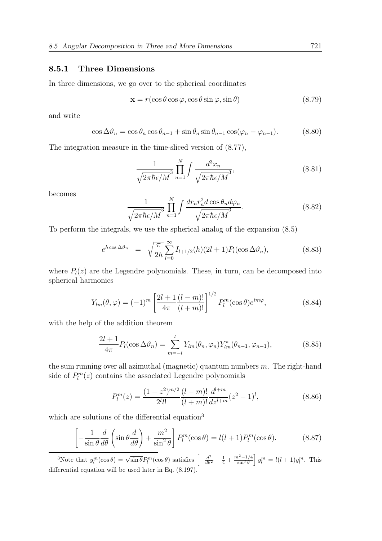#### 8.5.1 Three Dimensions

In three dimensions, we go over to the spherical coordinates

$$
\mathbf{x} = r(\cos \theta \cos \varphi, \cos \theta \sin \varphi, \sin \theta) \tag{8.79}
$$

and write

$$
\cos \Delta \vartheta_n = \cos \theta_n \cos \theta_{n-1} + \sin \theta_n \sin \theta_{n-1} \cos (\varphi_n - \varphi_{n-1}). \tag{8.80}
$$

The integration measure in the time-sliced version of (8.77),

$$
\frac{1}{\sqrt{2\pi\hbar\epsilon/M}^3} \prod_{n=1}^N \int \frac{d^3x_n}{\sqrt{2\pi\hbar\epsilon/M}^3},\tag{8.81}
$$

becomes

$$
\frac{1}{\sqrt{2\pi\hbar\epsilon/M}^3} \prod_{n=1}^N \int \frac{dr_n r_n^2 d\cos\theta_n d\varphi_n}{\sqrt{2\pi\hbar\epsilon/M}^3}.
$$
 (8.82)

To perform the integrals, we use the spherical analog of the expansion (8.5)

$$
e^{h\cos\Delta\vartheta_n} = \sqrt{\frac{\pi}{2h}} \sum_{l=0}^{\infty} I_{l+1/2}(h)(2l+1) P_l(\cos\Delta\vartheta_n), \qquad (8.83)
$$

where  $P_l(z)$  are the Legendre polynomials. These, in turn, can be decomposed into spherical harmonics

$$
Y_{lm}(\theta,\varphi) = (-1)^m \left[ \frac{2l+1}{4\pi} \frac{(l-m)!}{(l+m)!} \right]^{1/2} P_l^m(\cos\theta) e^{im\varphi},\tag{8.84}
$$

with the help of the addition theorem

$$
\frac{2l+1}{4\pi}P_l(\cos\Delta\vartheta_n) = \sum_{m=-l}^{l} Y_{lm}(\theta_n, \varphi_n)Y_{lm}^*(\theta_{n-1}, \varphi_{n-1}),
$$
(8.85)

the sum running over all azimuthal (magnetic) quantum numbers  $m$ . The right-hand side of  $P_l^m(z)$  contains the associated Legendre polynomials

$$
P_l^m(z) = \frac{(1-z^2)^{m/2}}{2^l l!} \frac{(l-m)!}{(l+m)!} \frac{d^{l+m}}{dz^{l+m}} (z^2 - 1)^l,\tag{8.86}
$$

which are solutions of the differential equation<sup>3</sup>

$$
\left[ -\frac{1}{\sin \theta} \frac{d}{d\theta} \left( \sin \theta \frac{d}{d\theta} \right) + \frac{m^2}{\sin^2 \theta} \right] P_l^m(\cos \theta) = l(l+1) P_l^m(\cos \theta). \tag{8.87}
$$

<sup>3</sup>Note that  $y_l^m(\cos\theta) = \sqrt{\sin\theta} P_l^m(\cos\theta)$  satisfies  $\left[-\frac{d^2}{d\theta^2} - \frac{1}{4} + \frac{m^2 - 1/4}{\sin^2\theta}\right] y_l^m = l(l+1)y_l^m$ . This differential equation will be used later in Eq. (8.197).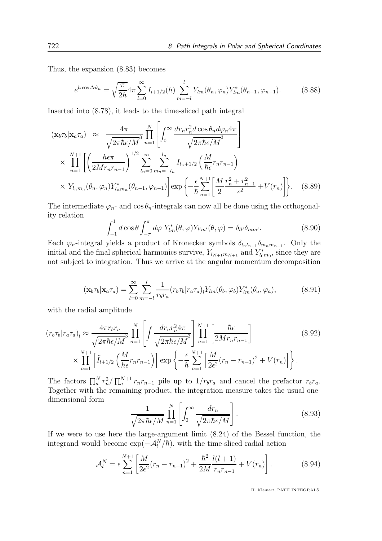Thus, the expansion (8.83) becomes

$$
e^{h\cos\Delta\vartheta_n} = \sqrt{\frac{\pi}{2h}} 4\pi \sum_{l=0}^{\infty} I_{l+1/2}(h) \sum_{m=-l}^{l} Y_{lm}(\theta_n, \varphi_n) Y_{lm}^*(\theta_{n-1}, \varphi_{n-1}).
$$
 (8.88)

Inserted into (8.78), it leads to the time-sliced path integral

$$
(\mathbf{x}_b \tau_b | \mathbf{x}_a \tau_a) \approx \frac{4\pi}{\sqrt{2\pi\hbar\epsilon/M}^3} \prod_{n=1}^N \left[ \int_0^\infty \frac{dr_n r_n^2 d\cos\theta_n d\varphi_n 4\pi}{\sqrt{2\pi\hbar\epsilon/M}^3} \right]
$$
  
 
$$
\times \prod_{n=1}^{N+1} \left[ \left( \frac{\hbar\epsilon\pi}{2Mr_n r_{n-1}} \right)^{1/2} \sum_{l_n=0}^\infty \sum_{m_n=-l_n}^{l_n} I_{l_n+1/2} \left( \frac{M}{\hbar\epsilon} r_n r_{n-1} \right) \right]
$$
  
 
$$
\times Y_{l_n m_n}(\theta_n, \varphi_n) Y_{l_n m_n}^*(\theta_{n-1}, \varphi_{n-1}) \left] \exp\left\{-\frac{\epsilon}{\hbar} \sum_{n=1}^{N+1} \left[ \frac{M}{2} \frac{r_n^2 + r_{n-1}^2}{\epsilon^2} + V(r_n) \right] \right\}.
$$
 (8.89)

The intermediate  $\varphi_n$ - and  $\cos \theta_n$ -integrals can now all be done using the orthogonality relation

$$
\int_{-1}^{1} d\cos\theta \int_{-\pi}^{\pi} d\varphi Y_{lm}^*(\theta, \varphi) Y_{l'm'}(\theta, \varphi) = \delta_{ll'} \delta_{mm'}.
$$
 (8.90)

Each  $\varphi_n$ -integral yields a product of Kronecker symbols  $\delta_{l_n l_{n-1}} \delta_{m_n m_{n-1}}$ . Only the initial and the final spherical harmonics survive,  $Y_{l_{N+1}m_{N+1}}$  and  $Y_{l_{0}m_{0}}^{*}$ , since they are not subject to integration. Thus we arrive at the angular momentum decomposition

$$
(\mathbf{x}_b \tau_b | \mathbf{x}_a \tau_a) = \sum_{l=0}^{\infty} \sum_{m=-l}^{l} \frac{1}{r_b r_a} (r_b \tau_b | r_a \tau_a)_l Y_{lm}(\theta_b, \varphi_b) Y_{lm}^*(\theta_a, \varphi_a), \tag{8.91}
$$

with the radial amplitude

$$
(r_b \tau_b | r_a \tau_a)_l \approx \frac{4 \pi r_b r_a}{\sqrt{2 \pi \hbar \epsilon / M}} \prod_{n=1}^N \left[ \int \frac{dr_n r_n^2 4\pi}{\sqrt{2 \pi \hbar \epsilon / M}} \right] \prod_{n=1}^{N+1} \left[ \frac{\hbar \epsilon}{2Mr_n r_{n-1}} \right]
$$
  
 
$$
\times \prod_{n=1}^{N+1} \left[ \tilde{I}_{l+1/2} \left( \frac{M}{\hbar \epsilon} r_n r_{n-1} \right) \right] \exp \left\{ -\frac{\epsilon}{\hbar} \sum_{n=1}^{N+1} \left[ \frac{M}{2\epsilon^2} (r_n - r_{n-1})^2 + V(r_n) \right] \right\}.
$$
 (8.92)

The factors  $\prod_{a}^{N} r_{n}^{2} / \prod_{a}^{N+1} r_{n} r_{n-1}$  pile up to  $1/r_{b} r_{a}$  and cancel the prefactor  $r_{b} r_{a}$ . Together with the remaining product, the integration measure takes the usual onedimensional form

$$
\frac{1}{\sqrt{2\pi\hbar\epsilon/M}}\prod_{n=1}^{N}\left[\int_{0}^{\infty}\frac{dr_n}{\sqrt{2\pi\hbar\epsilon/M}}\right].
$$
\n(8.93)

If we were to use here the large-argument limit (8.24) of the Bessel function, the integrand would become  $\exp(-\mathcal{A}_l^N/\hbar)$ , with the time-sliced radial action

$$
\mathcal{A}_l^N = \epsilon \sum_{n=1}^{N+1} \left[ \frac{M}{2\epsilon^2} (r_n - r_{n-1})^2 + \frac{\hbar^2}{2M} \frac{l(l+1)}{r_n r_{n-1}} + V(r_n) \right]. \tag{8.94}
$$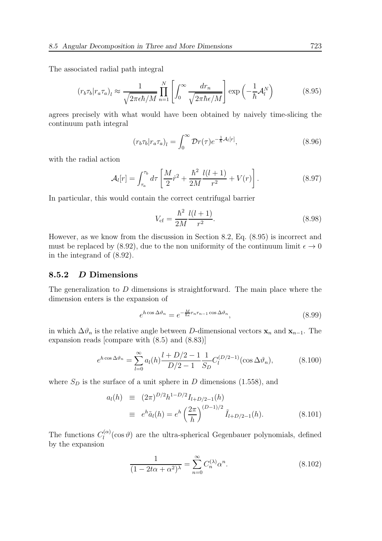The associated radial path integral

$$
(r_b \tau_b | r_a \tau_a)_l \approx \frac{1}{\sqrt{2\pi \epsilon \hbar / M}} \prod_{n=1}^N \left[ \int_0^\infty \frac{dr_n}{\sqrt{2\pi \hbar \epsilon / M}} \right] \exp\left(-\frac{1}{\hbar} \mathcal{A}_l^N\right) \tag{8.95}
$$

agrees precisely with what would have been obtained by naively time-slicing the continuum path integral

$$
(r_b \tau_b | r_a \tau_a)_l = \int_0^\infty \mathcal{D}r(\tau) e^{-\frac{1}{\hbar} \mathcal{A}_l[r]},\tag{8.96}
$$

with the radial action

$$
\mathcal{A}_{l}[r] = \int_{\tau_a}^{\tau_b} d\tau \left[ \frac{M}{2} \dot{r}^2 + \frac{\hbar^2}{2M} \frac{l(l+1)}{r^2} + V(r) \right]. \tag{8.97}
$$

In particular, this would contain the correct centrifugal barrier

$$
V_{\rm cf} = \frac{\hbar^2}{2M} \frac{l(l+1)}{r^2}.
$$
\n(8.98)

However, as we know from the discussion in Section 8.2, Eq. (8.95) is incorrect and must be replaced by (8.92), due to the non uniformity of the continuum limit  $\epsilon \to 0$ in the integrand of (8.92).

#### 8.5.2 D Dimensions

The generalization to D dimensions is straightforward. The main place where the dimension enters is the expansion of

$$
e^{h\cos\Delta\vartheta_n} = e^{-\frac{M}{\hbar\epsilon}r_nr_{n-1}\cos\Delta\vartheta_n},\tag{8.99}
$$

in which  $\Delta \vartheta_n$  is the relative angle between D-dimensional vectors  $\mathbf{x}_n$  and  $\mathbf{x}_{n-1}$ . The expansion reads [compare with (8.5) and (8.83)]

$$
e^{h\cos\Delta\vartheta_n} = \sum_{l=0}^{\infty} a_l(h) \frac{l+D/2-1}{D/2-1} \frac{1}{S_D} C_l^{(D/2-1)}(\cos\Delta\vartheta_n),
$$
 (8.100)

where  $S_D$  is the surface of a unit sphere in  $D$  dimensions (1.558), and

$$
a_l(h) \equiv (2\pi)^{D/2} h^{1-D/2} I_{l+D/2-1}(h)
$$
  

$$
\equiv e^h \tilde{a}_l(h) = e^h \left(\frac{2\pi}{h}\right)^{(D-1)/2} \tilde{I}_{l+D/2-1}(h).
$$
 (8.101)

The functions  $C_l^{(\alpha)}$  $\binom{10}{l}$  (cos  $\vartheta$ ) are the ultra-spherical Gegenbauer polynomials, defined by the expansion

$$
\frac{1}{(1 - 2t\alpha + \alpha^2)^{\lambda}} = \sum_{n=0}^{\infty} C_n^{(\lambda)} \alpha^n.
$$
 (8.102)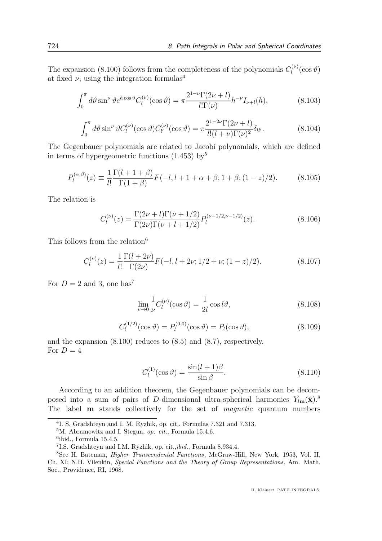The expansion (8.100) follows from the completeness of the polynomials  $C_l^{(\nu)}$  $\int_l^{(\nu)}(\cos\vartheta)$ at fixed  $\nu$ , using the integration formulas<sup>4</sup>

$$
\int_0^\pi d\vartheta \sin^\nu \vartheta e^{h\cos\vartheta} C_l^{(\nu)}(\cos\vartheta) = \pi \frac{2^{1-\nu} \Gamma(2\nu + l)}{l! \Gamma(\nu)} h^{-\nu} I_{\nu+l}(h),\tag{8.103}
$$

$$
\int_0^{\pi} d\vartheta \sin^{\nu} \vartheta C_l^{(\nu)}(\cos \vartheta) C_{l'}^{(\nu)}(\cos \vartheta) = \pi \frac{2^{1-2\nu} \Gamma(2\nu + l)}{l!(l + \nu)\Gamma(\nu)^2} \delta_{ll'}.
$$
 (8.104)

The Gegenbauer polynomials are related to Jacobi polynomials, which are defined in terms of hypergeometric functions  $(1.453)$  by<sup>5</sup>

$$
P_l^{(\alpha,\beta)}(z) \equiv \frac{1}{l!} \frac{\Gamma(l+1+\beta)}{\Gamma(1+\beta)} F(-l,l+1+\alpha+\beta;1+\beta;(1-z)/2). \tag{8.105}
$$

The relation is

$$
C_l^{(\nu)}(z) = \frac{\Gamma(2\nu + l)\Gamma(\nu + 1/2)}{\Gamma(2\nu)\Gamma(\nu + l + 1/2)} P_l^{(\nu - 1/2, \nu - 1/2)}(z). \tag{8.106}
$$

This follows from the relation<sup>6</sup>

$$
C_l^{(\nu)}(z) = \frac{1}{l!} \frac{\Gamma(l+2\nu)}{\Gamma(2\nu)} F(-l, l+2\nu; 1/2+\nu; (1-z)/2). \tag{8.107}
$$

For  $D = 2$  and 3, one has<sup>7</sup>

$$
\lim_{\nu \to 0} \frac{1}{\nu} C_l^{(\nu)}(\cos \vartheta) = \frac{1}{2l} \cos l\vartheta, \tag{8.108}
$$

$$
C_l^{(1/2)}(\cos \vartheta) = P_l^{(0,0)}(\cos \vartheta) = P_l(\cos \vartheta), \qquad (8.109)
$$

and the expansion (8.100) reduces to (8.5) and (8.7), respectively. For  $D=4$ 

$$
C_l^{(1)}(\cos \vartheta) = \frac{\sin(l+1)\beta}{\sin \beta}.
$$
\n(8.110)

According to an addition theorem, the Gegenbauer polynomials can be decomposed into a sum of pairs of D-dimensional ultra-spherical harmonics  $Y_{lm}(\hat{\mathbf{x}})$ .<sup>8</sup> The label **m** stands collectively for the set of *magnetic* quantum numbers

<sup>4</sup> I. S. Gradshteyn and I. M. Ryzhik, op. cit., Formulas 7.321 and 7.313.

<sup>5</sup>M. Abramowitz and I. Stegun, op. cit., Formula 15.4.6.

<sup>6</sup> ibid., Formula 15.4.5.

<sup>&</sup>lt;sup>7</sup>I.S. Gradshteyn and I.M. Ryzhik, op. cit.,ibid., Formula 8.934.4.

<sup>8</sup>See H. Bateman, Higher Transcendental Functions, McGraw-Hill, New York, 1953, Vol. II, Ch. XI; N.H. Vilenkin, Special Functions and the Theory of Group Representations, Am. Math. Soc., Providence, RI, 1968.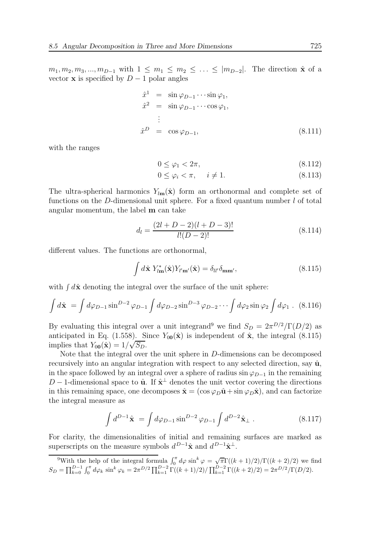$m_1, m_2, m_3, ..., m_{D-1}$  with  $1 \leq m_1 \leq m_2 \leq ... \leq |m_{D-2}|$ . The direction  $\hat{\mathbf{x}}$  of a vector **x** is specified by  $D-1$  polar angles

$$
\hat{x}^{1} = \sin \varphi_{D-1} \cdots \sin \varphi_{1},
$$
\n
$$
\hat{x}^{2} = \sin \varphi_{D-1} \cdots \cos \varphi_{1},
$$
\n
$$
\vdots
$$
\n
$$
\hat{x}^{D} = \cos \varphi_{D-1},
$$
\n(8.111)

with the ranges

$$
0 \le \varphi_1 < 2\pi,\tag{8.112}
$$

$$
0 \le \varphi_i < \pi, \quad i \ne 1. \tag{8.113}
$$

The ultra-spherical harmonics  $Y_{lm}(\hat{x})$  form an orthonormal and complete set of functions on the D-dimensional unit sphere. For a fixed quantum number  $l$  of total angular momentum, the label m can take

$$
d_l = \frac{(2l + D - 2)(l + D - 3)!}{l!(D - 2)!}
$$
\n(8.114)

different values. The functions are orthonormal,

$$
\int d\hat{\mathbf{x}} Y_{l\mathbf{m}}^*(\hat{\mathbf{x}}) Y_{l'\mathbf{m'}}(\hat{\mathbf{x}}) = \delta_{ll'} \delta_{\mathbf{m}\mathbf{m'}},
$$
\n(8.115)

with  $\int d\hat{\mathbf{x}}$  denoting the integral over the surface of the unit sphere:

$$
\int d\hat{\mathbf{x}} = \int d\varphi_{D-1} \sin^{D-2} \varphi_{D-1} \int d\varphi_{D-2} \sin^{D-3} \varphi_{D-2} \cdots \int d\varphi_2 \sin \varphi_2 \int d\varphi_1 . \quad (8.116)
$$

By evaluating this integral over a unit integrand<sup>9</sup> we find  $S_D = 2\pi^{D/2}/\Gamma(D/2)$  as anticipated in Eq. (1.558). Since  $Y_{00}(\hat{\mathbf{x}})$  is independent of  $\hat{\mathbf{x}}$ , the integral (8.115) implies that  $Y_{00}(\hat{\mathbf{x}}) = 1/\sqrt{S_D}$ .

Note that the integral over the unit sphere in D-dimensions can be decomposed recursively into an angular integration with respect to any selected direction, say  $\hat{u}$ , in the space followed by an integral over a sphere of radius  $\sin \varphi_{D-1}$  in the remaining D – 1-dimensional space to  $\hat{\mathbf{u}}$ . If  $\hat{\mathbf{x}}^{\perp}$  denotes the unit vector covering the directions in this remaining space, one decomposes  $\hat{\mathbf{x}} = (\cos \varphi_D \hat{\mathbf{u}} + \sin \varphi_D \hat{\mathbf{x}})$ , and can factorize the integral measure as

$$
\int d^{D-1}\hat{\mathbf{x}} = \int d\varphi_{D-1} \sin^{D-2} \varphi_{D-1} \int d^{D-2} \hat{\mathbf{x}}_{\perp} . \tag{8.117}
$$

For clarity, the dimensionalities of initial and remaining surfaces are marked as superscripts on the measure symbols  $d^{D-1}\hat{\mathbf{x}}$  and  $d^{D-1}\hat{\mathbf{x}}^{\perp}$ .

<sup>&</sup>lt;sup>9</sup>With the help of the integral formula  $\int_0^{\pi} d\varphi \sin^k \varphi = \sqrt{\pi} \Gamma((k+1)/2)/\Gamma((k+2)/2)$  we find  $S_D = \prod_{k=0}^{D-1} \int_0^{\pi} d\varphi_k \sin^k \varphi_k = 2\pi^{D/2} \prod_{k=1}^{D-2} \Gamma((k+1)/2) / \prod_{k=1}^{D-2} \Gamma((k+2)/2) = 2\pi^{D/2} / \Gamma(D/2).$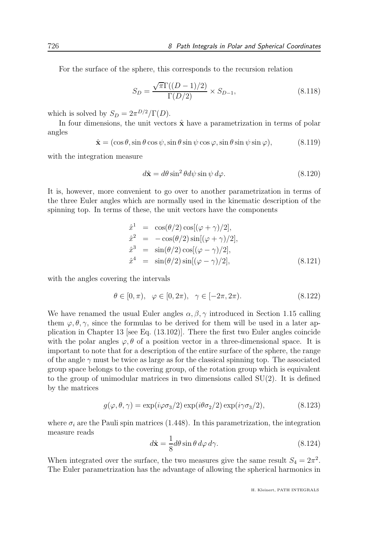For the surface of the sphere, this corresponds to the recursion relation

$$
S_D = \frac{\sqrt{\pi} \Gamma((D-1)/2)}{\Gamma(D/2)} \times S_{D-1},
$$
\n(8.118)

which is solved by  $S_D = 2\pi^{D/2}/\Gamma(D)$ .

In four dimensions, the unit vectors  $\hat{\mathbf{x}}$  have a parametrization in terms of polar angles

$$
\hat{\mathbf{x}} = (\cos \theta, \sin \theta \cos \psi, \sin \theta \sin \psi \cos \varphi, \sin \theta \sin \psi \sin \varphi),
$$
 (8.119)

with the integration measure

$$
d\hat{\mathbf{x}} = d\theta \sin^2 \theta d\psi \sin \psi d\varphi. \tag{8.120}
$$

It is, however, more convenient to go over to another parametrization in terms of the three Euler angles which are normally used in the kinematic description of the spinning top. In terms of these, the unit vectors have the components

$$
\hat{x}^1 = \cos(\theta/2)\cos[(\varphi + \gamma)/2],\n\hat{x}^2 = -\cos(\theta/2)\sin[(\varphi + \gamma)/2],\n\hat{x}^3 = \sin(\theta/2)\cos[(\varphi - \gamma)/2],\n\hat{x}^4 = \sin(\theta/2)\sin[(\varphi - \gamma)/2],
$$
\n(8.121)

with the angles covering the intervals

$$
\theta \in [0, \pi), \varphi \in [0, 2\pi), \gamma \in [-2\pi, 2\pi).
$$
 (8.122)

We have renamed the usual Euler angles  $\alpha, \beta, \gamma$  introduced in Section 1.15 calling them  $\varphi, \theta, \gamma$ , since the formulas to be derived for them will be used in a later application in Chapter 13 [see Eq. (13.102)]. There the first two Euler angles coincide with the polar angles  $\varphi$ ,  $\theta$  of a position vector in a three-dimensional space. It is important to note that for a description of the entire surface of the sphere, the range of the angle  $\gamma$  must be twice as large as for the classical spinning top. The associated group space belongs to the covering group, of the rotation group which is equivalent to the group of unimodular matrices in two dimensions called SU(2). It is defined by the matrices

$$
g(\varphi, \theta, \gamma) = \exp(i\varphi \sigma_3/2) \exp(i\theta \sigma_2/2) \exp(i\gamma \sigma_3/2), \qquad (8.123)
$$

where  $\sigma_i$  are the Pauli spin matrices (1.448). In this parametrization, the integration measure reads

$$
d\hat{\mathbf{x}} = \frac{1}{8}d\theta\sin\theta\,d\varphi\,d\gamma.\tag{8.124}
$$

When integrated over the surface, the two measures give the same result  $S_4 = 2\pi^2$ . The Euler parametrization has the advantage of allowing the spherical harmonics in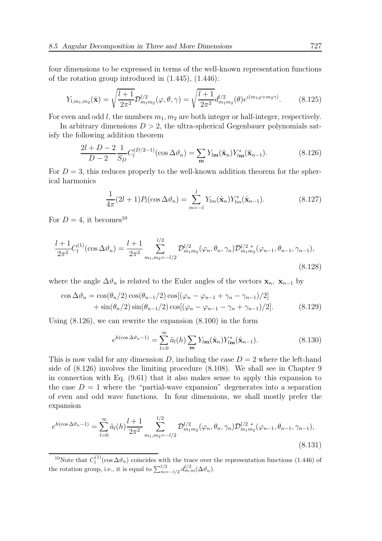four dimensions to be expressed in terms of the well-known representation functions of the rotation group introduced in (1.445), (1.446):

$$
Y_{l,m_1,m_2}(\hat{\mathbf{x}}) = \sqrt{\frac{l+1}{2\pi^2}} \mathcal{D}_{m_1m_2}^{l/2}(\varphi,\theta,\gamma) = \sqrt{\frac{l+1}{2\pi^2}} d_{m_1m_2}^{l/2}(\theta) e^{i(m_1\varphi + m_2\gamma)}.
$$
 (8.125)

For even and odd  $l$ , the numbers  $m_1, m_2$  are both integer or half-integer, respectively.

In arbitrary dimensions  $D > 2$ , the ultra-spherical Gegenbauer polynomials satisfy the following addition theorem

$$
\frac{2l+D-2}{D-2} \frac{1}{S_D} C_l^{(D/2-1)}(\cos \Delta \vartheta_n) = \sum_{\mathbf{m}} Y_{l\mathbf{m}}(\hat{\mathbf{x}}_n) Y_{l\mathbf{m}}^*(\hat{\mathbf{x}}_{n-1}).
$$
(8.126)

For  $D = 3$ , this reduces properly to the well-known addition theorem for the spherical harmonics

$$
\frac{1}{4\pi}(2l+1)P_l(\cos\Delta\vartheta_n) = \sum_{m=-l}^{l} Y_{lm}(\hat{\mathbf{x}}_n)Y_{lm}^*(\hat{\mathbf{x}}_{n-1}).
$$
\n(8.127)

For  $D = 4$ , it becomes<sup>10</sup>

$$
\frac{l+1}{2\pi^2}C_l^{(1)}(\cos\Delta\vartheta_n) = \frac{l+1}{2\pi^2} \sum_{m_1,m_2=-l/2}^{l/2} \mathcal{D}_{m_1m_2}^{l/2}(\varphi_n, \theta_n, \gamma_n) \mathcal{D}_{m_1m_2}^{l/2 \,*}(\varphi_{n-1}, \theta_{n-1}, \gamma_{n-1}),
$$
\n(8.128)

where the angle  $\Delta \vartheta_n$  is related to the Euler angles of the vectors  $\mathbf{x}_n$ ,  $\mathbf{x}_{n-1}$  by

$$
\cos \Delta \vartheta_n = \cos(\theta_n/2) \cos(\theta_{n-1}/2) \cos[(\varphi_n - \varphi_{n-1} + \gamma_n - \gamma_{n-1})/2] + \sin(\theta_n/2) \sin(\theta_{n-1}/2) \cos[(\varphi_n - \varphi_{n-1} - \gamma_n + \gamma_{n-1})/2].
$$
(8.129)

Using (8.126), we can rewrite the expansion (8.100) in the form

$$
e^{h(\cos \Delta \vartheta_n - 1)} = \sum_{l=0}^{\infty} \tilde{a}_l(h) \sum_{\mathbf{m}} Y_{l\mathbf{m}}(\hat{\mathbf{x}}_n) Y_{l\mathbf{m}}^*(\hat{\mathbf{x}}_{n-1}).
$$
\n(8.130)

This is now valid for any dimension D, including the case  $D = 2$  where the left-hand side of (8.126) involves the limiting procedure (8.108). We shall see in Chapter 9 in connection with Eq. (9.61) that it also makes sense to apply this expansion to the case  $D = 1$  where the "partial-wave expansion" degenerates into a separation of even and odd wave functions. In four dimensions, we shall mostly prefer the expansion

$$
e^{h(\cos\Delta\vartheta_n-1)} = \sum_{l=0}^{\infty} \tilde{a}_l(h) \frac{l+1}{2\pi^2} \sum_{m_1,m_2=-l/2}^{l/2} \mathcal{D}_{m_1m_2}^{l/2}(\varphi_n,\theta_n,\gamma_n) \mathcal{D}_{m_1m_2}^{l/2*}(\varphi_{n-1},\theta_{n-1},\gamma_{n-1}),
$$
\n(8.131)

<sup>&</sup>lt;sup>10</sup>Note that  $C_l^{(1)}$  $\ell_l^{(1)}(\cos \Delta \theta_n)$  coincides with the trace over the representation functions (1.446) of the rotation group, i.e., it is equal to  $\sum_{m=-l/2}^{l/2} d_{m,m}^{l/2}(\Delta \vartheta_n)$ .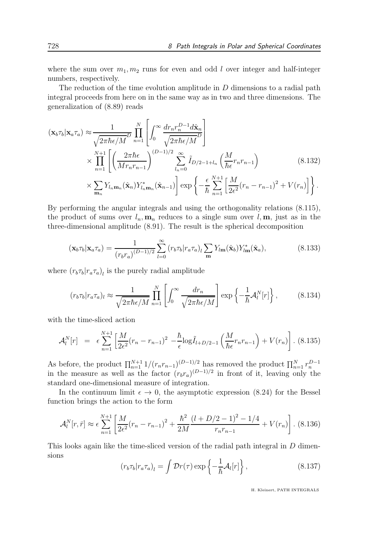where the sum over  $m_1, m_2$  runs for even and odd l over integer and half-integer numbers, respectively.

The reduction of the time evolution amplitude in D dimensions to a radial path integral proceeds from here on in the same way as in two and three dimensions. The generalization of (8.89) reads

$$
(\mathbf{x}_b \tau_b | \mathbf{x}_a \tau_a) \approx \frac{1}{\sqrt{2\pi\hbar\epsilon/M}} \prod_{n=1}^N \left[ \int_0^\infty \frac{dr_n r_n^{D-1} d\hat{\mathbf{x}}_n}{\sqrt{2\pi\hbar\epsilon/M}} \right]
$$
  

$$
\times \prod_{n=1}^{N+1} \left[ \left( \frac{2\pi\hbar\epsilon}{Mr_n r_{n-1}} \right)^{(D-1)/2} \sum_{l_n=0}^\infty \tilde{I}_{D/2-1+l_n} \left( \frac{M}{\hbar\epsilon} r_n r_{n-1} \right) \right]
$$
  

$$
\times \sum_{m_n} Y_{l_n m_n} (\hat{\mathbf{x}}_n) Y_{l_n m_n}^* (\hat{\mathbf{x}}_{n-1}) \right] \exp \left\{ -\frac{\epsilon}{\hbar} \sum_{n=1}^{N+1} \left[ \frac{M}{2\epsilon^2} (r_n - r_{n-1})^2 + V(r_n) \right] \right\}.
$$
 (8.132)

By performing the angular integrals and using the orthogonality relations (8.115), the product of sums over  $l_n, \mathbf{m}_n$  reduces to a single sum over  $l, \mathbf{m}$ , just as in the three-dimensional amplitude (8.91). The result is the spherical decomposition

$$
(\mathbf{x}_b \tau_b | \mathbf{x}_a \tau_a) = \frac{1}{(r_b r_a)^{(D-1)/2}} \sum_{l=0}^{\infty} (r_b \tau_b | r_a \tau_a)_l \sum_{m} Y_{l\mathbf{m}}(\hat{\mathbf{x}}_b) Y_{l\mathbf{m}}^*(\hat{\mathbf{x}}_a), \tag{8.133}
$$

where  $(r_b \tau_b | r_a \tau_a)_l$  is the purely radial amplitude

$$
(r_b \tau_b | r_a \tau_a)_l \approx \frac{1}{\sqrt{2\pi\hbar\epsilon/M}} \prod_{n=1}^N \left[ \int_0^\infty \frac{dr_n}{\sqrt{2\pi\hbar\epsilon/M}} \right] \exp\left\{-\frac{1}{\hbar} \mathcal{A}_l^N[r]\right\},\tag{8.134}
$$

with the time-sliced action

$$
\mathcal{A}_l^N[r] = \epsilon \sum_{n=1}^{N+1} \left[ \frac{M}{2\epsilon^2} (r_n - r_{n-1})^2 - \frac{\hbar}{\epsilon} \log \tilde{I}_{l+D/2-1} \left( \frac{M}{\hbar \epsilon} r_n r_{n-1} \right) + V(r_n) \right].
$$
 (8.135)

As before, the product  $\prod_{n=1}^{N+1} 1/(r_n r_{n-1})^{(D-1)/2}$  has removed the product  $\prod_{n=1}^{N} r_n^{D-1}$ in the measure as well as the factor  $(r_b r_a)^{(D-1)/2}$  in front of it, leaving only the standard one-dimensional measure of integration.

In the continuum limit  $\epsilon \to 0$ , the asymptotic expression (8.24) for the Bessel function brings the action to the form

$$
\mathcal{A}_l^N[r,\bar{r}] \approx \epsilon \sum_{n=1}^{N+1} \left[ \frac{M}{2\epsilon^2} (r_n - r_{n-1})^2 + \frac{\hbar^2}{2M} \frac{(l+D/2-1)^2 - 1/4}{r_n r_{n-1}} + V(r_n) \right].
$$
 (8.136)

This looks again like the time-sliced version of the radial path integral in D dimensions

$$
(r_b \tau_b | r_a \tau_a)_l = \int \mathcal{D}r(\tau) \exp\left\{-\frac{1}{\hbar} \mathcal{A}_l[r]\right\},\tag{8.137}
$$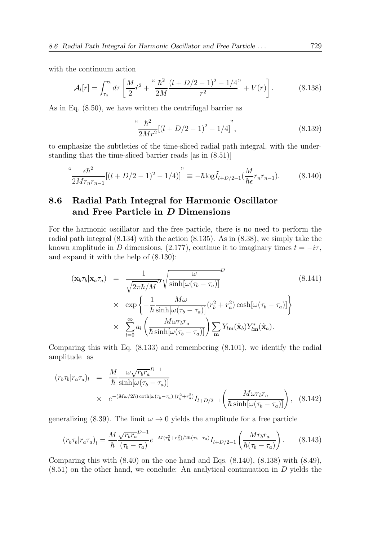with the continuum action

$$
\mathcal{A}_l[r] = \int_{\tau_a}^{\tau_b} d\tau \left[ \frac{M}{2} \dot{r}^2 + \frac{4\hbar^2}{2M} \frac{(l+D/2-1)^2 - 1/4}{r^2} + V(r) \right]. \tag{8.138}
$$

As in Eq. (8.50), we have written the centrifugal barrier as

$$
\left(\frac{\hbar^2}{2Mr^2}[(l+D/2-1)^2-1/4]\right)^n,\tag{8.139}
$$

to emphasize the subtleties of the time-sliced radial path integral, with the understanding that the time-sliced barrier reads [as in (8.51)]

$$
\frac{\epsilon \hbar^2}{2Mr_nr_{n-1}}[(l+D/2-1)^2-1/4)]^{"} \equiv -\hbar \log \tilde{I}_{l+D/2-1}(\frac{M}{\hbar \epsilon}r_nr_{n-1}).\tag{8.140}
$$

## 8.6 Radial Path Integral for Harmonic Oscillator and Free Particle in D Dimensions

For the harmonic oscillator and the free particle, there is no need to perform the radial path integral (8.134) with the action (8.135). As in (8.38), we simply take the known amplitude in D dimensions, (2.177), continue it to imaginary times  $t = -i\tau$ , and expand it with the help of (8.130):

$$
(\mathbf{x}_{b}\tau_{b}|\mathbf{x}_{a}\tau_{a}) = \frac{1}{\sqrt{2\pi\hbar/M}^{D}}\sqrt{\frac{\omega}{\sinh[\omega(\tau_{b}-\tau_{a})]}} \tag{8.141}
$$

$$
\times \exp\left\{-\frac{1}{\hbar}\frac{M\omega}{\sinh[\omega(\tau_{b}-\tau_{a})]}(r_{b}^{2}+r_{a}^{2})\cosh[\omega(\tau_{b}-\tau_{a})]\right\}
$$

$$
\times \sum_{l=0}^{\infty} a_{l} \left(\frac{M\omega r_{b}r_{a}}{\hbar\sinh[\omega(\tau_{b}-\tau_{a})]}\right)\sum_{\mathbf{m}} Y_{l\mathbf{m}}(\hat{\mathbf{x}}_{b})Y_{l\mathbf{m}}^{*}(\hat{\mathbf{x}}_{a}).
$$

Comparing this with Eq. (8.133) and remembering (8.101), we identify the radial amplitude as

$$
(r_b \tau_b | r_a \tau_a)_l = \frac{M}{\hbar} \frac{\omega \sqrt{r_b r_a}^{D-1}}{\sinh[\omega(\tau_b - \tau_a)]} \times e^{-(M\omega/2\hbar)\coth[\omega(\tau_b - \tau_a)](r_b^2 + r_a^2)} I_{l+D/2-1} \left(\frac{M\omega r_b r_a}{\hbar \sinh[\omega(\tau_b - \tau_a)]}\right), \quad (8.142)
$$

generalizing (8.39). The limit  $\omega \to 0$  yields the amplitude for a free particle

$$
(r_b \tau_b | r_a \tau_a)_l = \frac{M}{\hbar} \frac{\sqrt{r_b r_a}^{D-1}}{(\tau_b - \tau_a)} e^{-M(r_b^2 + r_a^2)/2\hbar(\tau_b - \tau_a)} I_{l+D/2-1} \left(\frac{M r_b r_a}{\hbar(\tau_b - \tau_a)}\right). \tag{8.143}
$$

Comparing this with  $(8.40)$  on the one hand and Eqs.  $(8.140)$ ,  $(8.138)$  with  $(8.49)$ ,  $(8.51)$  on the other hand, we conclude: An analytical continuation in D yields the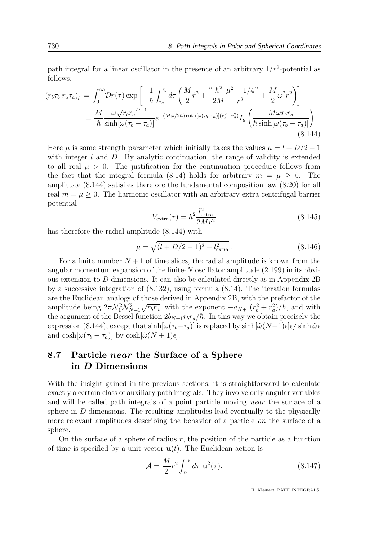path integral for a linear oscillator in the presence of an arbitrary  $1/r^2$ -potential as follows:

$$
\begin{split} (r_b \tau_b | r_a \tau_a)_l \, &= \, \int_0^\infty \! \mathcal{D}r(\tau) \exp\left[ -\frac{1}{\hbar} \int_{\tau_a}^{\tau_b} d\tau \left( \frac{M}{2} \dot{r}^2 + \frac{4\hbar^2}{2M} \frac{\mu^2 - 1/4}{r^2} + \frac{M}{2} \omega^2 r^2 \right) \right] \\ &= \frac{M}{\hbar} \frac{\omega \sqrt{r_b r_a}^{D-1}}{\sinh[\omega(\tau_b - \tau_a)]} e^{-(M\omega/2\hbar) \coth[\omega(\tau_b - \tau_a)] (r_b^2 + r_a^2)} I_\mu \left( \frac{M \omega r_b r_a}{\hbar \sinh[\omega(\tau_b - \tau_a)]} \right). \end{split} \tag{8.144}
$$

Here  $\mu$  is some strength parameter which initially takes the values  $\mu = l + D/2 - 1$ with integer  $l$  and  $D$ . By analytic continuation, the range of validity is extended to all real  $\mu > 0$ . The justification for the continuation procedure follows from the fact that the integral formula (8.14) holds for arbitrary  $m = \mu \geq 0$ . The amplitude (8.144) satisfies therefore the fundamental composition law (8.20) for all real  $m = \mu > 0$ . The harmonic oscillator with an arbitrary extra centrifugal barrier potential

$$
V_{\text{extra}}(r) = \hbar^2 \frac{l_{\text{extra}}^2}{2Mr^2} \tag{8.145}
$$

has therefore the radial amplitude (8.144) with

$$
\mu = \sqrt{(l + D/2 - 1)^2 + l_{\text{extra}}^2}.
$$
\n(8.146)

For a finite number  $N+1$  of time slices, the radial amplitude is known from the angular momentum expansion of the finite- $N$  oscillator amplitude  $(2.199)$  in its obvious extension to D dimensions. It can also be calculated directly as in Appendix 2B by a successive integration of (8.132), using formula (8.14). The iteration formulas are the Euclidean analogs of those derived in Appendix 2B, with the prefactor of the amplitude being  $2\pi \mathcal{N}_1^2 \mathcal{N}_{N+1}^2 \sqrt{r_b r_a}$ , with the exponent  $-a_{N+1}(r_b^2 + r_a^2)/\hbar$ , and with the argument of the Bessel function  $2b_{N+1}r_br_a/\hbar$ . In this way we obtain precisely the expression (8.144), except that  $\sinh[\omega(\tau_b-\tau_a)]$  is replaced by  $\sinh[\tilde{\omega}(N+1)\epsilon]\epsilon/\sinh\tilde{\omega}\epsilon$ and  $\cosh[\omega(\tau_b - \tau_a)]$  by  $\cosh[\tilde{\omega}(N+1)\epsilon]$ .

## 8.7 Particle *near* the Surface of a Sphere in D Dimensions

With the insight gained in the previous sections, it is straightforward to calculate exactly a certain class of auxiliary path integrals. They involve only angular variables and will be called path integrals of a point particle moving near the surface of a sphere in  $D$  dimensions. The resulting amplitudes lead eventually to the physically more relevant amplitudes describing the behavior of a particle on the surface of a sphere.

On the surface of a sphere of radius  $r$ , the position of the particle as a function of time is specified by a unit vector  $\mathbf{u}(t)$ . The Euclidean action is

$$
\mathcal{A} = \frac{M}{2} r^2 \int_{\tau_a}^{\tau_b} d\tau \, \dot{\mathbf{u}}^2(\tau). \tag{8.147}
$$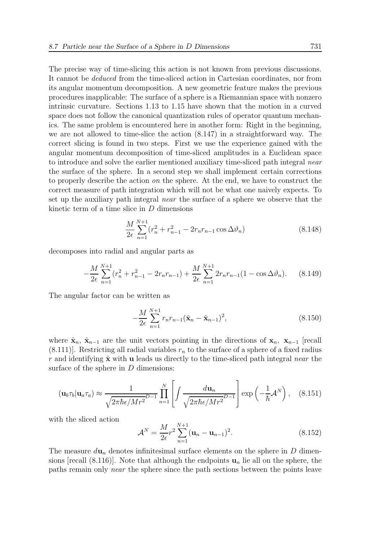The precise way of time-slicing this action is not known from previous discussions. It cannot be deduced from the time-sliced action in Cartesian coordinates, nor from its angular momentum decomposition. A new geometric feature makes the previous procedures inapplicable: The surface of a sphere is a Riemannian space with nonzero intrinsic curvature. Sections 1.13 to 1.15 have shown that the motion in a curved space does not follow the canonical quantization rules of operator quantum mechanics. The same problem is encountered here in another form: Right in the beginning, we are not allowed to time-slice the action (8.147) in a straightforward way. The correct slicing is found in two steps. First we use the experience gained with the angular momentum decomposition of time-sliced amplitudes in a Euclidean space to introduce and solve the earlier mentioned auxiliary time-sliced path integral near the surface of the sphere. In a second step we shall implement certain corrections to properly describe the action  $\omega$  the sphere. At the end, we have to construct the correct measure of path integration which will not be what one naively expects. To set up the auxiliary path integral near the surface of a sphere we observe that the kinetic term of a time slice in D dimensions

$$
\frac{M}{2\epsilon} \sum_{n=1}^{N+1} (r_n^2 + r_{n-1}^2 - 2r_n r_{n-1} \cos \Delta \vartheta_n)
$$
 (8.148)

decomposes into radial and angular parts as

$$
-\frac{M}{2\epsilon} \sum_{n=1}^{N+1} (r_n^2 + r_{n-1}^2 - 2r_n r_{n-1}) + \frac{M}{2\epsilon} \sum_{n=1}^{N+1} 2r_n r_{n-1} (1 - \cos \Delta \vartheta_n).
$$
 (8.149)

The angular factor can be written as

$$
-\frac{M}{2\epsilon} \sum_{n=1}^{N+1} r_n r_{n-1} (\hat{\mathbf{x}}_n - \hat{\mathbf{x}}_{n-1})^2,
$$
\n(8.150)

where  $\hat{\mathbf{x}}_n$ ,  $\hat{\mathbf{x}}_{n-1}$  are the unit vectors pointing in the directions of  $\mathbf{x}_n$ ,  $\mathbf{x}_{n-1}$  [recall  $(8.111)$ . Restricting all radial variables  $r_n$  to the surface of a sphere of a fixed radius r and identifying  $\hat{\mathbf{x}}$  with **u** leads us directly to the time-sliced path integral near the surface of the sphere in  $D$  dimensions:

$$
(\mathbf{u}_b \tau_b | \mathbf{u}_a \tau_a) \approx \frac{1}{\sqrt{2\pi\hbar\epsilon/Mr^2}} \prod_{n=1}^N \left[ \int \frac{d\mathbf{u}_n}{\sqrt{2\pi\hbar\epsilon/Mr^2}} \right] \exp\left(-\frac{1}{\hbar} \mathcal{A}^N\right), \quad (8.151)
$$

with the sliced action

$$
\mathcal{A}^{N} = \frac{M}{2\epsilon} r^{2} \sum_{n=1}^{N+1} (\mathbf{u}_{n} - \mathbf{u}_{n-1})^{2}.
$$
 (8.152)

The measure  $d\mathbf{u}_n$  denotes infinitesimal surface elements on the sphere in D dimensions [recall (8.116)]. Note that although the endpoints  $\mathbf{u}_n$  lie all on the sphere, the paths remain only near the sphere since the path sections between the points leave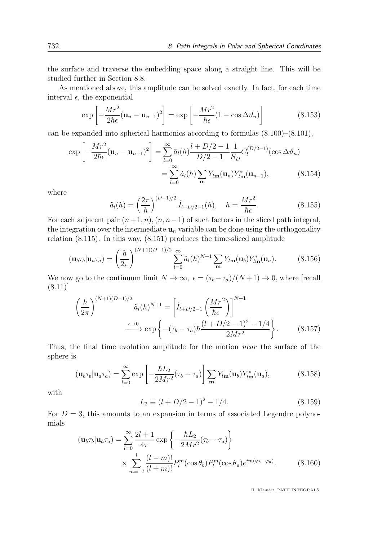the surface and traverse the embedding space along a straight line. This will be studied further in Section 8.8.

As mentioned above, this amplitude can be solved exactly. In fact, for each time interval  $\epsilon$ , the exponential

$$
\exp\left[-\frac{Mr^2}{2\hbar\epsilon}(\mathbf{u}_n - \mathbf{u}_{n-1})^2\right] = \exp\left[-\frac{Mr^2}{\hbar\epsilon}(1 - \cos\Delta\vartheta_n)\right]
$$
(8.153)

can be expanded into spherical harmonics according to formulas (8.100)–(8.101),

$$
\exp\left[-\frac{Mr^{2}}{2\hbar\epsilon}(\mathbf{u}_{n}-\mathbf{u}_{n-1})^{2}\right] = \sum_{l=0}^{\infty} \tilde{a}_{l}(h) \frac{l+D/2-1}{D/2-1} \frac{1}{S_{D}} C_{l}^{(D/2-1)}(\cos\Delta\vartheta_{n})
$$

$$
= \sum_{l=0}^{\infty} \tilde{a}_{l}(h) \sum_{m} Y_{l\mathbf{m}}(\mathbf{u}_{n}) Y_{l\mathbf{m}}^{*}(\mathbf{u}_{n-1}), \qquad (8.154)
$$

where

$$
\tilde{a}_l(h) = \left(\frac{2\pi}{h}\right)^{(D-1)/2} \tilde{I}_{l+D/2-1}(h), \quad h = \frac{Mr^2}{\hbar \epsilon}.
$$
\n(8.155)

For each adjacent pair  $(n+1, n)$ ,  $(n, n-1)$  of such factors in the sliced path integral, the integration over the intermediate  $\mathbf{u}_n$  variable can be done using the orthogonality relation (8.115). In this way, (8.151) produces the time-sliced amplitude

$$
(\mathbf{u}_b \tau_b | \mathbf{u}_a \tau_a) = \left(\frac{h}{2\pi}\right)^{(N+1)(D-1)/2} \sum_{l=0}^{\infty} \tilde{a}_l(h)^{N+1} \sum_{\mathbf{m}} Y_{l\mathbf{m}}(\mathbf{u}_b) Y_{l\mathbf{m}}^*(\mathbf{u}_a). \tag{8.156}
$$

We now go to the continuum limit  $N \to \infty$ ,  $\epsilon = (\tau_b - \tau_a)/(N+1) \to 0$ , where [recall (8.11)]

$$
\left(\frac{h}{2\pi}\right)^{(N+1)(D-1)/2} \tilde{a}_l(h)^{N+1} = \left[\tilde{I}_{l+D/2-1}\left(\frac{Mr^2}{\hbar\epsilon}\right)\right]^{N+1} \xrightarrow{\epsilon \to 0} \exp\left\{-(\tau_b - \tau_a)\hbar\frac{(l+D/2-1)^2 - 1/4}{2Mr^2}\right\}.
$$
\n(8.157)

Thus, the final time evolution amplitude for the motion near the surface of the sphere is

$$
(\mathbf{u}_b \tau_b | \mathbf{u}_a \tau_a) = \sum_{l=0}^{\infty} \exp\left[-\frac{\hbar L_2}{2Mr^2} (\tau_b - \tau_a)\right] \sum_{\mathbf{m}} Y_{l\mathbf{m}}(\mathbf{u}_b) Y_{l\mathbf{m}}^*(\mathbf{u}_a),\tag{8.158}
$$

with

$$
L_2 \equiv (l + D/2 - 1)^2 - 1/4. \tag{8.159}
$$

For  $D = 3$ , this amounts to an expansion in terms of associated Legendre polynomials

$$
(\mathbf{u}_b \tau_b | \mathbf{u}_a \tau_a) = \sum_{l=0}^{\infty} \frac{2l+1}{4\pi} \exp\left\{-\frac{\hbar L_2}{2Mr^2} (\tau_b - \tau_a)\right\}
$$

$$
\times \sum_{m=-l}^{l} \frac{(l-m)!}{(l+m)!} P_l^m(\cos \theta_b) P_l^m(\cos \theta_a) e^{im(\varphi_b - \varphi_a)}.
$$
(8.160)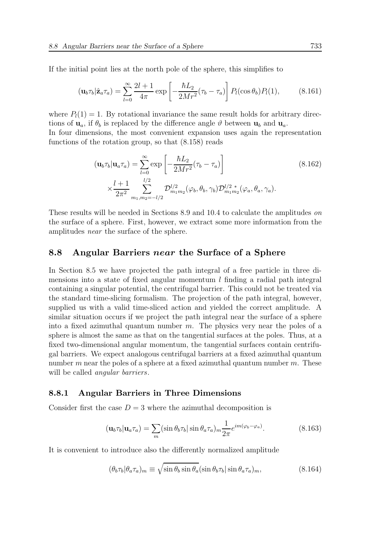If the initial point lies at the north pole of the sphere, this simplifies to

$$
(\mathbf{u}_b \tau_b | \hat{\mathbf{z}}_a \tau_a) = \sum_{l=0}^{\infty} \frac{2l+1}{4\pi} \exp\left[-\frac{\hbar L_2}{2Mr^2} (\tau_b - \tau_a)\right] P_l(\cos \theta_b) P_l(1), \tag{8.161}
$$

where  $P_l(1) = 1$ . By rotational invariance the same result holds for arbitrary directions of  $\mathbf{u}_a$ , if  $\theta_b$  is replaced by the difference angle  $\vartheta$  between  $\mathbf{u}_b$  and  $\mathbf{u}_a$ . In four dimensions, the most convenient expansion uses again the representation

functions of the rotation group, so that (8.158) reads

$$
(\mathbf{u}_b \tau_b | \mathbf{u}_a \tau_a) = \sum_{l=0}^{\infty} \exp\left[ -\frac{\hbar L_2}{2Mr^2} (\tau_b - \tau_a) \right]
$$
(8.162)  

$$
\times \frac{l+1}{2\pi^2} \sum_{m_1, m_2 = -l/2}^{l/2} \mathcal{D}_{m_1 m_2}^{l/2} (\varphi_b, \theta_b, \gamma_b) \mathcal{D}_{m_1 m_2}^{l/2} (\varphi_a, \theta_a, \gamma_a).
$$

These results will be needed in Sections 8.9 and 10.4 to calculate the amplitudes on the surface of a sphere. First, however, we extract some more information from the amplitudes near the surface of the sphere.

#### 8.8 Angular Barriers near the Surface of a Sphere

In Section 8.5 we have projected the path integral of a free particle in three dimensions into a state of fixed angular momentum  $l$  finding a radial path integral containing a singular potential, the centrifugal barrier. This could not be treated via the standard time-slicing formalism. The projection of the path integral, however, supplied us with a valid time-sliced action and yielded the correct amplitude. A similar situation occurs if we project the path integral near the surface of a sphere into a fixed azimuthal quantum number  $m$ . The physics very near the poles of a sphere is almost the same as that on the tangential surfaces at the poles. Thus, at a fixed two-dimensional angular momentum, the tangential surfaces contain centrifugal barriers. We expect analogous centrifugal barriers at a fixed azimuthal quantum number  $m$  near the poles of a sphere at a fixed azimuthal quantum number  $m$ . These will be called *angular barriers*.

#### 8.8.1 Angular Barriers in Three Dimensions

Consider first the case  $D = 3$  where the azimuthal decomposition is

$$
(\mathbf{u}_b \tau_b | \mathbf{u}_a \tau_a) = \sum_m (\sin \theta_b \tau_b | \sin \theta_a \tau_a)_m \frac{1}{2\pi} e^{im(\varphi_b - \varphi_a)}.
$$
 (8.163)

It is convenient to introduce also the differently normalized amplitude

$$
(\theta_b \tau_b | \theta_a \tau_a)_m \equiv \sqrt{\sin \theta_b \sin \theta_a} (\sin \theta_b \tau_b | \sin \theta_a \tau_a)_m, \tag{8.164}
$$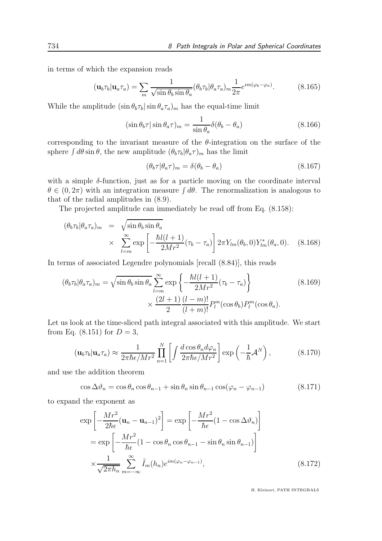in terms of which the expansion reads

$$
(\mathbf{u}_b \tau_b | \mathbf{u}_a \tau_a) = \sum_m \frac{1}{\sqrt{\sin \theta_b \sin \theta_a}} (\theta_b \tau_b | \theta_a \tau_a)_{m} \frac{1}{2\pi} e^{im(\varphi_b - \varphi_a)}.
$$
(8.165)

While the amplitude  $(\sin \theta_b \tau_b | \sin \theta_a \tau_a)_m$  has the equal-time limit

$$
(\sin \theta_b \tau) \sin \theta_a \tau)_m = \frac{1}{\sin \theta_a} \delta(\theta_b - \theta_a)
$$
\n(8.166)

corresponding to the invariant measure of the  $\theta$ -integration on the surface of the sphere  $\int d\theta \sin \theta$ , the new amplitude  $(\theta_b \tau_b | \theta_a \tau)_m$  has the limit

$$
(\theta_b \tau | \theta_a \tau)_m = \delta(\theta_b - \theta_a) \tag{8.167}
$$

with a simple  $\delta$ -function, just as for a particle moving on the coordinate interval  $\theta \in (0, 2\pi)$  with an integration measure  $\int d\theta$ . The renormalization is analogous to that of the radial amplitudes in (8.9).

The projected amplitude can immediately be read off from Eq. (8.158):

$$
(\theta_b \tau_b | \theta_a \tau_a)_m = \sqrt{\sin \theta_b \sin \theta_a}
$$
  
 
$$
\times \sum_{l=m}^{\infty} \exp \left[ -\frac{\hbar l(l+1)}{2Mr^2} (\tau_b - \tau_a) \right] 2\pi Y_{lm}(\theta_b, 0) Y_{lm}^*(\theta_a, 0). \quad (8.168)
$$

In terms of associated Legendre polynomials [recall (8.84)], this reads

$$
(\theta_b \tau_b | \theta_a \tau_a)_m = \sqrt{\sin \theta_b \sin \theta_a} \sum_{l=m}^{\infty} \exp \left\{ -\frac{\hbar l(l+1)}{2Mr^2} (\tau_b - \tau_a) \right\}
$$
(8.169)  

$$
\times \frac{(2l+1)}{2} \frac{(l-m)!}{(l+m)!} P_l^m(\cos \theta_b) P_l^m(\cos \theta_a).
$$

Let us look at the time-sliced path integral associated with this amplitude. We start from Eq.  $(8.151)$  for  $D = 3$ ,

$$
(\mathbf{u}_b \tau_b | \mathbf{u}_a \tau_a) \approx \frac{1}{2\pi \hbar \epsilon / M r^2} \prod_{n=1}^N \left[ \int \frac{d \cos \theta_n d\varphi_n}{2\pi \hbar \epsilon / M r^2} \right] \exp\left(-\frac{1}{\hbar} \mathcal{A}^N\right),\tag{8.170}
$$

and use the addition theorem

$$
\cos \Delta \vartheta_n = \cos \theta_n \cos \theta_{n-1} + \sin \theta_n \sin \theta_{n-1} \cos(\varphi_n - \varphi_{n-1})
$$
\n(8.171)

to expand the exponent as

$$
\exp\left[-\frac{Mr^2}{2\hbar\epsilon}(\mathbf{u}_n - \mathbf{u}_{n-1})^2\right] = \exp\left[-\frac{Mr^2}{\hbar\epsilon}(1 - \cos\Delta\vartheta_n)\right]
$$

$$
= \exp\left[-\frac{Mr^2}{\hbar\epsilon}(1 - \cos\theta_n\cos\theta_{n-1} - \sin\theta_n\sin\theta_{n-1})\right]
$$

$$
\times \frac{1}{\sqrt{2\pi\hbar_n}}\sum_{m=-\infty}^{\infty}\tilde{I}_m(h_n)e^{im(\varphi_n - \varphi_{n-1})},
$$
(8.172)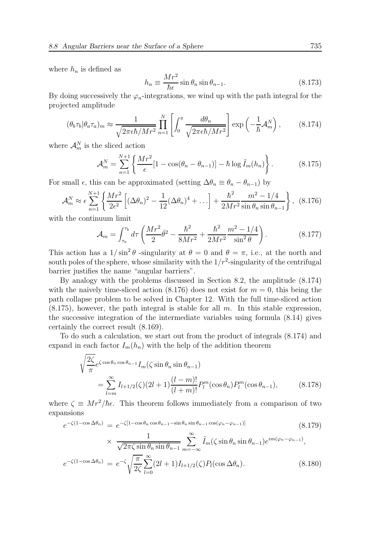where  $h_n$  is defined as

$$
h_n \equiv \frac{Mr^2}{\hbar \epsilon} \sin \theta_n \sin \theta_{n-1}.
$$
 (8.173)

By doing successively the  $\varphi_n$ -integrations, we wind up with the path integral for the projected amplitude

$$
(\theta_b \tau_b | \theta_a \tau_a)_m \approx \frac{1}{\sqrt{2\pi \epsilon \hbar / Mr^2}} \prod_{n=1}^N \left[ \int_0^\pi \frac{d\theta_n}{\sqrt{2\pi \epsilon \hbar / Mr^2}} \right] \exp\left(-\frac{1}{\hbar} \mathcal{A}_m^N\right),\tag{8.174}
$$

where  $\mathcal{A}_m^N$  is the sliced action

$$
\mathcal{A}_{m}^{N} = \sum_{n=1}^{N+1} \left\{ \frac{Mr^{2}}{\epsilon} [1 - \cos(\theta_{n} - \theta_{n-1})] - \hbar \log \tilde{I}_{m}(h_{n}) \right\}.
$$
 (8.175)

For small  $\epsilon$ , this can be approximated (setting  $\Delta\theta_n \equiv \theta_n - \theta_{n-1}$ ) by

$$
\mathcal{A}_m^N \approx \epsilon \sum_{n=1}^{N+1} \left\{ \frac{Mr^2}{2\epsilon^2} \left[ (\Delta \theta_n)^2 - \frac{1}{12} (\Delta \theta_n)^4 + \ldots \right] + \frac{\hbar^2}{2Mr^2} \frac{m^2 - 1/4}{\sin \theta_n \sin \theta_{n-1}} \right\}, \tag{8.176}
$$

with the continuum limit

$$
\mathcal{A}_m = \int_{\tau_a}^{\tau_b} d\tau \left( \frac{Mr^2}{2} \dot{\theta}^2 - \frac{\hbar^2}{8Mr^2} + \frac{\hbar^2}{2Mr^2} \frac{m^2 - 1/4}{\sin^2 \theta} \right). \tag{8.177}
$$

This action has a  $1/\sin^2\theta$  -singularity at  $\theta = 0$  and  $\theta = \pi$ , i.e., at the north and south poles of the sphere, whose similarity with the  $1/r^2$ -singularity of the centrifugal barrier justifies the name "angular barriers".

By analogy with the problems discussed in Section 8.2, the amplitude (8.174) with the naively time-sliced action  $(8.176)$  does not exist for  $m = 0$ , this being the path collapse problem to be solved in Chapter 12. With the full time-sliced action  $(8.175)$ , however, the path integral is stable for all m. In this stable expression, the successive integration of the intermediate variables using formula (8.14) gives certainly the correct result (8.169).

To do such a calculation, we start out from the product of integrals (8.174) and expand in each factor  $I_m(h_n)$  with the help of the addition theorem

$$
\sqrt{\frac{2\zeta}{\pi}} e^{\zeta \cos \theta_n \cos \theta_{n-1}} I_m(\zeta \sin \theta_n \sin \theta_{n-1})
$$
\n
$$
= \sum_{l=m}^{\infty} I_{l+1/2}(\zeta) (2l+1) \frac{(l-m)!}{(l+m)!} P_l^m(\cos \theta_n) P_l^m(\cos \theta_{n-1}),
$$
\n(8.178)

where  $\zeta \equiv Mr^2/\hbar \epsilon$ . This theorem follows immediately from a comparison of two expansions

e <sup>−</sup>ζ(1−cos ∆θn) = e <sup>−</sup>ζ[1−cos <sup>θ</sup><sup>n</sup> cos <sup>θ</sup>n−1−sin <sup>θ</sup><sup>n</sup> sin <sup>θ</sup>n−<sup>1</sup> cos(ϕn−ϕn−1)] (8.179) × 1 √ 2πζ sin θ<sup>n</sup> sin θn−<sup>1</sup> X∞ m=−∞ ˜Im(ζ sin θ<sup>n</sup> sin θn−1)e im(ϕn−ϕn−1) , s π

$$
e^{-\zeta(1-\cos\Delta\theta_n)} = e^{-\zeta} \sqrt{\frac{\pi}{2\zeta}} \sum_{l=0}^{\infty} (2l+1) I_{l+1/2}(\zeta) P_l(\cos\Delta\theta_n).
$$
 (8.180)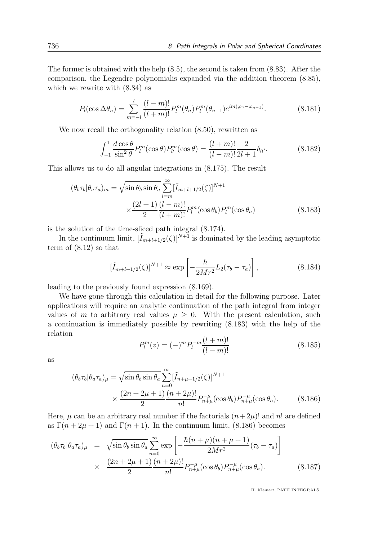The former is obtained with the help (8.5), the second is taken from (8.83). After the comparison, the Legendre polynomialis expanded via the addition theorem (8.85), which we rewrite with (8.84) as

$$
P_l(\cos \Delta \theta_n) = \sum_{m=-l}^{l} \frac{(l-m)!}{(l+m)!} P_l^m(\theta_n) P_l^m(\theta_{n-1}) e^{im(\varphi_n - \varphi_{n-1})}.
$$
 (8.181)

We now recall the orthogonality relation  $(8.50)$ , rewritten as

$$
\int_{-1}^{1} \frac{d \cos \theta}{\sin^2 \theta} P_l^m(\cos \theta) P_{l'}^m(\cos \theta) = \frac{(l+m)!}{(l-m)!} \frac{2}{2l+1} \delta_{ll'}.
$$
 (8.182)

This allows us to do all angular integrations in (8.175). The result

$$
(\theta_b \tau_b | \theta_a \tau_a)_m = \sqrt{\sin \theta_b \sin \theta_a} \sum_{l=m}^{\infty} [\tilde{I}_{m+l+1/2}(\zeta)]^{N+1}
$$

$$
\times \frac{(2l+1)}{2} \frac{(l-m)!}{(l+m)!} P_l^m(\cos \theta_b) P_l^m(\cos \theta_a)
$$
(8.183)

is the solution of the time-sliced path integral (8.174).

In the continuum limit,  $[\tilde{I}_{m+l+1/2}(\zeta)]^{N+1}$  is dominated by the leading asymptotic term of (8.12) so that

$$
\left[\tilde{I}_{m+l+1/2}(\zeta)\right]^{N+1} \approx \exp\left[-\frac{\hbar}{2Mr^2}L_2(\tau_b - \tau_a)\right],\tag{8.184}
$$

leading to the previously found expression (8.169).

We have gone through this calculation in detail for the following purpose. Later applications will require an analytic continuation of the path integral from integer values of m to arbitrary real values  $\mu \geq 0$ . With the present calculation, such a continuation is immediately possible by rewriting (8.183) with the help of the relation

$$
P_l^m(z) = (-)^m P_l^{-m} \frac{(l+m)!}{(l-m)!}
$$
\n(8.185)

as

$$
(\theta_b \tau_b | \theta_a \tau_a)_{\mu} = \sqrt{\sin \theta_b \sin \theta_a} \sum_{n=0}^{\infty} [\tilde{I}_{n+\mu+1/2}(\zeta)]^{N+1}
$$
  
 
$$
\times \frac{(2n+2\mu+1)}{2} \frac{(n+2\mu)!}{n!} P_{n+\mu}^{-\mu}(\cos \theta_b) P_{n+\mu}^{-\mu}(\cos \theta_a). \tag{8.186}
$$

Here,  $\mu$  can be an arbitrary real number if the factorials  $(n+2\mu)!$  and n! are defined as  $\Gamma(n+2\mu+1)$  and  $\Gamma(n+1)$ . In the continuum limit, (8.186) becomes

$$
(\theta_b \tau_b | \theta_a \tau_a)_{\mu} = \sqrt{\sin \theta_b \sin \theta_a} \sum_{n=0}^{\infty} \exp\left[-\frac{\hbar (n+\mu)(n+\mu+1)}{2Mr^2} (\tau_b - \tau_a)\right]
$$

$$
\times \frac{(2n+2\mu+1)}{2} \frac{(n+2\mu)!}{n!} P_{n+\mu}^{-\mu} (\cos \theta_b) P_{n+\mu}^{-\mu} (\cos \theta_a). \tag{8.187}
$$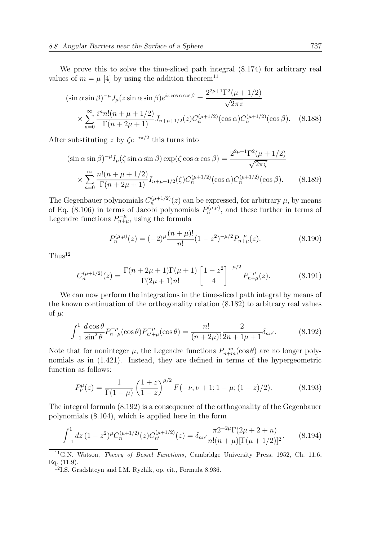We prove this to solve the time-sliced path integral (8.174) for arbitrary real values of  $m = \mu$  [4] by using the addition theorem<sup>11</sup>

$$
(\sin \alpha \sin \beta)^{-\mu} J_{\mu}(z \sin \alpha \sin \beta) e^{iz \cos \alpha \cos \beta} = \frac{2^{2\mu + 1} \Gamma^2(\mu + 1/2)}{\sqrt{2\pi z}}
$$
  
 
$$
\times \sum_{n=0}^{\infty} \frac{i^n n! (n + \mu + 1/2)}{\Gamma(n + 2\mu + 1)} J_{n + \mu + 1/2}(z) C_n^{(\mu + 1/2)}(\cos \alpha) C_n^{(\mu + 1/2)}(\cos \beta). \quad (8.188)
$$

After substituting z by  $\zeta e^{-i\pi/2}$  this turns into

$$
(\sin \alpha \sin \beta)^{-\mu} I_{\mu}(\zeta \sin \alpha \sin \beta) \exp(\zeta \cos \alpha \cos \beta) = \frac{2^{2\mu + 1} \Gamma^2(\mu + 1/2)}{\sqrt{2\pi \zeta}}
$$

$$
\times \sum_{n=0}^{\infty} \frac{n!(n + \mu + 1/2)}{\Gamma(n + 2\mu + 1)} I_{n + \mu + 1/2}(\zeta) C_n^{(\mu + 1/2)}(\cos \alpha) C_n^{(\mu + 1/2)}(\cos \beta). \tag{8.189}
$$

The Gegenbauer polynomials  $C_n^{(\mu+1/2)}(z)$  can be expressed, for arbitrary  $\mu$ , by means of Eq. (8.106) in terms of Jacobi polynomials  $P_n^{(\mu,\mu)}$ , and these further in terms of Legendre functions  $P_{n+\mu}^{-\mu}$ , using the formula

$$
P_n^{(\mu,\mu)}(z) = (-2)^{\mu} \frac{(n+\mu)!}{n!} (1-z^2)^{-\mu/2} P_{n+\mu}^{-\mu}(z).
$$
 (8.190)

 $Thus<sup>12</sup>$ 

$$
C_n^{(\mu+1/2)}(z) = \frac{\Gamma(n+2\mu+1)\Gamma(\mu+1)}{\Gamma(2\mu+1)n!} \left[\frac{1-z^2}{4}\right]^{-\mu/2} P_{n+\mu}^{-\mu}(z). \tag{8.191}
$$

We can now perform the integrations in the time-sliced path integral by means of the known continuation of the orthogonality relation (8.182) to arbitrary real values of  $\mu$ :

$$
\int_{-1}^{1} \frac{d\cos\theta}{\sin^2\theta} P_{n+\mu}^{-\mu}(\cos\theta) P_{n'+\mu}^{-\mu}(\cos\theta) = \frac{n!}{(n+2\mu)!} \frac{2}{2n+1\mu+1} \delta_{nn'}.\tag{8.192}
$$

Note that for noninteger  $\mu$ , the Legendre functions  $P_{n+m}^{-m}(\cos\theta)$  are no longer polynomials as in (1.421). Instead, they are defined in terms of the hypergeometric function as follows:

$$
P_{\nu}^{\mu}(z) = \frac{1}{\Gamma(1-\mu)} \left(\frac{1+z}{1-z}\right)^{\mu/2} F(-\nu,\nu+1;1-\mu;(1-z)/2). \tag{8.193}
$$

The integral formula (8.192) is a consequence of the orthogonality of the Gegenbauer polynomials (8.104), which is applied here in the form

$$
\int_{-1}^{1} dz \, (1 - z^2)^{\mu} C_n^{(\mu + 1/2)}(z) C_{n'}^{(\mu + 1/2)}(z) = \delta_{nn'} \frac{\pi 2^{-2\mu} \Gamma(2\mu + 2 + n)}{n!(n + \mu)[\Gamma(\mu + 1/2)]^2}.
$$
 (8.194)

<sup>&</sup>lt;sup>11</sup>G.N. Watson, *Theory of Bessel Functions*, Cambridge University Press, 1952, Ch. 11.6, Eq. (11.9).

<sup>&</sup>lt;sup>12</sup>I.S. Gradshteyn and I.M. Ryzhik, op. cit., Formula 8.936.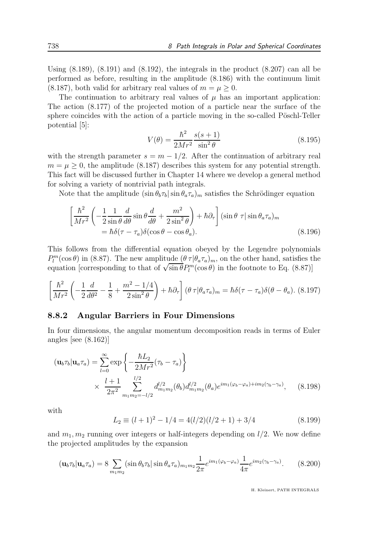Using  $(8.189)$ ,  $(8.191)$  and  $(8.192)$ , the integrals in the product  $(8.207)$  can all be performed as before, resulting in the amplitude (8.186) with the continuum limit  $(8.187)$ , both valid for arbitrary real values of  $m = \mu > 0$ .

The continuation to arbitrary real values of  $\mu$  has an important application: The action (8.177) of the projected motion of a particle near the surface of the sphere coincides with the action of a particle moving in the so-called Pöschl-Teller potential [5]:

$$
V(\theta) = \frac{\hbar^2}{2Mr^2} \frac{s(s+1)}{\sin^2 \theta}
$$
 (8.195)

with the strength parameter  $s = m - 1/2$ . After the continuation of arbitrary real  $m = \mu \geq 0$ , the amplitude (8.187) describes this system for any potential strength. This fact will be discussed further in Chapter 14 where we develop a general method for solving a variety of nontrivial path integrals.

Note that the amplitude  $(\sin \theta_b \tau_b) \sin \theta_a \tau_a$  m satisfies the Schrödinger equation

$$
\left[\frac{\hbar^2}{Mr^2}\left(-\frac{1}{2}\frac{1}{\sin\theta}\frac{d}{d\theta}\sin\theta\frac{d}{d\theta} + \frac{m^2}{2\sin^2\theta}\right) + \hbar\partial_\tau\right](\sin\theta\tau|\sin\theta_a\tau_a)_m
$$
  
=  $\hbar\delta(\tau-\tau_a)\delta(\cos\theta-\cos\theta_a).$  (8.196)

This follows from the differential equation obeyed by the Legendre polynomials  $P_l^m(\cos\theta)$  in (8.87). The new amplitude  $(\theta \tau | \theta_a \tau_a)_m$ , on the other hand, satisfies the equation [corresponding to that of  $\sqrt{\sin \theta} P_l^m(\cos \theta)$  in the footnote to Eq. (8.87)]

$$
\left[\frac{\hbar^2}{Mr^2}\left(-\frac{1}{2}\frac{d}{d\theta^2} - \frac{1}{8} + \frac{m^2 - 1/4}{2\sin^2\theta}\right) + \hbar\partial_\tau\right](\theta \tau | \theta_a \tau_a)_m = \hbar\delta(\tau - \tau_a)\delta(\theta - \theta_a).
$$
 (8.197)

#### 8.8.2 Angular Barriers in Four Dimensions

In four dimensions, the angular momentum decomposition reads in terms of Euler angles [see (8.162)]

$$
(\mathbf{u}_b \tau_b | \mathbf{u}_a \tau_a) = \sum_{l=0}^{\infty} \exp \left\{ -\frac{\hbar L_2}{2Mr^2} (\tau_b - \tau_a) \right\}
$$
  
 
$$
\times \frac{l+1}{2\pi^2} \sum_{m_1 m_2 = -l/2}^{l/2} d_{m_1 m_2}^{l/2}(\theta_b) d_{m_1 m_2}^{l/2}(\theta_a) e^{im_1(\varphi_b - \varphi_a) + im_2(\gamma_b - \gamma_a)}, \quad (8.198)
$$

with

$$
L_2 \equiv (l+1)^2 - 1/4 = 4(l/2)(l/2+1) + 3/4 \tag{8.199}
$$

and  $m_1, m_2$  running over integers or half-integers depending on  $l/2$ . We now define the projected amplitudes by the expansion

$$
(\mathbf{u}_b \tau_b | \mathbf{u}_a \tau_a) = 8 \sum_{m_1 m_2} (\sin \theta_b \tau_b | \sin \theta_a \tau_a)_{m_1 m_2} \frac{1}{2\pi} e^{im_1(\varphi_b - \varphi_a)} \frac{1}{4\pi} e^{im_2(\gamma_b - \gamma_a)}.
$$
 (8.200)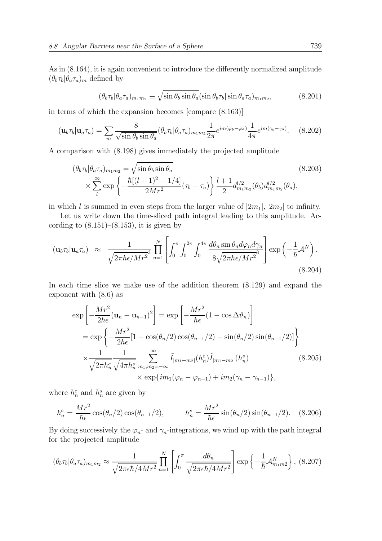As in (8.164), it is again convenient to introduce the differently normalized amplitude  $(\theta_b \tau_b | \theta_a \tau_a)_m$  defined by

$$
(\theta_b \tau_b | \theta_a \tau_a)_{m_1 m_2} \equiv \sqrt{\sin \theta_b \sin \theta_a} (\sin \theta_b \tau_b | \sin \theta_a \tau_a)_{m_1 m_2},
$$
(8.201)

in terms of which the expansion becomes [compare (8.163)]

$$
(\mathbf{u}_b \tau_b | \mathbf{u}_a \tau_a) = \sum_m \frac{8}{\sqrt{\sin \theta_b \sin \theta_a}} (\theta_b \tau_b | \theta_a \tau_a)_{m_1 m_2} \frac{1}{2\pi} e^{im(\varphi_b - \varphi_a)} \frac{1}{4\pi} e^{im(\gamma_b - \gamma_a)}.
$$
 (8.202)

A comparison with (8.198) gives immediately the projected amplitude

$$
(\theta_b \tau_b | \theta_a \tau_a)_{m_1 m_2} = \sqrt{\sin \theta_b \sin \theta_a}
$$
  
 
$$
\times \sum_{l}^{\infty} \exp \left\{ -\frac{\hbar [(l+1)^2 - 1/4]}{2Mr^2} (\tau_b - \tau_a) \right\} \frac{l+1}{2} d_{m_1 m_2}^{l/2} (\theta_b) d_{m_1 m_2}^{l/2} (\theta_a),
$$
\n(8.203)

in which l is summed in even steps from the larger value of  $|2m_1|, |2m_2|$  to infinity.

Let us write down the time-sliced path integral leading to this amplitude. According to  $(8.151)$ – $(8.153)$ , it is given by

$$
(\mathbf{u}_b \tau_b | \mathbf{u}_a \tau_a) \approx \frac{1}{\sqrt{2\pi\hbar\epsilon/Mr^2}} \prod_{n=1}^N \left[ \int_0^{\pi} \int_0^{2\pi} \int_0^{4\pi} \frac{d\theta_n \sin\theta_n d\varphi_n d\gamma_n}{8\sqrt{2\pi\hbar\epsilon/Mr^2}} \right] \exp\left(-\frac{1}{\hbar} \mathcal{A}^N\right).
$$
\n(8.204)

In each time slice we make use of the addition theorem (8.129) and expand the exponent with (8.6) as

$$
\exp\left[-\frac{Mr^{2}}{2\hbar\epsilon}(\mathbf{u}_{n}-\mathbf{u}_{n-1})^{2}\right] = \exp\left[-\frac{Mr^{2}}{\hbar\epsilon}(1-\cos\Delta\vartheta_{n})\right]
$$
  
\n
$$
= \exp\left\{-\frac{Mr^{2}}{2\hbar\epsilon}[1-\cos(\theta_{n}/2)\cos(\theta_{n-1}/2)-\sin(\theta_{n}/2)\sin(\theta_{n-1}/2)]\right\}
$$
  
\n
$$
\times \frac{1}{\sqrt{2\pi h_{n}^{c}}}\frac{1}{\sqrt{4\pi h_{n}^{s}}}\sum_{m_{1},m_{2}=-\infty}^{\infty}\tilde{I}_{|m_{1}+m_{2}|}(h_{n}^{c})\tilde{I}_{|m_{1}-m_{2}|}(h_{n}^{s})
$$
  
\n
$$
\times \exp\{im_{1}(\varphi_{n}-\varphi_{n-1})+im_{2}(\gamma_{n}-\gamma_{n-1})\}, \tag{8.205}
$$

where  $h_n^c$  and  $h_n^s$  are given by

$$
h_n^c = \frac{Mr^2}{\hbar\epsilon} \cos(\theta_n/2) \cos(\theta_{n-1}/2), \qquad h_n^s = \frac{Mr^2}{\hbar\epsilon} \sin(\theta_n/2) \sin(\theta_{n-1}/2). \quad (8.206)
$$

By doing successively the  $\varphi_n$ - and  $\gamma_n$ -integrations, we wind up with the path integral for the projected amplitude

$$
(\theta_b \tau_b | \theta_a \tau_a)_{m_1 m_2} \approx \frac{1}{\sqrt{2\pi \epsilon \hbar / 4Mr^2}} \prod_{n=1}^N \left[ \int_0^\pi \frac{d\theta_n}{\sqrt{2\pi \epsilon \hbar / 4Mr^2}} \right] \exp\left\{-\frac{1}{\hbar} \mathcal{A}_{m_1 m_2}^N\right\}, \ (8.207)
$$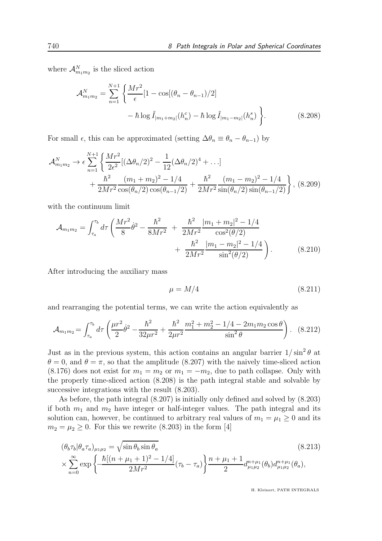where  $\mathcal{A}_{m_1m_2}^N$  is the sliced action

$$
\mathcal{A}_{m_1 m_2}^N = \sum_{n=1}^{N+1} \left\{ \frac{Mr^2}{\epsilon} [1 - \cos[(\theta_n - \theta_{n-1})/2] - \hbar \log \tilde{I}_{|m_1 + m_2|}(h_n^c) - \hbar \log \tilde{I}_{|m_1 - m_2|}(h_n^s) \right\}.
$$
(8.208)

For small  $\epsilon$ , this can be approximated (setting  $\Delta\theta_n \equiv \theta_n - \theta_{n-1}$ ) by

$$
\mathcal{A}_{m_1m_2}^N \to \epsilon \sum_{n=1}^{N+1} \left\{ \frac{Mr^2}{2\epsilon^2} [(\Delta\theta_n/2)^2 - \frac{1}{12} (\Delta\theta_n/2)^4 + \ldots] + \frac{\hbar^2}{2Mr^2} \frac{(m_1 + m_2)^2 - 1/4}{\cos(\theta_n/2)\cos(\theta_{n-1}/2)} + \frac{\hbar^2}{2Mr^2} \frac{(m_1 - m_2)^2 - 1/4}{\sin(\theta_n/2)\sin(\theta_{n-1}/2)} \right\},
$$
(8.209)

with the continuum limit

$$
\mathcal{A}_{m_1 m_2} = \int_{\tau_a}^{\tau_b} d\tau \left( \frac{Mr^2}{8} \dot{\theta}^2 - \frac{\hbar^2}{8Mr^2} + \frac{\hbar^2}{2Mr^2} \frac{|m_1 + m_2|^2 - 1/4}{\cos^2(\theta/2)} + \frac{\hbar^2}{2Mr^2} \frac{|m_1 - m_2|^2 - 1/4}{\sin^2(\theta/2)} \right). \tag{8.210}
$$

After introducing the auxiliary mass

$$
\mu = M/4 \tag{8.211}
$$

and rearranging the potential terms, we can write the action equivalently as

$$
\mathcal{A}_{m_1 m_2} = \int_{\tau_a}^{\tau_b} d\tau \left( \frac{\mu r^2}{2} \dot{\theta}^2 - \frac{\hbar^2}{32\mu r^2} + \frac{\hbar^2}{2\mu r^2} \frac{m_1^2 + m_2^2 - 1/4 - 2m_1 m_2 \cos \theta}{\sin^2 \theta} \right). \tag{8.212}
$$

Just as in the previous system, this action contains an angular barrier  $1/\sin^2\theta$  at  $\theta = 0$ , and  $\theta = \pi$ , so that the amplitude (8.207) with the naively time-sliced action  $(8.176)$  does not exist for  $m_1 = m_2$  or  $m_1 = -m_2$ , due to path collapse. Only with the properly time-sliced action (8.208) is the path integral stable and solvable by successive integrations with the result (8.203).

As before, the path integral (8.207) is initially only defined and solved by (8.203) if both  $m_1$  and  $m_2$  have integer or half-integer values. The path integral and its solution can, however, be continued to arbitrary real values of  $m_1 = \mu_1 \geq 0$  and its  $m_2 = \mu_2 \geq 0$ . For this we rewrite (8.203) in the form [4]

$$
(\theta_b \tau_b | \theta_a \tau_a)_{\mu_1 \mu_2} = \sqrt{\sin \theta_b \sin \theta_a}
$$
\n
$$
\times \sum_{n=0}^{\infty} \exp \left\{ \frac{\hbar [(n + \mu_1 + 1)^2 - 1/4]}{2Mr^2} (\tau_b - \tau_a) \right\} \frac{n + \mu_1 + 1}{2} d_{\mu_1 \mu_2}^{n + \mu_1}(\theta_b) d_{\mu_1 \mu_2}^{n + \mu_1}(\theta_a),
$$
\n(8.213)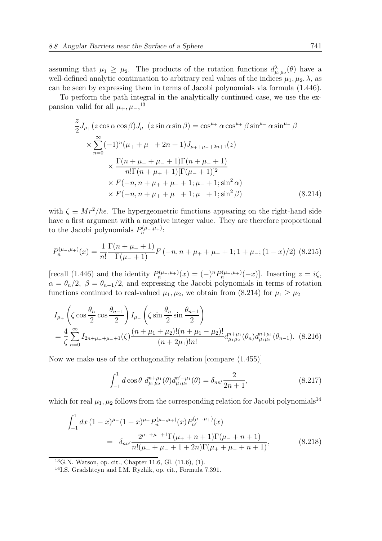assuming that  $\mu_1 \geq \mu_2$ . The products of the rotation functions  $d^{\lambda}_{\mu_1\mu_2}(\theta)$  have a well-defined analytic continuation to arbitrary real values of the indices  $\mu_1, \mu_2, \lambda$ , as can be seen by expressing them in terms of Jacobi polynomials via formula (1.446).

To perform the path integral in the analytically continued case, we use the expansion valid for all  $\mu_+,\mu_-$ <sup>13</sup>

$$
\frac{z}{2}J_{\mu+}(z\cos\alpha\cos\beta)J_{\mu-}(z\sin\alpha\sin\beta) = \cos^{\mu+}\alpha\cos^{\mu+}\beta\sin^{\mu-}\alpha\sin^{\mu-}\beta
$$
  

$$
\times \sum_{n=0}^{\infty}(-1)^{n}(\mu_{+} + \mu_{-} + 2n + 1)J_{\mu_{+} + \mu_{-} + 2n + 1}(z)
$$
  

$$
\times \frac{\Gamma(n + \mu_{+} + \mu_{-} + 1)\Gamma(n + \mu_{-} + 1)}{n!\Gamma(n + \mu_{+} + 1)[\Gamma(\mu_{-} + 1)]^{2}}
$$
  

$$
\times F(-n, n + \mu_{+} + \mu_{-} + 1; \mu_{-} + 1; \sin^{2}\beta)
$$
 (8.214)

with  $\zeta \equiv Mr^2/\hbar \epsilon$ . The hypergeometric functions appearing on the right-hand side have a first argument with a negative integer value. They are therefore proportional to the Jacobi polynomials  $P_n^{(\mu_-,\mu_+)}$ :

$$
P_n^{(\mu_-,\mu_+)}(x) = \frac{1}{n!} \frac{\Gamma(n+\mu_-+1)}{\Gamma(\mu_-+1)} F(-n, n+\mu_+ + \mu_- + 1; 1+\mu_-; (1-x)/2)
$$
 (8.215)

[recall (1.446) and the identity  $P_n^{(\mu_-,\mu_+)}(x) = (-)^n P_n^{(\mu_-,\mu_+)}(-x)$ ]. Inserting  $z = i\zeta$ ,  $\alpha = \theta_n/2$ ,  $\beta = \theta_{n-1}/2$ , and expressing the Jacobi polynomials in terms of rotation functions continued to real-valued  $\mu_1, \mu_2$ , we obtain from (8.214) for  $\mu_1 \geq \mu_2$ 

$$
I_{\mu+} \left( \zeta \cos \frac{\theta_n}{2} \cos \frac{\theta_{n-1}}{2} \right) I_{\mu-} \left( \zeta \sin \frac{\theta_n}{2} \sin \frac{\theta_{n-1}}{2} \right)
$$
  
=  $\frac{4}{\zeta} \sum_{n=0}^{\infty} I_{2n+\mu_{+}+\mu_{-}+1}(\zeta) \frac{(n+\mu_{1}+\mu_{2})!(n+\mu_{1}-\mu_{2})!}{(n+2\mu_{1})!n!} d_{\mu_{1}\mu_{2}}^{n+\mu_{1}}(\theta_n) d_{\mu_{1}\mu_{2}}^{n+\mu_{1}}(\theta_{n-1}).$  (8.216)

Now we make use of the orthogonality relation [compare (1.455)]

$$
\int_{-1}^{1} d\cos\theta \, d_{\mu_1\mu_2}^{n+\mu_1}(\theta) d_{\mu_1\mu_2}^{n'+\mu_1}(\theta) = \delta_{nn'} \frac{2}{2n+1},\tag{8.217}
$$

which for real  $\mu_1, \mu_2$  follows from the corresponding relation for Jacobi polynomials<sup>14</sup>

$$
\int_{-1}^{1} dx (1-x)^{\mu_{-}} (1+x)^{\mu_{+}} P_{n}^{(\mu_{-},\mu_{+})}(x) P_{n'}^{(\mu_{-},\mu_{+})}(x)
$$
\n
$$
= \delta_{nn'} \frac{2^{\mu_{+}+\mu_{-}+1} \Gamma(\mu_{+}+n+1) \Gamma(\mu_{-}+n+1)}{n! (\mu_{+}+\mu_{-}+1+2n) \Gamma(\mu_{+}+\mu_{-}+n+1)},
$$
\n(8.218)

 $^{13}$ G.N. Watson, op. cit., Chapter 11.6, Gl. (11.6), (1).

<sup>14</sup>I.S. Gradshteyn and I.M. Ryzhik, op. cit., Formula 7.391.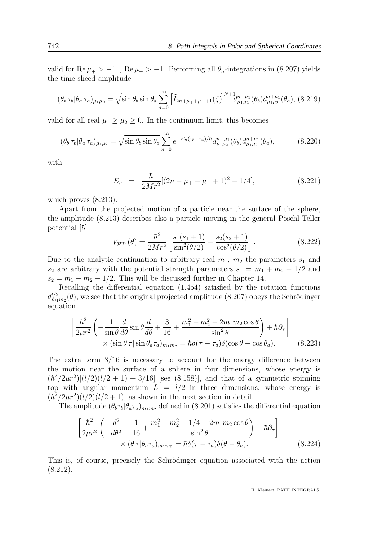valid for  $\text{Re }\mu_+ > -1$ ,  $\text{Re }\mu_- > -1$ . Performing all  $\theta_n$ -integrations in (8.207) yields the time-sliced amplitude

$$
(\theta_b \tau_b | \theta_a \tau_a)_{\mu_1 \mu_2} = \sqrt{\sin \theta_b \sin \theta_a} \sum_{n=0}^{\infty} \left[ \tilde{I}_{2n+\mu_+ + \mu_- + 1}(\zeta) \right]^{N+1} d_{\mu_1 \mu_2}^{n+\mu_1}(\theta_b) d_{\mu_1 \mu_2}^{n+\mu_1}(\theta_a), (8.219)
$$

valid for all real  $\mu_1 \geq \mu_2 \geq 0$ . In the continuum limit, this becomes

$$
(\theta_b \,\tau_b | \theta_a \,\tau_a)_{\mu_1 \mu_2} = \sqrt{\sin \theta_b \sin \theta_a} \sum_{n=0}^{\infty} e^{-E_n(\tau_b - \tau_a)/\hbar} d_{\mu_1 \mu_2}^{n + \mu_1}(\theta_b) d_{\mu_1 \mu_2}^{n + \mu_1}(\theta_a), \tag{8.220}
$$

with

$$
E_n = \frac{\hbar}{2Mr^2} [(2n + \mu_+ + \mu_- + 1)^2 - 1/4], \tag{8.221}
$$

which proves  $(8.213)$ .

Apart from the projected motion of a particle near the surface of the sphere, the amplitude  $(8.213)$  describes also a particle moving in the general Pöschl-Teller potential [5]

$$
V_{\mathcal{PT}'}(\theta) = \frac{\hbar^2}{2Mr^2} \left[ \frac{s_1(s_1+1)}{\sin^2(\theta/2)} + \frac{s_2(s_2+1)}{\cos^2(\theta/2)} \right].
$$
 (8.222)

Due to the analytic continuation to arbitrary real  $m_1$ ,  $m_2$  the parameters  $s_1$  and s<sub>2</sub> are arbitrary with the potential strength parameters  $s_1 = m_1 + m_2 - 1/2$  and  $s_2 = m_1 - m_2 - 1/2$ . This will be discussed further in Chapter 14.

Recalling the differential equation (1.454) satisfied by the rotation functions  $d_{m_1m_2}^{l/2}(\theta)$ , we see that the original projected amplitude (8.207) obeys the Schrödinger equation

$$
\left[\frac{\hbar^2}{2\mu r^2} \left( -\frac{1}{\sin \theta} \frac{d}{d\theta} \sin \theta \frac{d}{d\theta} + \frac{3}{16} + \frac{m_1^2 + m_2^2 - 2m_1 m_2 \cos \theta}{\sin^2 \theta} \right) + \hbar \partial_\tau \right] \times (\sin \theta \tau | \sin \theta_a \tau_a)_{m_1 m_2} = \hbar \delta(\tau - \tau_a) \delta(\cos \theta - \cos \theta_a). \tag{8.223}
$$

The extra term  $3/16$  is necessary to account for the energy difference between the motion near the surface of a sphere in four dimensions, whose energy is  $(\hbar^2/2\mu r^2)[(l/2)(l/2+1)+3/16]$  [see (8.158)], and that of a symmetric spinning top with angular momentum  $L = l/2$  in three dimensions, whose energy is  $(\hbar^2/2\mu r^2)(l/2)(l/2+1)$ , as shown in the next section in detail.

The amplitude  $(\theta_b \tau_b | \theta_a \tau_a)_{m_1 m_2}$  defined in (8.201) satisfies the differential equation

$$
\left[\frac{\hbar^2}{2\mu r^2} \left( -\frac{d^2}{d\theta^2} - \frac{1}{16} + \frac{m_1^2 + m_2^2 - 1/4 - 2m_1 m_2 \cos \theta}{\sin^2 \theta} \right) + \hbar \partial_\tau \right] \times (\theta \tau | \theta_a \tau_a)_{m_1 m_2} = \hbar \delta(\tau - \tau_a) \delta(\theta - \theta_a). \tag{8.224}
$$

This is, of course, precisely the Schrödinger equation associated with the action (8.212).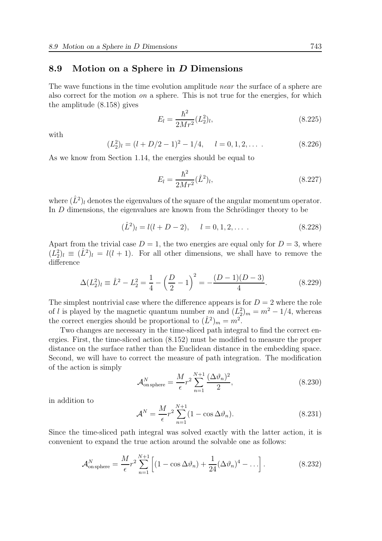#### 8.9 Motion on a Sphere in D Dimensions

The wave functions in the time evolution amplitude *near* the surface of a sphere are also correct for the motion *on* a sphere. This is not true for the energies, for which the amplitude (8.158) gives

$$
E_l = \frac{\hbar^2}{2Mr^2}(L_2^2)_l,
$$
\n(8.225)

with

$$
(L_2^2)_l = (l + D/2 - 1)^2 - 1/4, \quad l = 0, 1, 2, \dots
$$
 (8.226)

As we know from Section 1.14, the energies should be equal to

$$
E_l = \frac{\hbar^2}{2Mr^2} (\hat{L}^2)_l, \tag{8.227}
$$

where  $(\hat{L}^2)_l$  denotes the eigenvalues of the square of the angular momentum operator. In  $D$  dimensions, the eigenvalues are known from the Schrödinger theory to be

$$
(\hat{L}^2)_l = l(l+D-2), \quad l = 0, 1, 2, \dots \tag{8.228}
$$

Apart from the trivial case  $D = 1$ , the two energies are equal only for  $D = 3$ , where  $(L_2^2)_l \equiv (\hat{L}^2)_l = l(l+1)$ . For all other dimensions, we shall have to remove the difference

$$
\Delta (L_2^2)_l \equiv \hat{L}^2 - L_2^2 = \frac{1}{4} - \left(\frac{D}{2} - 1\right)^2 = -\frac{(D - 1)(D - 3)}{4}.
$$
 (8.229)

The simplest nontrivial case where the difference appears is for  $D = 2$  where the role of l is played by the magnetic quantum number m and  $(L_2^2)_m = m^2 - 1/4$ , whereas the correct energies should be proportional to  $(\hat{L}^2)_m = m^2$ .

Two changes are necessary in the time-sliced path integral to find the correct energies. First, the time-sliced action (8.152) must be modified to measure the proper distance on the surface rather than the Euclidean distance in the embedding space. Second, we will have to correct the measure of path integration. The modification of the action is simply

$$
\mathcal{A}_{\text{on sphere}}^N = \frac{M}{\epsilon} r^2 \sum_{n=1}^{N+1} \frac{(\Delta \vartheta_n)^2}{2},\tag{8.230}
$$

in addition to

$$
\mathcal{A}^N = \frac{M}{\epsilon} r^2 \sum_{n=1}^{N+1} (1 - \cos \Delta \vartheta_n).
$$
 (8.231)

Since the time-sliced path integral was solved exactly with the latter action, it is convenient to expand the true action around the solvable one as follows:

$$
\mathcal{A}_{\text{on sphere}}^N = \frac{M}{\epsilon} r^2 \sum_{n=1}^{N+1} \left[ (1 - \cos \Delta \vartheta_n) + \frac{1}{24} (\Delta \vartheta_n)^4 - \ldots \right]. \tag{8.232}
$$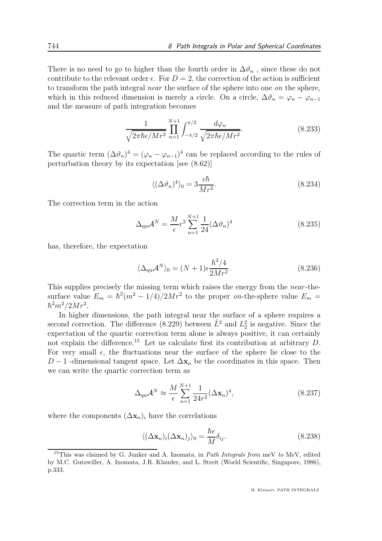There is no need to go to higher than the fourth order in  $\Delta \vartheta_n$ , since these do not contribute to the relevant order  $\epsilon$ . For  $D = 2$ , the correction of the action is sufficient to transform the path integral near the surface of the sphere into one on the sphere, which in this reduced dimension is merely a circle. On a circle,  $\Delta \vartheta_n = \varphi_n - \varphi_{n-1}$ and the measure of path integration becomes

$$
\frac{1}{\sqrt{2\pi\hbar\epsilon/Mr^2}}\prod_{n=1}^{N+1}\int_{-\pi/2}^{\pi/2}\frac{d\varphi_n}{\sqrt{2\pi\hbar\epsilon/Mr^2}}.\tag{8.233}
$$

The quartic term  $(\Delta \vartheta_n)^4 = (\varphi_n - \varphi_{n-1})^4$  can be replaced according to the rules of perturbation theory by its expectation [see (8.62)]

$$
\langle (\Delta \vartheta_n)^4 \rangle_0 = 3 \frac{\epsilon \hbar}{Mr^2}.
$$
 (8.234)

The correction term in the action

$$
\Delta_{\mathbf{qu}} \mathcal{A}^N = \frac{M}{\epsilon} r^2 \sum_{n=1}^{N+1} \frac{1}{24} (\Delta \vartheta_n)^4 \tag{8.235}
$$

has, therefore, the expectation

$$
\langle \Delta_{\rm qu} \mathcal{A}^N \rangle_0 = (N+1) \epsilon \frac{\hbar^2 / 4}{2Mr^2}.
$$
 (8.236)

This supplies precisely the missing term which raises the energy from the *near*-thesurface value  $E_m = \hbar^2 (m^2 - 1/4)/2Mr^2$  to the proper on-the-sphere value  $E_m =$  $\hbar^2 m^2/2Mr^2$ .

In higher dimensions, the path integral near the surface of a sphere requires a second correction. The difference (8.229) between  $\hat{L}^2$  and  $L_2^2$  is negative. Since the expectation of the quartic correction term alone is always positive, it can certainly not explain the difference.<sup>15</sup> Let us calculate first its contribution at arbitrary  $D$ . For very small  $\epsilon$ , the fluctuations near the surface of the sphere lie close to the D − 1 -dimensional tangent space. Let  $\Delta x_n$  be the coordinates in this space. Then we can write the quartic correction term as

$$
\Delta_{\mathbf{qu}} \mathcal{A}^N \approx \frac{M}{\epsilon} \sum_{n=1}^{N+1} \frac{1}{24r^2} (\Delta \mathbf{x}_n)^4, \tag{8.237}
$$

where the components  $(\Delta \mathbf{x}_n)_i$  have the correlations

$$
\langle (\Delta \mathbf{x}_n)_i (\Delta \mathbf{x}_n)_j \rangle_0 = \frac{\hbar \epsilon}{M} \delta_{ij}.
$$
 (8.238)

<sup>&</sup>lt;sup>15</sup>This was claimed by G. Junker and A. Inomata, in *Path Integrals from* meV to MeV, edited by M.C. Gutzwiller, A. Inomata, J.R. Klauder, and L. Streit (World Scientific, Singapore, 1986), p.333.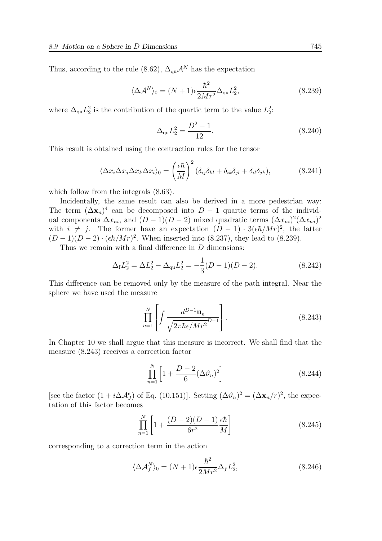Thus, according to the rule (8.62),  $\Delta_{\text{qu}} A^N$  has the expectation

$$
\langle \Delta \mathcal{A}^N \rangle_0 = (N+1) \epsilon \frac{\hbar^2}{2Mr^2} \Delta_{\rm qu} L_2^2,\tag{8.239}
$$

where  $\Delta_{\text{qu}}L_2^2$  is the contribution of the quartic term to the value  $L_2^2$ .

$$
\Delta_{\rm qu} L_2^2 = \frac{D^2 - 1}{12}.\tag{8.240}
$$

This result is obtained using the contraction rules for the tensor

$$
\langle \Delta x_i \Delta x_j \Delta x_k \Delta x_l \rangle_0 = \left(\frac{\epsilon \hbar}{M}\right)^2 (\delta_{ij}\delta_{kl} + \delta_{ik}\delta_{jl} + \delta_{il}\delta_{jk}),\tag{8.241}
$$

which follow from the integrals  $(8.63)$ .

Incidentally, the same result can also be derived in a more pedestrian way: The term  $(\Delta \mathbf{x}_n)^4$  can be decomposed into  $D-1$  quartic terms of the individual components  $\Delta x_{ni}$ , and  $(D-1)(D-2)$  mixed quadratic terms  $(\Delta x_{ni})^2 (\Delta x_{nj})^2$ with  $i \neq j$ . The former have an expectation  $(D-1) \cdot 3(\epsilon \hbar/Mr)^2$ , the latter  $(D-1)(D-2) \cdot (\epsilon \hbar/Mr)^2$ . When inserted into (8.237), they lead to (8.239).

Thus we remain with a final difference in  $D$  dimensions:

$$
\Delta_{\rm f} L_2^2 = \Delta L_2^2 - \Delta_{\rm qu} L_2^2 = -\frac{1}{3}(D-1)(D-2). \tag{8.242}
$$

This difference can be removed only by the measure of the path integral. Near the sphere we have used the measure

$$
\prod_{n=1}^{N} \left[ \int \frac{d^{D-1} \mathbf{u}_n}{\sqrt{2\pi\hbar\epsilon/Mr^2}} \right].
$$
\n(8.243)

In Chapter 10 we shall argue that this measure is incorrect. We shall find that the measure (8.243) receives a correction factor

$$
\prod_{n=1}^{N} \left[ 1 + \frac{D - 2}{6} (\Delta \vartheta_n)^2 \right]
$$
 (8.244)

[see the factor  $(1 + i\Delta A_f^{\epsilon})$  of Eq. (10.151)]. Setting  $(\Delta \vartheta_n)^2 = (\Delta \mathbf{x}_n/r)^2$ , the expectation of this factor becomes

$$
\prod_{n=1}^{N} \left[ 1 + \frac{(D-2)(D-1)}{6r^2} \frac{\epsilon \hbar}{M} \right]
$$
\n(8.245)

corresponding to a correction term in the action

$$
\langle \Delta \mathcal{A}_f^N \rangle_0 = (N+1) \epsilon \frac{\hbar^2}{2Mr^2} \Delta_f L_2^2, \tag{8.246}
$$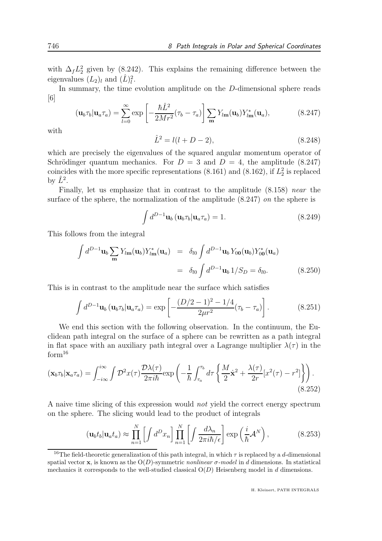with  $\Delta_f L_2^2$  given by (8.242). This explains the remaining difference between the eigenvalues  $(L_2)_l$  and  $(\hat{L})_l^2$ .

In summary, the time evolution amplitude on the D-dimensional sphere reads [6]

$$
(\mathbf{u}_b \tau_b | \mathbf{u}_a \tau_a) = \sum_{l=0}^{\infty} \exp\left[-\frac{\hbar \hat{L}^2}{2Mr^2} (\tau_b - \tau_a)\right] \sum_{\mathbf{m}} Y_{l\mathbf{m}}(\mathbf{u}_b) Y_{l\mathbf{m}}^*(\mathbf{u}_a),\tag{8.247}
$$

with

$$
\hat{L}^2 = l(l+D-2),\tag{8.248}
$$

which are precisely the eigenvalues of the squared angular momentum operator of Schrödinger quantum mechanics. For  $D = 3$  and  $D = 4$ , the amplitude (8.247) coincides with the more specific representations (8.161) and (8.162), if  $L_2^2$  is replaced by  $\hat{L}^2$ .

Finally, let us emphasize that in contrast to the amplitude  $(8.158)$  near the surface of the sphere, the normalization of the amplitude  $(8.247)$  on the sphere is

$$
\int d^{D-1} \mathbf{u}_b \left( \mathbf{u}_b \tau_b | \mathbf{u}_a \tau_a \right) = 1. \tag{8.249}
$$

This follows from the integral

$$
\int d^{D-1} \mathbf{u}_b \sum_{\mathbf{m}} Y_{l\mathbf{m}}(\mathbf{u}_b) Y_{l\mathbf{m}}^*(\mathbf{u}_a) = \delta_{l0} \int d^{D-1} \mathbf{u}_b Y_{00}(\mathbf{u}_b) Y_{00}^*(\mathbf{u}_a)
$$
  
=  $\delta_{l0} \int d^{D-1} \mathbf{u}_b 1/S_D = \delta_{l0}.$  (8.250)

This is in contrast to the amplitude near the surface which satisfies

$$
\int d^{D-1} \mathbf{u}_b \left( \mathbf{u}_b \tau_b | \mathbf{u}_a \tau_a \right) = \exp \left[ -\frac{(D/2 - 1)^2 - 1/4}{2\mu^2} (\tau_b - \tau_a) \right]. \tag{8.251}
$$

We end this section with the following observation. In the continuum, the Euclidean path integral on the surface of a sphere can be rewritten as a path integral in flat space with an auxiliary path integral over a Lagrange multiplier  $\lambda(\tau)$  in the  $\mathrm{form^{16}}$ 

$$
(\mathbf{x}_b \tau_b | \mathbf{x}_a \tau_a) = \int_{-i\infty}^{i\infty} \int \mathcal{D}^2 x(\tau) \frac{\mathcal{D}\lambda(\tau)}{2\pi i\hbar} \exp\left(-\frac{1}{\hbar} \int_{\tau_a}^{\tau_b} d\tau \left\{ \frac{M}{2} \dot{\mathbf{x}}^2 + \frac{\lambda(\tau)}{2r} [x^2(\tau) - r^2] \right\} \right). \tag{8.252}
$$

A naive time slicing of this expression would not yield the correct energy spectrum on the sphere. The slicing would lead to the product of integrals

$$
(\mathbf{u}_b t_b | \mathbf{u}_a t_a) \approx \prod_{n=1}^N \left[ \int d^D x_n \right] \prod_{n=1}^N \left[ \int \frac{d\lambda_n}{2\pi i\hbar/\epsilon} \right] \exp\left(\frac{i}{\hbar} \mathcal{A}^N\right),\tag{8.253}
$$

<sup>&</sup>lt;sup>16</sup>The field-theoretic generalization of this path integral, in which  $\tau$  is replaced by a d-dimensional spatial vector x, is known as the  $O(D)$ -symmetric *nonlinear*  $\sigma$ -model in d dimensions. In statistical mechanics it corresponds to the well-studied classical  $O(D)$  Heisenberg model in d dimensions.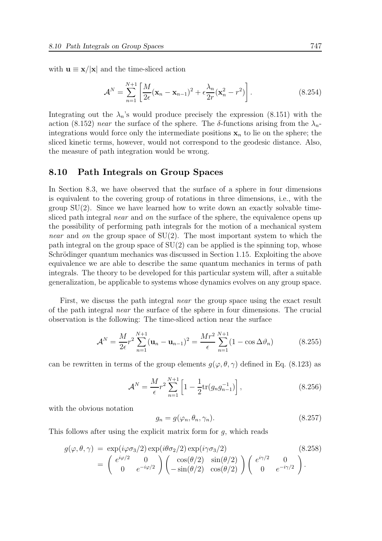with  $\mathbf{u} \equiv \mathbf{x}/|\mathbf{x}|$  and the time-sliced action

$$
\mathcal{A}^N = \sum_{n=1}^{N+1} \left[ \frac{M}{2\epsilon} (\mathbf{x}_n - \mathbf{x}_{n-1})^2 + \epsilon \frac{\lambda_n}{2r} (\mathbf{x}_n^2 - r^2) \right]. \tag{8.254}
$$

Integrating out the  $\lambda_n$ 's would produce precisely the expression (8.151) with the action (8.152) near the surface of the sphere. The  $\delta$ -functions arising from the  $\lambda_n$ integrations would force only the intermediate positions  $x_n$  to lie on the sphere; the sliced kinetic terms, however, would not correspond to the geodesic distance. Also, the measure of path integration would be wrong.

#### 8.10 Path Integrals on Group Spaces

In Section 8.3, we have observed that the surface of a sphere in four dimensions is equivalent to the covering group of rotations in three dimensions, i.e., with the group  $SU(2)$ . Since we have learned how to write down an exactly solvable timesliced path integral *near* and *on* the surface of the sphere, the equivalence opens up the possibility of performing path integrals for the motion of a mechanical system *near* and *on* the group space of  $SU(2)$ . The most important system to which the path integral on the group space of  $SU(2)$  can be applied is the spinning top, whose Schrödinger quantum mechanics was discussed in Section 1.15. Exploiting the above equivalence we are able to describe the same quantum mechanics in terms of path integrals. The theory to be developed for this particular system will, after a suitable generalization, be applicable to systems whose dynamics evolves on any group space.

First, we discuss the path integral near the group space using the exact result of the path integral near the surface of the sphere in four dimensions. The crucial observation is the following: The time-sliced action near the surface

$$
\mathcal{A}^{N} = \frac{M}{2\epsilon} r^{2} \sum_{n=1}^{N+1} (\mathbf{u}_{n} - \mathbf{u}_{n-1})^{2} = \frac{Mr^{2}}{\epsilon} \sum_{n=1}^{N+1} (1 - \cos \Delta \vartheta_{n})
$$
(8.255)

can be rewritten in terms of the group elements  $g(\varphi, \theta, \gamma)$  defined in Eq. (8.123) as

$$
\mathcal{A}^N = \frac{M}{\epsilon} r^2 \sum_{n=1}^{N+1} \left[ 1 - \frac{1}{2} \text{tr}(g_n g_{n-1}^{-1}) \right], \tag{8.256}
$$

with the obvious notation

$$
g_n = g(\varphi_n, \theta_n, \gamma_n). \tag{8.257}
$$

This follows after using the explicit matrix form for  $g$ , which reads

$$
g(\varphi, \theta, \gamma) = \exp(i\varphi \sigma_3/2) \exp(i\theta \sigma_2/2) \exp(i\gamma \sigma_3/2)
$$
\n
$$
= \begin{pmatrix} e^{i\varphi/2} & 0 \\ 0 & e^{-i\varphi/2} \end{pmatrix} \begin{pmatrix} \cos(\theta/2) & \sin(\theta/2) \\ -\sin(\theta/2) & \cos(\theta/2) \end{pmatrix} \begin{pmatrix} e^{i\gamma/2} & 0 \\ 0 & e^{-i\gamma/2} \end{pmatrix}.
$$
\n(8.258)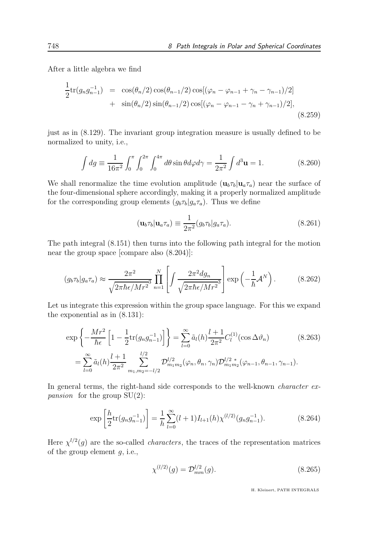After a little algebra we find

$$
\frac{1}{2} \text{tr}(g_n g_{n-1}^{-1}) = \cos(\theta_n/2) \cos(\theta_{n-1}/2) \cos[(\varphi_n - \varphi_{n-1} + \gamma_n - \gamma_{n-1})/2] \n+ \sin(\theta_n/2) \sin(\theta_{n-1}/2) \cos[(\varphi_n - \varphi_{n-1} - \gamma_n + \gamma_{n-1})/2],
$$
\n(8.259)

just as in (8.129). The invariant group integration measure is usually defined to be normalized to unity, i.e.,

$$
\int dg \equiv \frac{1}{16\pi^2} \int_0^{\pi} \int_0^{2\pi} \int_0^{4\pi} d\theta \sin \theta d\varphi d\gamma = \frac{1}{2\pi^2} \int d^3 \mathbf{u} = 1.
$$
 (8.260)

We shall renormalize the time evolution amplitude  $(\mathbf{u}_b \tau_b | \mathbf{u}_a \tau_a)$  near the surface of the four-dimensional sphere accordingly, making it a properly normalized amplitude for the corresponding group elements  $(g_b\tau_b|g_a\tau_a)$ . Thus we define

$$
(\mathbf{u}_b \tau_b | \mathbf{u}_a \tau_a) \equiv \frac{1}{2\pi^2} (g_b \tau_b | g_a \tau_a). \tag{8.261}
$$

The path integral (8.151) then turns into the following path integral for the motion near the group space [compare also (8.204)]:

$$
(g_b \tau_b | g_a \tau_a) \approx \frac{2\pi^2}{\sqrt{2\pi\hbar\epsilon/Mr^2}} \prod_{n=1}^N \left[ \int \frac{2\pi^2 dg_n}{\sqrt{2\pi\hbar\epsilon/Mr^2}} \right] \exp\left(-\frac{1}{\hbar} \mathcal{A}^N\right). \tag{8.262}
$$

Let us integrate this expression within the group space language. For this we expand the exponential as in (8.131):

$$
\exp\left\{-\frac{Mr^2}{\hbar\epsilon}\left[1-\frac{1}{2}\text{tr}(g_n g_{n-1}^{-1})\right]\right\} = \sum_{l=0}^{\infty} \tilde{a}_l(h) \frac{l+1}{2\pi^2} C_l^{(1)}(\cos\Delta\vartheta_n) \tag{8.263}
$$
\n
$$
= \sum_{l=0}^{\infty} \tilde{a}_l(h) \frac{l+1}{2\pi^2} \sum_{m_1,m_2=-l/2}^{l/2} \mathcal{D}_{m_1m_2}^{l/2}(\varphi_n, \theta_n, \gamma_n) \mathcal{D}_{m_1m_2}^{l/2 \,*}(\varphi_{n-1}, \theta_{n-1}, \gamma_{n-1}).
$$

In general terms, the right-hand side corresponds to the well-known *character expansion* for the group  $SU(2)$ :

$$
\exp\left[\frac{h}{2}\text{tr}(g_n g_{n-1}^{-1})\right] = \frac{1}{h}\sum_{l=0}^{\infty} (l+1)I_{l+1}(h)\chi^{(l/2)}(g_n g_{n-1}^{-1}).\tag{8.264}
$$

Here  $\chi^{1/2}(g)$  are the so-called *characters*, the traces of the representation matrices of the group element  $g$ , i.e.,

$$
\chi^{(l/2)}(g) = \mathcal{D}_{mm}^{l/2}(g). \tag{8.265}
$$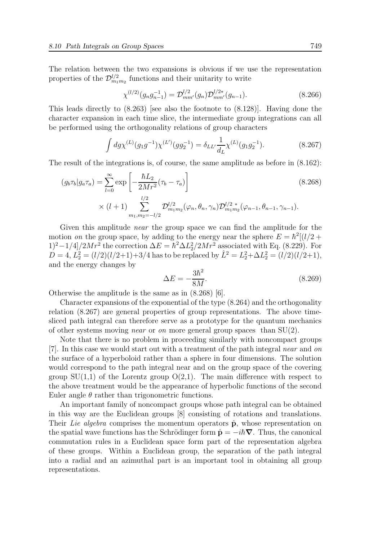The relation between the two expansions is obvious if we use the representation properties of the  $\mathcal{D}_{m_1m_2}^{l/2}$  functions and their unitarity to write

$$
\chi^{(l/2)}(g_n g_{n-1}^{-1}) = \mathcal{D}_{mm'}^{l/2}(g_n) \mathcal{D}_{mm'}^{l/2*}(g_{n-1}).
$$
\n(8.266)

This leads directly to (8.263) [see also the footnote to (8.128)]. Having done the character expansion in each time slice, the intermediate group integrations can all be performed using the orthogonality relations of group characters

$$
\int dg \chi^{(L)}(g_1 g^{-1}) \chi^{(L')}(gg_2^{-1}) = \delta_{LL'} \frac{1}{d_L} \chi^{(L)}(g_1 g_2^{-1}). \tag{8.267}
$$

The result of the integrations is, of course, the same amplitude as before in (8.162):

$$
(g_b \tau_b | g_a \tau_a) = \sum_{l=0}^{\infty} \exp\left[-\frac{\hbar L_2}{2Mr^2} (\tau_b - \tau_a)\right]
$$
\n
$$
\times (l+1) \sum_{m_1, m_2=-l/2}^{l/2} \mathcal{D}_{m_1 m_2}^{l/2} (\varphi_n, \theta_n, \gamma_n) \mathcal{D}_{m_1 m_2}^{l/2 \,*} (\varphi_{n-1}, \theta_{n-1}, \gamma_{n-1}).
$$
\n(8.268)

Given this amplitude near the group space we can find the amplitude for the motion on the group space, by adding to the energy near the sphere  $E = \hbar^2[(l/2 +$  $(1)^2-1/4]/2Mr^2$  the correction  $\Delta E = \hbar^2 \Delta L_2^2/2Mr^2$  associated with Eq. (8.229). For  $D=4, L_2^2=(l/2)(l/2+1)+3/4$  has to be replaced by  $\hat{L}^2=L_2^2+\Delta L_2^2=(l/2)(l/2+1),$ and the energy changes by

$$
\Delta E = -\frac{3\hbar^2}{8M}.\tag{8.269}
$$

Otherwise the amplitude is the same as in (8.268) [6].

Character expansions of the exponential of the type (8.264) and the orthogonality relation (8.267) are general properties of group representations. The above timesliced path integral can therefore serve as a prototype for the quantum mechanics of other systems moving *near* or *on* more general group spaces than  $SU(2)$ .

Note that there is no problem in proceeding similarly with noncompact groups [7]. In this case we would start out with a treatment of the path integral near and on the surface of a hyperboloid rather than a sphere in four dimensions. The solution would correspond to the path integral near and on the group space of the covering group  $SU(1,1)$  of the Lorentz group  $O(2,1)$ . The main difference with respect to the above treatment would be the appearance of hyperbolic functions of the second Euler angle  $\theta$  rather than trigonometric functions.

An important family of noncompact groups whose path integral can be obtained in this way are the Euclidean groups [8] consisting of rotations and translations. Their Lie algebra comprises the momentum operators  $\hat{p}$ , whose representation on the spatial wave functions has the Schrödinger form  $\hat{\mathbf{p}} = -i\hbar\boldsymbol{\nabla}$ . Thus, the canonical commutation rules in a Euclidean space form part of the representation algebra of these groups. Within a Euclidean group, the separation of the path integral into a radial and an azimuthal part is an important tool in obtaining all group representations.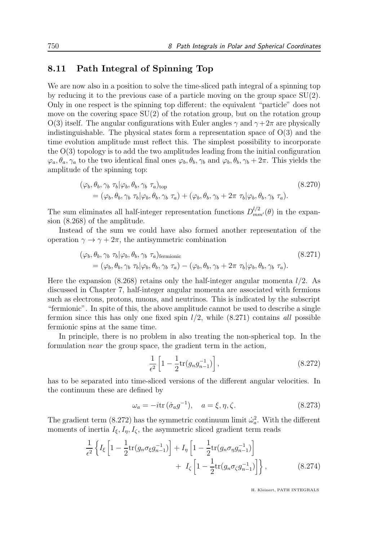#### 8.11 Path Integral of Spinning Top

We are now also in a position to solve the time-sliced path integral of a spinning top by reducing it to the previous case of a particle moving on the group space  $SU(2)$ . Only in one respect is the spinning top different: the equivalent "particle" does not move on the covering space  $SU(2)$  of the rotation group, but on the rotation group  $O(3)$  itself. The angular configurations with Euler angles  $\gamma$  and  $\gamma + 2\pi$  are physically indistinguishable. The physical states form a representation space of  $O(3)$  and the time evolution amplitude must reflect this. The simplest possibility to incorporate the  $O(3)$  topology is to add the two amplitudes leading from the initial configuration  $\varphi_a, \theta_a, \gamma_a$  to the two identical final ones  $\varphi_b, \theta_b, \gamma_b$  and  $\varphi_b, \theta_b, \gamma_b + 2\pi$ . This yields the amplitude of the spinning top:

$$
(\varphi_b, \theta_b, \gamma_b \tau_b | \varphi_b, \theta_b, \gamma_b \tau_a)_{\text{top}}
$$
  
=  $(\varphi_b, \theta_b, \gamma_b \tau_b | \varphi_b, \theta_b, \gamma_b \tau_a) + (\varphi_b, \theta_b, \gamma_b + 2\pi \tau_b | \varphi_b, \theta_b, \gamma_b \tau_a).$  (8.270)

The sum eliminates all half-integer representation functions  $D_{mm'}^{l/2}(\theta)$  in the expansion (8.268) of the amplitude.

Instead of the sum we could have also formed another representation of the operation  $\gamma \to \gamma + 2\pi$ , the antisymmetric combination

$$
(\varphi_b, \theta_b, \gamma_b \tau_b | \varphi_b, \theta_b, \gamma_b \tau_a)_{\text{fermionic}}
$$
  
=  $(\varphi_b, \theta_b, \gamma_b \tau_b | \varphi_b, \theta_b, \gamma_b \tau_a) - (\varphi_b, \theta_b, \gamma_b + 2\pi \tau_b | \varphi_b, \theta_b, \gamma_b \tau_a).$  (8.271)

Here the expansion (8.268) retains only the half-integer angular momenta  $l/2$ . As discussed in Chapter 7, half-integer angular momenta are associated with fermions such as electrons, protons, muons, and neutrinos. This is indicated by the subscript "fermionic". In spite of this, the above amplitude cannot be used to describe a single fermion since this has only one fixed spin  $l/2$ , while  $(8.271)$  contains all possible fermionic spins at the same time.

In principle, there is no problem in also treating the non-spherical top. In the formulation near the group space, the gradient term in the action,

$$
\frac{1}{\epsilon^2} \left[ 1 - \frac{1}{2} \text{tr}(g_n g_{n-1}^{-1}) \right],\tag{8.272}
$$

has to be separated into time-sliced versions of the different angular velocities. In the continuum these are defined by

$$
\omega_a = -i \text{tr} \, (\dot{\sigma}_a g^{-1}), \quad a = \xi, \eta, \zeta. \tag{8.273}
$$

The gradient term (8.272) has the symmetric continuum limit  $\dot{\omega}_a^2$ . With the different moments of inertia  $I_{\xi}, I_{\eta}, I_{\zeta}$ , the asymmetric sliced gradient term reads

$$
\frac{1}{\epsilon^2} \left\{ I_{\xi} \left[ 1 - \frac{1}{2} \text{tr}(g_n \sigma_{\xi} g_{n-1}^{-1}) \right] + I_{\eta} \left[ 1 - \frac{1}{2} \text{tr}(g_n \sigma_{\eta} g_{n-1}^{-1}) \right] + I_{\zeta} \left[ 1 - \frac{1}{2} \text{tr}(g_n \sigma_{\zeta} g_{n-1}^{-1}) \right] \right\},
$$
\n(8.274)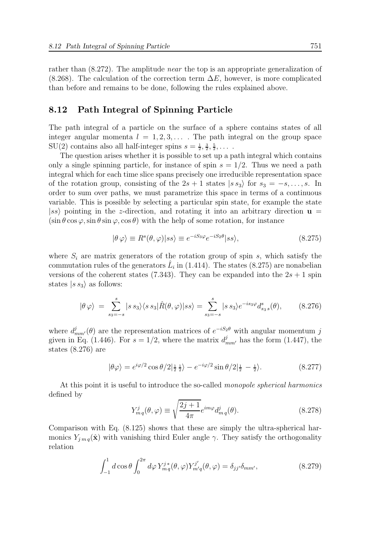rather than (8.272). The amplitude near the top is an appropriate generalization of  $(8.268)$ . The calculation of the correction term  $\Delta E$ , however, is more complicated than before and remains to be done, following the rules explained above.

#### 8.12 Path Integral of Spinning Particle

The path integral of a particle on the surface of a sphere contains states of all integer angular momenta  $l = 1, 2, 3, \ldots$ . The path integral on the group space  $SU(2)$  contains also all half-integer spins  $s = \frac{1}{2}, \frac{3}{2}, \frac{5}{2}, \dots$ .

The question arises whether it is possible to set up a path integral which contains only a single spinning particle, for instance of spin  $s = 1/2$ . Thus we need a path integral which for each time slice spans precisely one irreducible representation space of the rotation group, consisting of the  $2s + 1$  states  $|s s_3\rangle$  for  $s_3 = -s, \ldots, s$ . In order to sum over paths, we must parametrize this space in terms of a continuous variable. This is possible by selecting a particular spin state, for example the state  $|ss\rangle$  pointing in the z-direction, and rotating it into an arbitrary direction  $\mathbf{u} =$  $(\sin \theta \cos \varphi, \sin \theta \sin \varphi, \cos \theta)$  with the help of some rotation, for instance

$$
|\theta \varphi\rangle \equiv R^s(\theta, \varphi)|ss\rangle \equiv e^{-iS_3\varphi}e^{-iS_2\theta}|ss\rangle, \tag{8.275}
$$

where  $S_i$  are matrix generators of the rotation group of spin s, which satisfy the commutation rules of the generators  $\hat{L}_i$  in (1.414). The states (8.275) are nonabelian versions of the coherent states (7.343). They can be expanded into the  $2s + 1$  spin states  $|s s_3\rangle$  as follows:

$$
|\theta \varphi\rangle = \sum_{s_3=-s}^{s} |s \, s_3\rangle \langle s \, s_3 | \hat{R}(\theta, \varphi) | s s \rangle = \sum_{s_3=-s}^{s} |s \, s_3\rangle e^{-is_3\varphi} d_{s_3 s}^s(\theta), \tag{8.276}
$$

where  $d_{mm'}^j(\theta)$  are the representation matrices of  $e^{-iS_2\theta}$  with angular momentum j given in Eq. (1.446). For  $s = 1/2$ , where the matrix  $d_{mm'}^j$  has the form (1.447), the states (8.276) are

$$
|\theta\varphi\rangle = e^{i\varphi/2}\cos\theta/2|\frac{1}{2}\frac{1}{2}\rangle - e^{-i\varphi/2}\sin\theta/2|\frac{1}{2} - \frac{1}{2}\rangle. \tag{8.277}
$$

At this point it is useful to introduce the so-called monopole spherical harmonics defined by

$$
Y_{mq}^{j}(\theta,\varphi) \equiv \sqrt{\frac{2j+1}{4\pi}} e^{im\varphi} d_{mq}^{j}(\theta). \tag{8.278}
$$

Comparison with Eq. (8.125) shows that these are simply the ultra-spherical harmonics  $Y_{j m q}(\hat{x})$  with vanishing third Euler angle  $\gamma$ . They satisfy the orthogonality relation

$$
\int_{-1}^{1} d\cos\theta \int_{0}^{2\pi} d\varphi Y_{mq}^{j*}(\theta, \varphi) Y_{m'q}^{j'}(\theta, \varphi) = \delta_{jj'} \delta_{mm'},
$$
\n(8.279)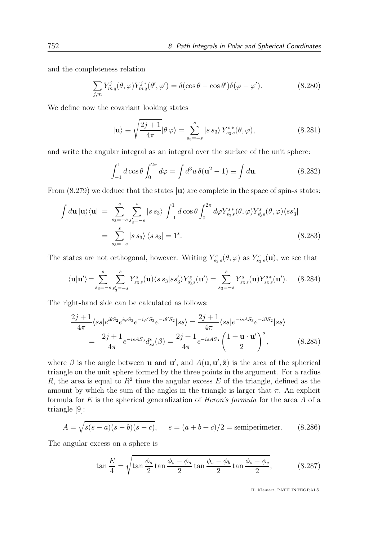and the completeness relation

$$
\sum_{j,m} Y_{mq}^j(\theta,\varphi) Y_{mq}^{j*}(\theta',\varphi') = \delta(\cos\theta - \cos\theta')\delta(\varphi - \varphi'). \tag{8.280}
$$

We define now the covariant looking states

$$
|\mathbf{u}\rangle \equiv \sqrt{\frac{2j+1}{4\pi}} |\theta \varphi\rangle = \sum_{s_3=-s}^{s} |s \, s_3\rangle \, Y_{s_3 \, s}^{s \, *}(\theta, \varphi), \tag{8.281}
$$

and write the angular integral as an integral over the surface of the unit sphere:

$$
\int_{-1}^{1} d\cos\theta \int_{0}^{2\pi} d\varphi = \int d^{3}u \,\delta(\mathbf{u}^{2} - 1) \equiv \int d\mathbf{u}.\tag{8.282}
$$

From  $(8.279)$  we deduce that the states  $|u\rangle$  are complete in the space of spin-s states:

$$
\int d\mathbf{u} \, |\mathbf{u}\rangle \langle \mathbf{u}| = \sum_{s_3 = -s}^{s} \sum_{s'_3 = -s}^{s} |s \, s_3\rangle \int_{-1}^{1} d\cos\theta \int_{0}^{2\pi} d\varphi Y_{s_3}^{s*}(\theta, \varphi) Y_{s'_3}^{s}(\theta, \varphi) \langle s s'_3|
$$

$$
= \sum_{s_3 = -s}^{s} |s \, s_3\rangle \langle s \, s_3| = 1^s. \tag{8.283}
$$

The states are not orthogonal, however. Writing  $Y_{s_3 s}^s(\theta, \varphi)$  as  $Y_{s_3 s}^s(\mathbf{u})$ , we see that

$$
\langle \mathbf{u} | \mathbf{u}' \rangle = \sum_{s_3 = -s}^{s} \sum_{s'_3 = -s}^{s} Y_{s_3}^s(\mathbf{u}) \langle s \, s_3 | s s'_3 \rangle Y_{s'_3}^s(\mathbf{u}') = \sum_{s_3 = -s}^{s} Y_{s_3}^s(\mathbf{u}) Y_{s_3}^{s*}(\mathbf{u}'). \tag{8.284}
$$

The right-hand side can be calculated as follows:

$$
\frac{2j+1}{4\pi} \langle ss | e^{i\theta S_2} e^{i\varphi S_3} e^{-i\varphi' S_3} e^{-i\theta' S_2} | ss \rangle = \frac{2j+1}{4\pi} \langle ss | e^{-isAS_3} e^{-i\beta S_2} | ss \rangle \n= \frac{2j+1}{4\pi} e^{-isAS_3} d_{ss}^s(\beta) = \frac{2j+1}{4\pi} e^{-isAS_3} \left(\frac{1+\mathbf{u}\cdot\mathbf{u}'}{2}\right)^s,
$$
\n(8.285)

where  $\beta$  is the angle between **u** and **u'**, and  $A(\mathbf{u}, \mathbf{u}', \hat{\mathbf{z}})$  is the area of the spherical triangle on the unit sphere formed by the three points in the argument. For a radius R, the area is equal to  $R^2$  time the angular excess E of the triangle, defined as the amount by which the sum of the angles in the triangle is larger that  $\pi$ . An explicit formula for  $E$  is the spherical generalization of *Heron's formula* for the area  $A$  of a triangle [9]:

$$
A = \sqrt{s(s-a)(s-b)(s-c)}, \quad s = (a+b+c)/2 = \text{semiperimeter.} \tag{8.286}
$$

The angular excess on a sphere is

$$
\tan\frac{E}{4} = \sqrt{\tan\frac{\phi_s}{2}\tan\frac{\phi_s-\phi_a}{2}\tan\frac{\phi_s-\phi_b}{2}\tan\frac{\phi_s-\phi_c}{2}},\tag{8.287}
$$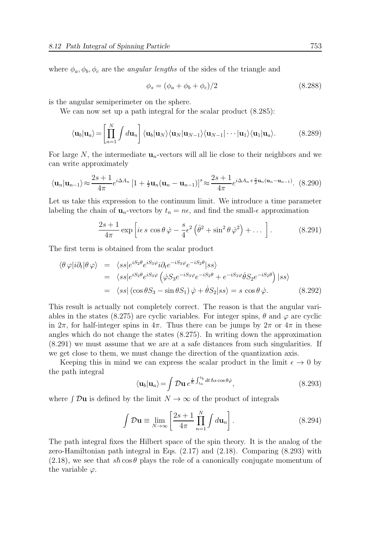where  $\phi_a, \phi_b, \phi_c$  are the *angular lengths* of the sides of the triangle and

$$
\phi_s = (\phi_a + \phi_b + \phi_c)/2 \tag{8.288}
$$

is the angular semiperimeter on the sphere.

We can now set up a path integral for the scalar product  $(8.285)$ :

$$
\langle \mathbf{u}_b | \mathbf{u}_a \rangle = \left[ \prod_{n=1}^N \int d\mathbf{u}_n \right] \langle \mathbf{u}_b | \mathbf{u}_N \rangle \langle \mathbf{u}_N | \mathbf{u}_{N-1} \rangle \langle \mathbf{u}_{N-1} | \cdots | \mathbf{u}_1 \rangle \langle \mathbf{u}_1 | \mathbf{u}_a \rangle. \tag{8.289}
$$

For large N, the intermediate  $\mathbf{u}_n$ -vectors will all lie close to their neighbors and we can write approximately

$$
\langle \mathbf{u}_n | \mathbf{u}_{n-1} \rangle \approx \frac{2s+1}{4\pi} e^{i\Delta A_n} \left[ 1 + \frac{1}{2} \mathbf{u}_n (\mathbf{u}_n - \mathbf{u}_{n-1}) \right]^s \approx \frac{2s+1}{4\pi} e^{i\Delta A_n + \frac{s}{2} \mathbf{u}_n (\mathbf{u}_n - \mathbf{u}_{n-1})}. \tag{8.290}
$$

Let us take this expression to the continuum limit. We introduce a time parameter labeling the chain of  $\mathbf{u}_n$ -vectors by  $t_n = n\epsilon$ , and find the small- $\epsilon$  approximation

$$
\frac{2s+1}{4\pi} \exp\left[i\epsilon \, s \, \cos\theta \, \dot{\varphi} - \frac{s}{4} \epsilon^2 \left(\dot{\theta}^2 + \sin^2\theta \, \dot{\varphi}^2\right) + \dots\right].\tag{8.291}
$$

The first term is obtained from the scalar product

$$
\langle \theta \varphi | i \partial_t | \theta \varphi \rangle = \langle s s | e^{i S_2 \theta} e^{i S_3 \varphi} i \partial_t e^{-i S_3 \varphi} e^{-i S_2 \theta} | s s \rangle
$$
  
\n
$$
= \langle s s | e^{i S_2 \theta} e^{i S_3 \varphi} \left( \dot{\varphi} S_3 e^{-i S_3 \varphi} e^{-i S_2 \theta} + e^{-i S_3 \varphi} \dot{\theta} S_2 e^{-i S_2 \theta} \right) | s s \rangle
$$
  
\n
$$
= \langle s s | (\cos \theta S_3 - \sin \theta S_1) \dot{\varphi} + \dot{\theta} S_2 | s s \rangle = s \cos \theta \dot{\varphi}.
$$
 (8.292)

This result is actually not completely correct. The reason is that the angular variables in the states (8.275) are cyclic variables. For integer spins,  $\theta$  and  $\varphi$  are cyclic in  $2\pi$ , for half-integer spins in  $4\pi$ . Thus there can be jumps by  $2\pi$  or  $4\pi$  in these angles which do not change the states (8.275). In writing down the approximation (8.291) we must assume that we are at a safe distances from such singularities. If we get close to them, we must change the direction of the quantization axis.

Keeping this in mind we can express the scalar product in the limit  $\epsilon \to 0$  by the path integral

$$
\langle \mathbf{u}_b | \mathbf{u}_a \rangle = \int \mathcal{D} \mathbf{u} \, e^{\frac{i}{\hbar} \int_{t_a}^{t_b} dt \,\hbar s \cos \theta \dot{\varphi}}, \tag{8.293}
$$

where  $\int \mathcal{D}\mathbf{u}$  is defined by the limit  $N \to \infty$  of the product of integrals

$$
\int \mathcal{D}\mathbf{u} \equiv \lim_{N \to \infty} \left[ \frac{2s+1}{4\pi} \prod_{n=1}^{N} \int d\mathbf{u}_n \right].
$$
 (8.294)

The path integral fixes the Hilbert space of the spin theory. It is the analog of the zero-Hamiltonian path integral in Eqs. (2.17) and (2.18). Comparing (8.293) with (2.18), we see that  $s\hbar \cos\theta$  plays the role of a canonically conjugate momentum of the variable  $\varphi$ .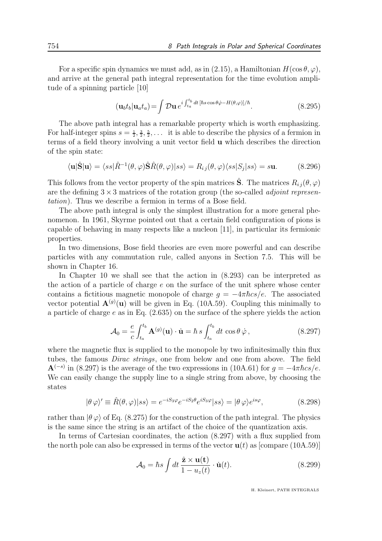For a specific spin dynamics we must add, as in (2.15), a Hamiltonian  $H(\cos \theta, \varphi)$ , and arrive at the general path integral representation for the time evolution amplitude of a spinning particle [10]

$$
(\mathbf{u}_b t_b | \mathbf{u}_a t_a) = \int \mathcal{D}\mathbf{u} \, e^{i \int_{t_a}^{t_b} dt \, [\hbar s \cos \theta \dot{\varphi} - H(\theta, \varphi)]/\hbar}.
$$
\n(8.295)

The above path integral has a remarkable property which is worth emphasizing. For half-integer spins  $s = \frac{1}{2}, \frac{3}{2}, \frac{5}{2}, \ldots$  it is able to describe the physics of a fermion in terms of a field theory involving a unit vector field u which describes the direction of the spin state:

$$
\langle \mathbf{u} | \hat{\mathbf{S}} | \mathbf{u} \rangle = \langle ss | \hat{R}^{-1}(\theta, \varphi) \hat{\mathbf{S}} \hat{R}(\theta, \varphi) | ss \rangle = R_{ij}(\theta, \varphi) \langle ss | S_j | ss \rangle = s \mathbf{u}.
$$
 (8.296)

This follows from the vector property of the spin matrices  $\tilde{S}$ . The matrices  $R_{ij}(\theta, \varphi)$ are the defining  $3 \times 3$  matrices of the rotation group (the so-called *adjoint represen*tation). Thus we describe a fermion in terms of a Bose field.

The above path integral is only the simplest illustration for a more general phenomenon. In 1961, Skyrme pointed out that a certain field configuration of pions is capable of behaving in many respects like a nucleon [11], in particular its fermionic properties.

In two dimensions, Bose field theories are even more powerful and can describe particles with any commutation rule, called anyons in Section 7.5. This will be shown in Chapter 16.

In Chapter 10 we shall see that the action in (8.293) can be interpreted as the action of a particle of charge  $e$  on the surface of the unit sphere whose center contains a fictitious magnetic monopole of charge  $g = -4\pi \hbar c s/e$ . The associated vector potential  $\mathbf{A}^{(g)}(u)$  will be given in Eq. (10A.59). Coupling this minimally to a particle of charge  $e$  as in Eq.  $(2.635)$  on the surface of the sphere yields the action

$$
\mathcal{A}_0 = \frac{e}{c} \int_{t_a}^{t_b} \mathbf{A}^{(g)}(\mathbf{u}) \cdot \dot{\mathbf{u}} = \hbar s \int_{t_a}^{t_b} dt \, \cos \theta \, \dot{\varphi} \,, \tag{8.297}
$$

where the magnetic flux is supplied to the monopole by two infinitesimally thin flux tubes, the famous Dirac strings, one from below and one from above. The field  $\mathbf{A}^{(-s)}$  in (8.297) is the average of the two expressions in (10A.61) for  $g = -4\pi \hbar cs/e$ . We can easily change the supply line to a single string from above, by choosing the states

$$
|\theta \varphi\rangle' \equiv \hat{R}(\theta, \varphi)|ss\rangle = e^{-iS_3\varphi}e^{-iS_2\theta}e^{iS_3\varphi}|ss\rangle = |\theta \varphi\rangle e^{is\varphi},\tag{8.298}
$$

rather than  $|\theta \varphi\rangle$  of Eq. (8.275) for the construction of the path integral. The physics is the same since the string is an artifact of the choice of the quantization axis.

In terms of Cartesian coordinates, the action (8.297) with a flux supplied from the north pole can also be expressed in terms of the vector  $\mathbf{u}(t)$  as [compare (10A.59)]

$$
\mathcal{A}_0 = \hbar s \int dt \, \frac{\hat{\mathbf{z}} \times \mathbf{u}(\mathbf{t})}{1 - u_z(t)} \cdot \dot{\mathbf{u}}(t). \tag{8.299}
$$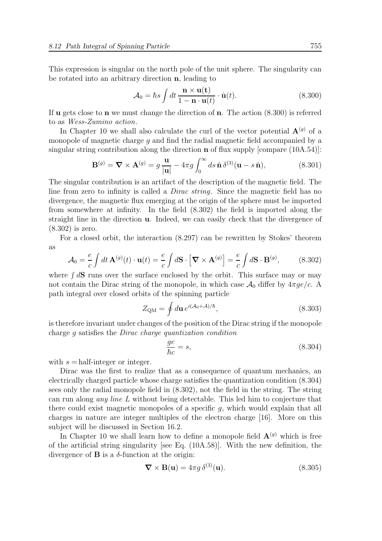This expression is singular on the north pole of the unit sphere. The singularity can be rotated into an arbitrary direction n, leading to

$$
\mathcal{A}_0 = \hbar s \int dt \, \frac{\mathbf{n} \times \mathbf{u}(\mathbf{t})}{1 - \mathbf{n} \cdot \mathbf{u}(t)} \cdot \dot{\mathbf{u}}(t). \tag{8.300}
$$

If **u** gets close to **n** we must change the direction of **n**. The action  $(8.300)$  is referred to as Wess-Zumino action.

In Chapter 10 we shall also calculate the curl of the vector potential  $\mathbf{A}^{(g)}$  of a monopole of magnetic charge  $g$  and find the radial magnetic field accompanied by a singular string contribution along the direction n of flux supply [compare (10A.54)]:

$$
\mathbf{B}^{(g)} = \nabla \times \mathbf{A}^{(g)} = g \frac{\mathbf{u}}{|\mathbf{u}|} - 4\pi g \int_0^\infty ds \,\hat{\mathbf{n}} \,\delta^{(3)}(\mathbf{u} - s \,\hat{\mathbf{n}}),\tag{8.301}
$$

The singular contribution is an artifact of the description of the magnetic field. The line from zero to infinity is called a *Dirac string*. Since the magnetic field has no divergence, the magnetic flux emerging at the origin of the sphere must be imported from somewhere at infinity. In the field (8.302) the field is imported along the straight line in the direction u. Indeed, we can easily check that the divergence of (8.302) is zero.

For a closed orbit, the interaction (8.297) can be rewritten by Stokes' theorem as

$$
\mathcal{A}_0 = \frac{e}{c} \int dt \,\mathbf{A}^{(g)}(t) \cdot \mathbf{u}(t) = \frac{e}{c} \int d\mathbf{S} \cdot \left[ \mathbf{\nabla} \times \mathbf{A}^{(g)} \right] = \frac{e}{c} \int d\mathbf{S} \cdot \mathbf{B}^{(g)}, \quad (8.302)
$$

where  $\int d\mathbf{S}$  runs over the surface enclosed by the orbit. This surface may or may not contain the Dirac string of the monopole, in which case  $\mathcal{A}_0$  differ by  $4\pi qe/c$ . A path integral over closed orbits of the spinning particle

$$
Z_{\rm QM} = \oint d\mathbf{u} \, e^{i(\mathcal{A}_0 + \mathcal{A})/\hbar},\tag{8.303}
$$

is therefore invariant under changes of the position of the Dirac string if the monopole charge g satisfies the Dirac charge quantization condition

$$
\frac{ge}{\hbar c} = s,\tag{8.304}
$$

with  $s =$  half-integer or integer.

Dirac was the first to realize that as a consequence of quantum mechanics, an electrically charged particle whose charge satisfies the quantization condition (8.304) sees only the radial monopole field in (8.302), not the field in the string. The string can run along any line L without being detectable. This led him to conjecture that there could exist magnetic monopoles of a specific g, which would explain that all charges in nature are integer multiples of the electron charge [16]. More on this subject will be discussed in Section 16.2.

In Chapter 10 we shall learn how to define a monopole field  $\mathbf{A}^{(g)}$  which is free of the artificial string singularity [see Eq. (10A.58)]. With the new definition, the divergence of  $\bf{B}$  is a  $\delta$ -function at the origin:

$$
\nabla \times \mathbf{B}(\mathbf{u}) = 4\pi g \,\delta^{(3)}(\mathbf{u}).\tag{8.305}
$$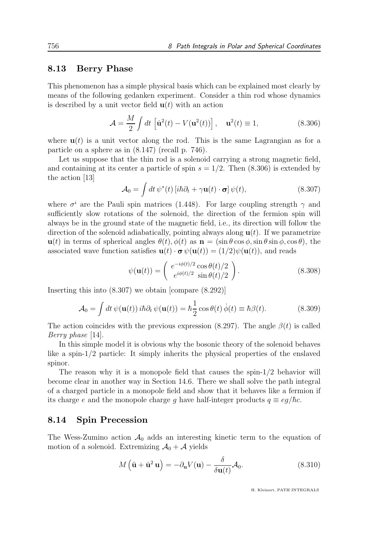#### 8.13 Berry Phase

This phenomenon has a simple physical basis which can be explained most clearly by means of the following gedanken experiment. Consider a thin rod whose dynamics is described by a unit vector field  $\mathbf{u}(t)$  with an action

$$
\mathcal{A} = \frac{M}{2} \int dt \left[ \dot{\mathbf{u}}^2(t) - V(\mathbf{u}^2(t)) \right], \quad \mathbf{u}^2(t) \equiv 1,
$$
 (8.306)

where  $\mathbf{u}(t)$  is a unit vector along the rod. This is the same Lagrangian as for a particle on a sphere as in (8.147) (recall p. 746).

Let us suppose that the thin rod is a solenoid carrying a strong magnetic field, and containing at its center a particle of spin  $s = 1/2$ . Then  $(8.306)$  is extended by the action [13]

$$
\mathcal{A}_0 = \int dt \, \psi^*(t) \left[ i\hbar \partial_t + \gamma \mathbf{u}(t) \cdot \mathbf{\sigma} \right] \psi(t), \tag{8.307}
$$

where  $\sigma^i$  are the Pauli spin matrices (1.448). For large coupling strength  $\gamma$  and sufficiently slow rotations of the solenoid, the direction of the fermion spin will always be in the ground state of the magnetic field, i.e., its direction will follow the direction of the solenoid adiabatically, pointing always along  $\mathbf{u}(t)$ . If we parametrize  $u(t)$  in terms of spherical angles  $\theta(t)$ ,  $\phi(t)$  as  $\mathbf{n} = (\sin \theta \cos \phi, \sin \theta \sin \phi, \cos \theta)$ , the associated wave function satisfies  $\mathbf{u}(t) \cdot \boldsymbol{\sigma} \psi(\mathbf{u}(t)) = (1/2)\psi(\mathbf{u}(t))$ , and reads

$$
\psi(\mathbf{u}(t)) = \begin{pmatrix} e^{-i\phi(t)/2} \cos \theta(t)/2 \\ e^{i\phi(t)/2} \sin \theta(t)/2 \end{pmatrix}.
$$
\n(8.308)

Inserting this into (8.307) we obtain [compare (8.292)]

$$
\mathcal{A}_0 = \int dt \,\psi(\mathbf{u}(t)) i\hbar \partial_t \,\psi(\mathbf{u}(t)) = \hbar \frac{1}{2} \cos \theta(t) \,\dot{\phi}(t) \equiv \hbar \beta(t). \tag{8.309}
$$

The action coincides with the previous expression (8.297). The angle  $\beta(t)$  is called Berry phase [14].

In this simple model it is obvious why the bosonic theory of the solenoid behaves like a spin-1/2 particle: It simply inherits the physical properties of the enslaved spinor.

The reason why it is a monopole field that causes the spin-1/2 behavior will become clear in another way in Section 14.6. There we shall solve the path integral of a charged particle in a monopole field and show that it behaves like a fermion if its charge e and the monopole charge g have half-integer products  $q \equiv eg/\hbar c$ .

#### 8.14 Spin Precession

The Wess-Zumino action  $\mathcal{A}_0$  adds an interesting kinetic term to the equation of motion of a solenoid. Extremizing  $\mathcal{A}_0 + \mathcal{A}$  yields

$$
M\left(\ddot{\mathbf{u}} + \dot{\mathbf{u}}^2 \mathbf{u}\right) = -\partial_{\mathbf{u}} V(\mathbf{u}) - \frac{\delta}{\delta \mathbf{u}(t)} \mathcal{A}_0.
$$
 (8.310)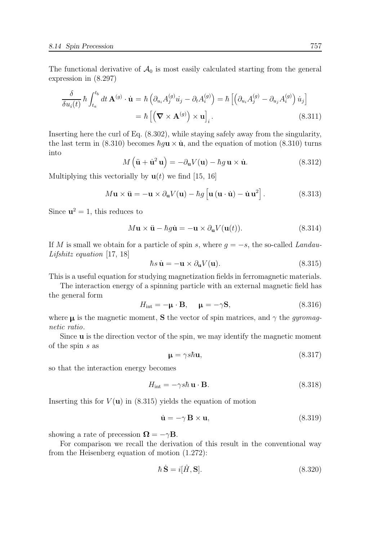The functional derivative of  $A_0$  is most easily calculated starting from the general expression in (8.297)

$$
\frac{\delta}{\delta u_i(t)} \hbar \int_{t_a}^{t_b} dt \mathbf{A}^{(g)} \cdot \dot{\mathbf{u}} = \hbar \left( \partial_{u_i} A_j^{(g)} \dot{u}_j - \partial_t A_i^{(g)} \right) = \hbar \left[ \left( \partial_{u_i} A_j^{(g)} - \partial_{u_j} A_i^{(g)} \right) \dot{u}_j \right]
$$

$$
= \hbar \left[ \left( \nabla \times \mathbf{A}^{(g)} \right) \times \mathbf{u} \right]_i.
$$
(8.311)

Inserting here the curl of Eq. (8.302), while staying safely away from the singularity, the last term in (8.310) becomes  $\hbar g \mathbf{u} \times \dot{\mathbf{u}}$ , and the equation of motion (8.310) turns into

$$
M\left(\ddot{\mathbf{u}} + \dot{\mathbf{u}}^2 \mathbf{u}\right) = -\partial_{\mathbf{u}} V(\mathbf{u}) - \hbar g \mathbf{u} \times \dot{\mathbf{u}}.\tag{8.312}
$$

Multiplying this vectorially by  $\mathbf{u}(t)$  we find [15, 16]

$$
M\mathbf{u} \times \ddot{\mathbf{u}} = -\mathbf{u} \times \partial_{\mathbf{u}} V(\mathbf{u}) - \hbar g \left[ \mathbf{u} \left( \mathbf{u} \cdot \dot{\mathbf{u}} \right) - \dot{\mathbf{u}} \mathbf{u}^2 \right]. \tag{8.313}
$$

Since  $u^2 = 1$ , this reduces to

$$
M\mathbf{u} \times \ddot{\mathbf{u}} - \hbar g \dot{\mathbf{u}} = -\mathbf{u} \times \partial_{\mathbf{u}} V(\mathbf{u}(t)). \tag{8.314}
$$

If M is small we obtain for a particle of spin s, where  $g = -s$ , the so-called Landau-Lifshitz equation [17, 18]

$$
\hbar s \dot{\mathbf{u}} = -\mathbf{u} \times \partial_{\mathbf{u}} V(\mathbf{u}). \tag{8.315}
$$

This is a useful equation for studying magnetization fields in ferromagnetic materials.

The interaction energy of a spinning particle with an external magnetic field has the general form

$$
H_{\text{int}} = -\mu \cdot \mathbf{B}, \quad \mu = -\gamma \mathbf{S}, \tag{8.316}
$$

where  $\mu$  is the magnetic moment, S the vector of spin matrices, and  $\gamma$  the *gyromag*netic ratio.

Since **u** is the direction vector of the spin, we may identify the magnetic moment of the spin s as

$$
\mathbf{\mu} = \gamma s \hbar \mathbf{u},\tag{8.317}
$$

so that the interaction energy becomes

$$
H_{\text{int}} = -\gamma s \hbar \mathbf{u} \cdot \mathbf{B}.
$$
 (8.318)

Inserting this for  $V(\mathbf{u})$  in (8.315) yields the equation of motion

$$
\dot{\mathbf{u}} = -\gamma \mathbf{B} \times \mathbf{u},\tag{8.319}
$$

showing a rate of precession  $\mathbf{\Omega} = -\gamma \mathbf{B}$ .

For comparison we recall the derivation of this result in the conventional way from the Heisenberg equation of motion (1.272):

$$
\hbar \,\dot{\mathbf{S}} = i[\hat{H}, \mathbf{S}].\tag{8.320}
$$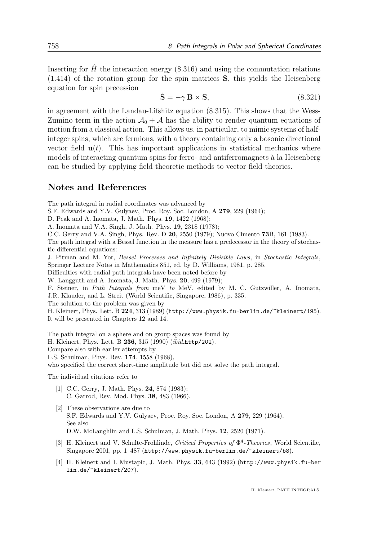Inserting for  $\hat{H}$  the interaction energy (8.316) and using the commutation relations (1.414) of the rotation group for the spin matrices S, this yields the Heisenberg equation for spin precession

$$
\dot{\mathbf{S}} = -\gamma \,\mathbf{B} \times \mathbf{S},\tag{8.321}
$$

in agreement with the Landau-Lifshitz equation (8.315). This shows that the Wess-Zumino term in the action  $\mathcal{A}_0 + \mathcal{A}$  has the ability to render quantum equations of motion from a classical action. This allows us, in particular, to mimic systems of halfinteger spins, which are fermions, with a theory containing only a bosonic directional vector field  $\mathbf{u}(t)$ . This has important applications in statistical mechanics where models of interacting quantum spins for ferro- and antiferromagnets à la Heisenberg can be studied by applying field theoretic methods to vector field theories.

#### Notes and References

The path integral in radial coordinates was advanced by

S.F. Edwards and Y.V. Gulyaev, Proc. Roy. Soc. London, A 279, 229 (1964);

D. Peak and A. Inomata, J. Math. Phys. 19, 1422 (1968);

A. Inomata and V.A. Singh, J. Math. Phys. 19, 2318 (1978);

C.C. Gerry and V.A. Singh, Phys. Rev. D 20, 2550 (1979); Nuovo Cimento 73B, 161 (1983).

The path integral with a Bessel function in the measure has a predecessor in the theory of stochastic differential equations:

J. Pitman and M. Yor, Bessel Processes and Infinitely Divisible Laws, in Stochastic Integrals, Springer Lecture Notes in Mathematics 851, ed. by D. Williams, 1981, p. 285.

Difficulties with radial path integrals have been noted before by

W. Langguth and A. Inomata, J. Math. Phys. 20, 499 (1979);

F. Steiner, in Path Integrals from meV to MeV, edited by M. C. Gutzwiller, A. Inomata, J.R. Klauder, and L. Streit (World Scientific, Singapore, 1986), p. 335.

The solution to the problem was given by

H. Kleinert, Phys. Lett. B 224, 313 (1989) (http://www.physik.fu-berlin.de/~kleinert/195). It will be presented in Chapters 12 and 14.

The path integral on a sphere and on group spaces was found by H. Kleinert, Phys. Lett. B 236, 315 (1990) (ibid.http/202). Compare also with earlier attempts by L.S. Schulman, Phys. Rev. 174, 1558 (1968), who specified the correct short-time amplitude but did not solve the path integral.

The individual citations refer to

- [1] C.C. Gerry, J. Math. Phys. **24**, 874 (1983); C. Garrod, Rev. Mod. Phys. 38, 483 (1966).
- [2] These observations are due to S.F. Edwards and Y.V. Gulyaev, Proc. Roy. Soc. London, A 279, 229 (1964). See also D.W. McLaughlin and L.S. Schulman, J. Math. Phys. 12, 2520 (1971).
- [3] H. Kleinert and V. Schulte-Frohlinde, Critical Properties of  $\Phi^4$ -Theories, World Scientific, Singapore 2001, pp. 1–487 (http://www.physik.fu-berlin.de/~kleinert/b8).
- [4] H. Kleinert and I. Mustapic, J. Math. Phys. 33, 643 (1992) (http://www.physik.fu-ber lin.de/~kleinert/207).